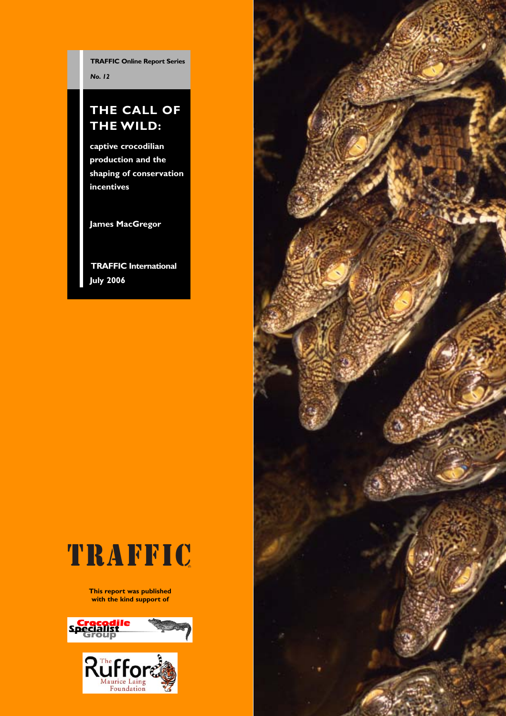**TRAFFIC Online Report Series** *No. 12*

# **THE CALL OF THE WILD:**

**captive crocodilian production and the shaping of conservation incentives**

**James MacGregor**

**TRAFFIC International July 2006**



**This report was published with the kind support of**



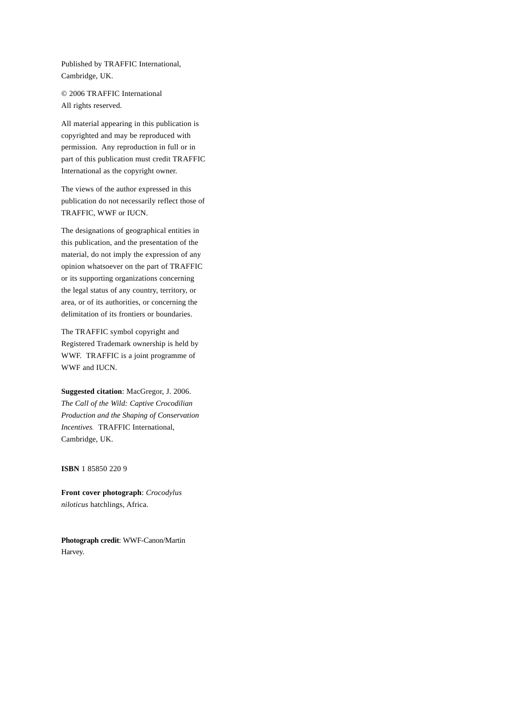Published by TRAFFIC International, Cambridge, UK.

© 2006 TRAFFIC International All rights reserved.

All material appearing in this publication is copyrighted and may be reproduced with permission. Any reproduction in full or in part of this publication must credit TRAFFIC International as the copyright owner.

The views of the author expressed in this publication do not necessarily reflect those of TRAFFIC, WWF or IUCN.

The designations of geographical entities in this publication, and the presentation of the material, do not imply the expression of any opinion whatsoever on the part of TRAFFIC or its supporting organizations concerning the legal status of any country, territory, or area, or of its authorities, or concerning the delimitation of its frontiers or boundaries.

The TRAFFIC symbol copyright and Registered Trademark ownership is held by WWF. TRAFFIC is a joint programme of WWF and IUCN.

**Suggested citation**: MacGregor, J. 2006. *The Call of the Wild: Captive Crocodilian Production and the Shaping of Conservation Incentives.* TRAFFIC International, Cambridge, UK.

**ISBN** 1 85850 220 9

**Front cover photograph**: *Crocodylus niloticus* hatchlings, Africa.

**Photograph credit**: WWF-Canon/Martin Harvey.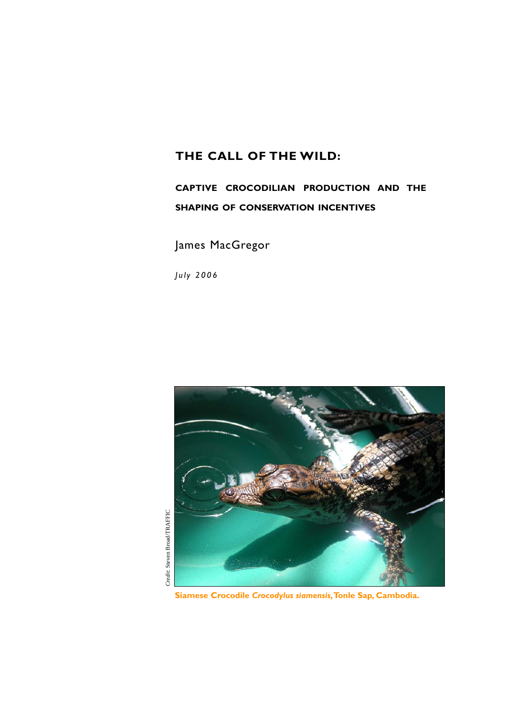# **THE CALL OF THE WILD:**

# **CAPTIVE CROCODILIAN PRODUCTION AND THE SHAPING OF CONSERVATION INCENTIVES**

James MacGregor

*July 2006*



**Siamese Crocodile** *Crocodylus siamensis***,Tonle Sap, Cambodia.**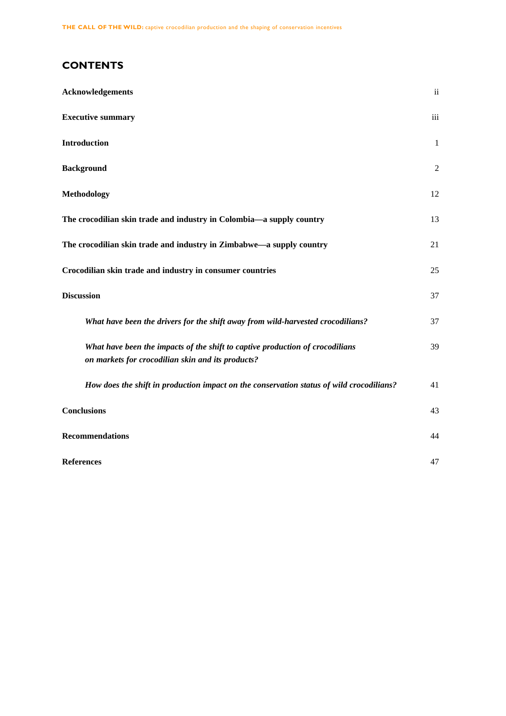# **CONTENTS**

| <b>Acknowledgements</b>                                                                                                            | $\ddot{\mathbf{i}}$ |
|------------------------------------------------------------------------------------------------------------------------------------|---------------------|
| <b>Executive summary</b>                                                                                                           | iii                 |
| <b>Introduction</b>                                                                                                                | $\mathbf{1}$        |
| <b>Background</b>                                                                                                                  | $\overline{2}$      |
| <b>Methodology</b>                                                                                                                 | 12                  |
| The crocodilian skin trade and industry in Colombia-a supply country                                                               | 13                  |
| The crocodilian skin trade and industry in Zimbabwe—a supply country                                                               | 21                  |
| Crocodilian skin trade and industry in consumer countries                                                                          | 25                  |
| <b>Discussion</b>                                                                                                                  | 37                  |
| What have been the drivers for the shift away from wild-harvested crocodilians?                                                    | 37                  |
| What have been the impacts of the shift to captive production of crocodilians<br>on markets for crocodilian skin and its products? | 39                  |
| How does the shift in production impact on the conservation status of wild crocodilians?                                           | 41                  |
| <b>Conclusions</b>                                                                                                                 | 43                  |
| <b>Recommendations</b>                                                                                                             | 44                  |
| <b>References</b>                                                                                                                  | 47                  |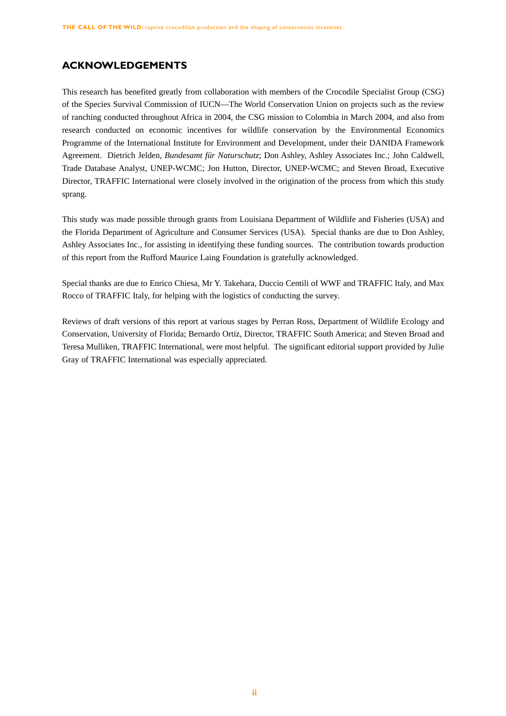# **ACKNOWLEDGEMENTS**

This research has benefited greatly from collaboration with members of the Crocodile Specialist Group (CSG) of the Species Survival Commission of IUCN—The World Conservation Union on projects such as the review of ranching conducted throughout Africa in 2004, the CSG mission to Colombia in March 2004, and also from research conducted on economic incentives for wildlife conservation by the Environmental Economics Programme of the International Institute for Environment and Development, under their DANIDA Framework Agreement. Dietrich Jelden, *Bundesamt für Naturschutz*; Don Ashley, Ashley Associates Inc.; John Caldwell, Trade Database Analyst, UNEP-WCMC; Jon Hutton, Director, UNEP-WCMC; and Steven Broad, Executive Director, TRAFFIC International were closely involved in the origination of the process from which this study sprang.

This study was made possible through grants from Louisiana Department of Wildlife and Fisheries (USA) and the Florida Department of Agriculture and Consumer Services (USA). Special thanks are due to Don Ashley, Ashley Associates Inc., for assisting in identifying these funding sources. The contribution towards production of this report from the Rufford Maurice Laing Foundation is gratefully acknowledged.

Special thanks are due to Enrico Chiesa, Mr Y. Takehara, Duccio Centili of WWF and TRAFFIC Italy, and Max Rocco of TRAFFIC Italy, for helping with the logistics of conducting the survey.

Reviews of draft versions of this report at various stages by Perran Ross, Department of Wildlife Ecology and Conservation, University of Florida; Bernardo Ortiz, Director, TRAFFIC South America; and Steven Broad and Teresa Mulliken, TRAFFIC International, were most helpful. The significant editorial support provided by Julie Gray of TRAFFIC International was especially appreciated.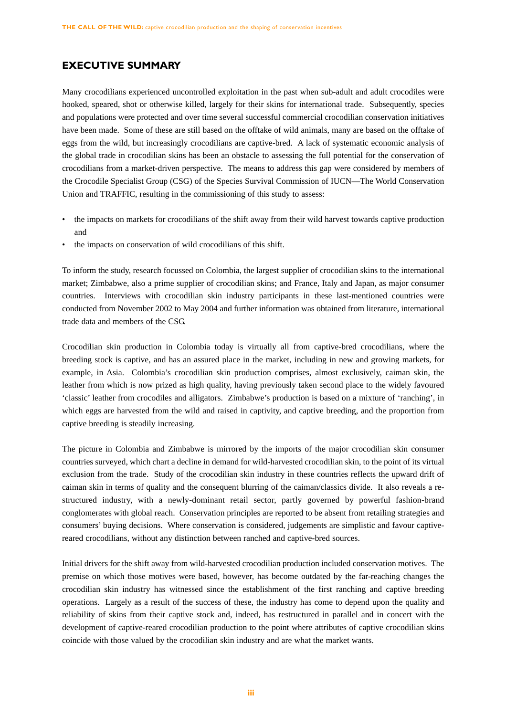# **EXECUTIVE SUMMARY**

Many crocodilians experienced uncontrolled exploitation in the past when sub-adult and adult crocodiles were hooked, speared, shot or otherwise killed, largely for their skins for international trade. Subsequently, species and populations were protected and over time several successful commercial crocodilian conservation initiatives have been made. Some of these are still based on the offtake of wild animals, many are based on the offtake of eggs from the wild, but increasingly crocodilians are captive-bred. A lack of systematic economic analysis of the global trade in crocodilian skins has been an obstacle to assessing the full potential for the conservation of crocodilians from a market-driven perspective. The means to address this gap were considered by members of the Crocodile Specialist Group (CSG) of the Species Survival Commission of IUCN—The World Conservation Union and TRAFFIC, resulting in the commissioning of this study to assess:

- the impacts on markets for crocodilians of the shift away from their wild harvest towards captive production and
- the impacts on conservation of wild crocodilians of this shift.

To inform the study, research focussed on Colombia, the largest supplier of crocodilian skins to the international market; Zimbabwe, also a prime supplier of crocodilian skins; and France, Italy and Japan, as major consumer countries. Interviews with crocodilian skin industry participants in these last-mentioned countries were conducted from November 2002 to May 2004 and further information was obtained from literature, international trade data and members of the CSG.

Crocodilian skin production in Colombia today is virtually all from captive-bred crocodilians, where the breeding stock is captive, and has an assured place in the market, including in new and growing markets, for example, in Asia. Colombia's crocodilian skin production comprises, almost exclusively, caiman skin, the leather from which is now prized as high quality, having previously taken second place to the widely favoured 'classic' leather from crocodiles and alligators. Zimbabwe's production is based on a mixture of 'ranching', in which eggs are harvested from the wild and raised in captivity, and captive breeding, and the proportion from captive breeding is steadily increasing.

The picture in Colombia and Zimbabwe is mirrored by the imports of the major crocodilian skin consumer countries surveyed, which chart a decline in demand for wild-harvested crocodilian skin, to the point of its virtual exclusion from the trade. Study of the crocodilian skin industry in these countries reflects the upward drift of caiman skin in terms of quality and the consequent blurring of the caiman/classics divide. It also reveals a restructured industry, with a newly-dominant retail sector, partly governed by powerful fashion-brand conglomerates with global reach. Conservation principles are reported to be absent from retailing strategies and consumers' buying decisions. Where conservation is considered, judgements are simplistic and favour captivereared crocodilians, without any distinction between ranched and captive-bred sources.

Initial drivers for the shift away from wild-harvested crocodilian production included conservation motives. The premise on which those motives were based, however, has become outdated by the far-reaching changes the crocodilian skin industry has witnessed since the establishment of the first ranching and captive breeding operations. Largely as a result of the success of these, the industry has come to depend upon the quality and reliability of skins from their captive stock and, indeed, has restructured in parallel and in concert with the development of captive-reared crocodilian production to the point where attributes of captive crocodilian skins coincide with those valued by the crocodilian skin industry and are what the market wants.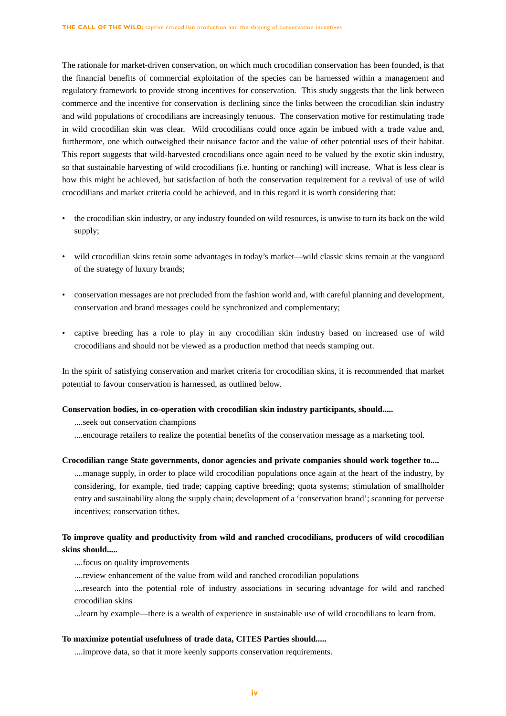The rationale for market-driven conservation, on which much crocodilian conservation has been founded, is that the financial benefits of commercial exploitation of the species can be harnessed within a management and regulatory framework to provide strong incentives for conservation. This study suggests that the link between commerce and the incentive for conservation is declining since the links between the crocodilian skin industry and wild populations of crocodilians are increasingly tenuous. The conservation motive for restimulating trade in wild crocodilian skin was clear. Wild crocodilians could once again be imbued with a trade value and, furthermore, one which outweighed their nuisance factor and the value of other potential uses of their habitat. This report suggests that wild-harvested crocodilians once again need to be valued by the exotic skin industry, so that sustainable harvesting of wild crocodilians (i.e. hunting or ranching) will increase. What is less clear is how this might be achieved, but satisfaction of both the conservation requirement for a revival of use of wild crocodilians and market criteria could be achieved, and in this regard it is worth considering that:

- the crocodilian skin industry, or any industry founded on wild resources, is unwise to turn its back on the wild supply;
- wild crocodilian skins retain some advantages in today's market—wild classic skins remain at the vanguard of the strategy of luxury brands;
- conservation messages are not precluded from the fashion world and, with careful planning and development, conservation and brand messages could be synchronized and complementary;
- captive breeding has a role to play in any crocodilian skin industry based on increased use of wild crocodilians and should not be viewed as a production method that needs stamping out.

In the spirit of satisfying conservation and market criteria for crocodilian skins, it is recommended that market potential to favour conservation is harnessed, as outlined below.

#### **Conservation bodies, in co-operation with crocodilian skin industry participants, should.....**

....seek out conservation champions

....encourage retailers to realize the potential benefits of the conservation message as a marketing tool.

## **Crocodilian range State governments, donor agencies and private companies should work together to....**

....manage supply, in order to place wild crocodilian populations once again at the heart of the industry, by considering, for example, tied trade; capping captive breeding; quota systems; stimulation of smallholder entry and sustainability along the supply chain; development of a 'conservation brand'; scanning for perverse incentives; conservation tithes.

# **To improve quality and productivity from wild and ranched crocodilians, producers of wild crocodilian skins should.....**

....focus on quality improvements

....review enhancement of the value from wild and ranched crocodilian populations

....research into the potential role of industry associations in securing advantage for wild and ranched crocodilian skins

...learn by example—there is a wealth of experience in sustainable use of wild crocodilians to learn from.

## **To maximize potential usefulness of trade data, CITES Parties should.....**

....improve data, so that it more keenly supports conservation requirements.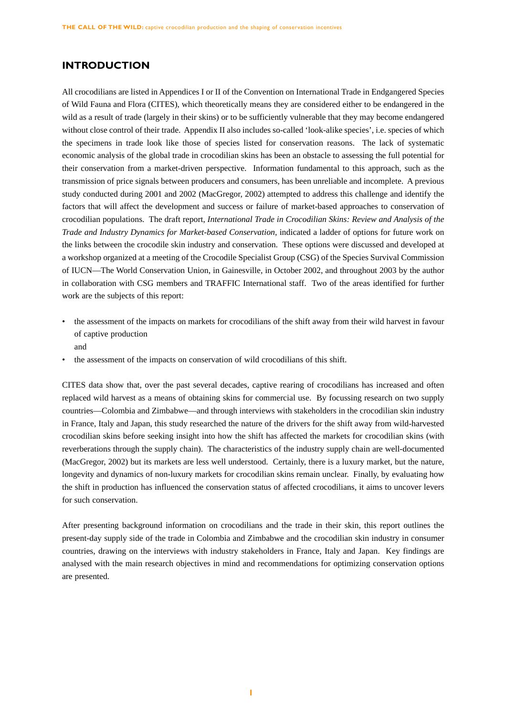# **INTRODUCTION**

All crocodilians are listed in Appendices I or II of the Convention on International Trade in Endgangered Species of Wild Fauna and Flora (CITES), which theoretically means they are considered either to be endangered in the wild as a result of trade (largely in their skins) or to be sufficiently vulnerable that they may become endangered without close control of their trade. Appendix II also includes so-called 'look-alike species', i.e. species of which the specimens in trade look like those of species listed for conservation reasons. The lack of systematic economic analysis of the global trade in crocodilian skins has been an obstacle to assessing the full potential for their conservation from a market-driven perspective. Information fundamental to this approach, such as the transmission of price signals between producers and consumers, has been unreliable and incomplete. A previous study conducted during 2001 and 2002 (MacGregor, 2002) attempted to address this challenge and identify the factors that will affect the development and success or failure of market-based approaches to conservation of crocodilian populations. The draft report, *International Trade in Crocodilian Skins: Review and Analysis of the Trade and Industry Dynamics for Market-based Conservation*, indicated a ladder of options for future work on the links between the crocodile skin industry and conservation. These options were discussed and developed at a workshop organized at a meeting of the Crocodile Specialist Group (CSG) of the Species Survival Commission of IUCN—The World Conservation Union, in Gainesville, in October 2002, and throughout 2003 by the author in collaboration with CSG members and TRAFFIC International staff. Two of the areas identified for further work are the subjects of this report:

- the assessment of the impacts on markets for crocodilians of the shift away from their wild harvest in favour of captive production
	- and
- the assessment of the impacts on conservation of wild crocodilians of this shift.

CITES data show that, over the past several decades, captive rearing of crocodilians has increased and often replaced wild harvest as a means of obtaining skins for commercial use. By focussing research on two supply countries—Colombia and Zimbabwe—and through interviews with stakeholders in the crocodilian skin industry in France, Italy and Japan, this study researched the nature of the drivers for the shift away from wild-harvested crocodilian skins before seeking insight into how the shift has affected the markets for crocodilian skins (with reverberations through the supply chain). The characteristics of the industry supply chain are well-documented (MacGregor, 2002) but its markets are less well understood. Certainly, there is a luxury market, but the nature, longevity and dynamics of non-luxury markets for crocodilian skins remain unclear. Finally, by evaluating how the shift in production has influenced the conservation status of affected crocodilians, it aims to uncover levers for such conservation.

After presenting background information on crocodilians and the trade in their skin, this report outlines the present-day supply side of the trade in Colombia and Zimbabwe and the crocodilian skin industry in consumer countries, drawing on the interviews with industry stakeholders in France, Italy and Japan. Key findings are analysed with the main research objectives in mind and recommendations for optimizing conservation options are presented.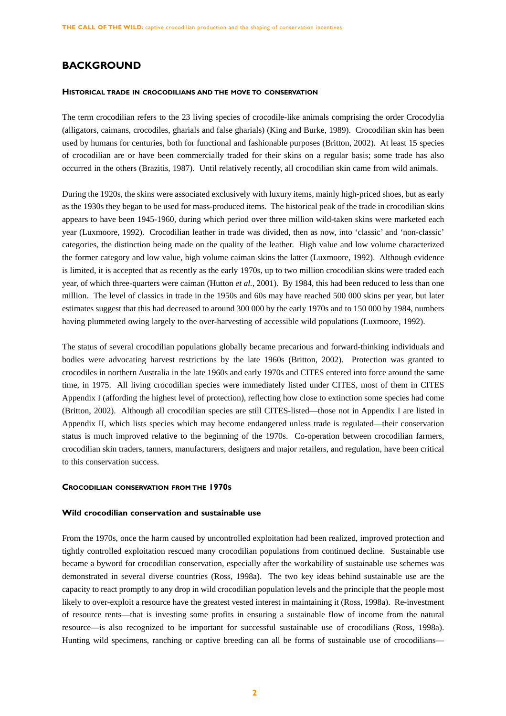# **BACKGROUND**

#### **HISTORICAL TRADE IN CROCODILIANS AND THE MOVE TO CONSERVATION**

The term crocodilian refers to the 23 living species of crocodile-like animals comprising the order Crocodylia (alligators, caimans, crocodiles, gharials and false gharials) (King and Burke, 1989). Crocodilian skin has been used by humans for centuries, both for functional and fashionable purposes (Britton, 2002). At least 15 species of crocodilian are or have been commercially traded for their skins on a regular basis; some trade has also occurred in the others (Brazitis, 1987). Until relatively recently, all crocodilian skin came from wild animals.

During the 1920s, the skins were associated exclusively with luxury items, mainly high-priced shoes, but as early as the 1930s they began to be used for mass-produced items. The historical peak of the trade in crocodilian skins appears to have been 1945-1960, during which period over three million wild-taken skins were marketed each year (Luxmoore, 1992). Crocodilian leather in trade was divided, then as now, into 'classic' and 'non-classic' categories, the distinction being made on the quality of the leather. High value and low volume characterized the former category and low value, high volume caiman skins the latter (Luxmoore, 1992). Although evidence is limited, it is accepted that as recently as the early 1970s, up to two million crocodilian skins were traded each year, of which three-quarters were caiman (Hutton *et al.*, 2001). By 1984, this had been reduced to less than one million. The level of classics in trade in the 1950s and 60s may have reached 500 000 skins per year, but later estimates suggest that this had decreased to around 300 000 by the early 1970s and to 150 000 by 1984, numbers having plummeted owing largely to the over-harvesting of accessible wild populations (Luxmoore, 1992).

The status of several crocodilian populations globally became precarious and forward-thinking individuals and bodies were advocating harvest restrictions by the late 1960s (Britton, 2002). Protection was granted to crocodiles in northern Australia in the late 1960s and early 1970s and CITES entered into force around the same time, in 1975. All living crocodilian species were immediately listed under CITES, most of them in CITES Appendix I (affording the highest level of protection), reflecting how close to extinction some species had come (Britton, 2002). Although all crocodilian species are still CITES-listed—those not in Appendix I are listed in Appendix II, which lists species which may become endangered unless trade is regulated—their conservation status is much improved relative to the beginning of the 1970s. Co-operation between crocodilian farmers, crocodilian skin traders, tanners, manufacturers, designers and major retailers, and regulation, have been critical to this conservation success.

## **CROCODILIAN CONSERVATION FROM THE 1970S**

#### **Wild crocodilian conservation and sustainable use**

From the 1970s, once the harm caused by uncontrolled exploitation had been realized, improved protection and tightly controlled exploitation rescued many crocodilian populations from continued decline. Sustainable use became a byword for crocodilian conservation, especially after the workability of sustainable use schemes was demonstrated in several diverse countries (Ross, 1998a). The two key ideas behind sustainable use are the capacity to react promptly to any drop in wild crocodilian population levels and the principle that the people most likely to over-exploit a resource have the greatest vested interest in maintaining it (Ross, 1998a). Re-investment of resource rents—that is investing some profits in ensuring a sustainable flow of income from the natural resource—is also recognized to be important for successful sustainable use of crocodilians (Ross, 1998a). Hunting wild specimens, ranching or captive breeding can all be forms of sustainable use of crocodilians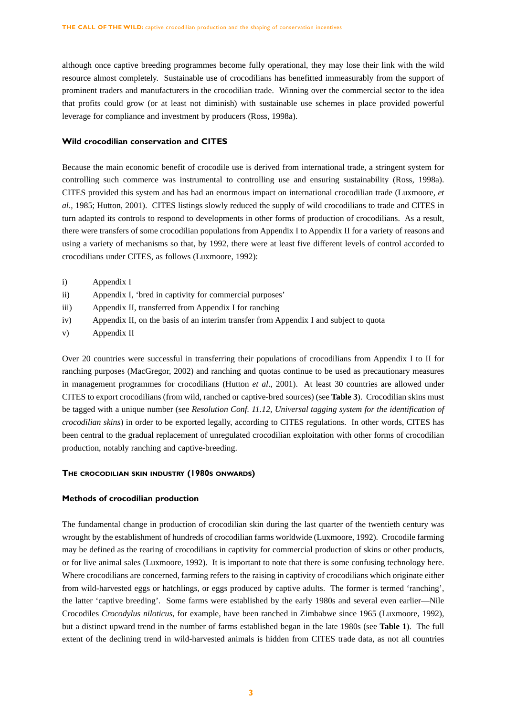although once captive breeding programmes become fully operational, they may lose their link with the wild resource almost completely. Sustainable use of crocodilians has benefitted immeasurably from the support of prominent traders and manufacturers in the crocodilian trade. Winning over the commercial sector to the idea that profits could grow (or at least not diminish) with sustainable use schemes in place provided powerful leverage for compliance and investment by producers (Ross, 1998a).

## **Wild crocodilian conservation and CITES**

Because the main economic benefit of crocodile use is derived from international trade, a stringent system for controlling such commerce was instrumental to controlling use and ensuring sustainability (Ross, 1998a). CITES provided this system and has had an enormous impact on international crocodilian trade (Luxmoore, *et al*., 1985; Hutton, 2001). CITES listings slowly reduced the supply of wild crocodilians to trade and CITES in turn adapted its controls to respond to developments in other forms of production of crocodilians. As a result, there were transfers of some crocodilian populations from Appendix I to Appendix II for a variety of reasons and using a variety of mechanisms so that, by 1992, there were at least five different levels of control accorded to crocodilians under CITES, as follows (Luxmoore, 1992):

- i) Appendix I
- ii) Appendix I, 'bred in captivity for commercial purposes'
- iii) Appendix II, transferred from Appendix I for ranching
- iv) Appendix II, on the basis of an interim transfer from Appendix I and subject to quota
- v) Appendix II

Over 20 countries were successful in transferring their populations of crocodilians from Appendix I to II for ranching purposes (MacGregor, 2002) and ranching and quotas continue to be used as precautionary measures in management programmes for crocodilians (Hutton *et al*., 2001). At least 30 countries are allowed under CITES to export crocodilians (from wild, ranched or captive-bred sources) (see **Table 3**). Crocodilian skins must be tagged with a unique number (see *Resolution Conf. 11.12, Universal tagging system for the identification of crocodilian skins*) in order to be exported legally, according to CITES regulations. In other words, CITES has been central to the gradual replacement of unregulated crocodilian exploitation with other forms of crocodilian production, notably ranching and captive-breeding.

## **THE CROCODILIAN SKIN INDUSTRY (1980S ONWARDS)**

## **Methods of crocodilian production**

The fundamental change in production of crocodilian skin during the last quarter of the twentieth century was wrought by the establishment of hundreds of crocodilian farms worldwide (Luxmoore, 1992). Crocodile farming may be defined as the rearing of crocodilians in captivity for commercial production of skins or other products, or for live animal sales (Luxmoore, 1992). It is important to note that there is some confusing technology here. Where crocodilians are concerned, farming refers to the raising in captivity of crocodilians which originate either from wild-harvested eggs or hatchlings, or eggs produced by captive adults. The former is termed 'ranching', the latter 'captive breeding'. Some farms were established by the early 1980s and several even earlier—Nile Crocodiles *Crocodylus niloticus*, for example, have been ranched in Zimbabwe since 1965 (Luxmoore, 1992), but a distinct upward trend in the number of farms established began in the late 1980s (see **Table 1**). The full extent of the declining trend in wild-harvested animals is hidden from CITES trade data, as not all countries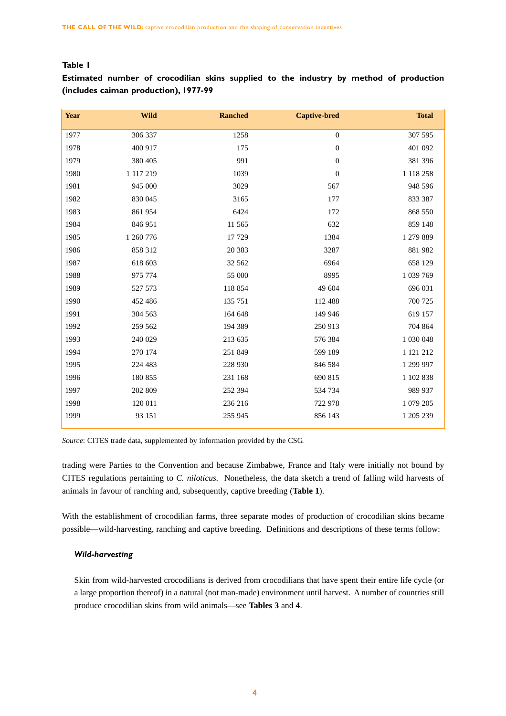# **Table 1**

**Estimated number of crocodilian skins supplied to the industry by method of production (includes caiman production), 1977-99**

| <b>Year</b> | <b>Wild</b> | <b>Ranched</b> | <b>Captive-bred</b> | <b>Total</b> |
|-------------|-------------|----------------|---------------------|--------------|
| 1977        | 306 337     | 1258           | $\boldsymbol{0}$    | 307 595      |
| 1978        | 400 917     | 175            | $\boldsymbol{0}$    | 401 092      |
| 1979        | 380 405     | 991            | $\boldsymbol{0}$    | 381 396      |
| 1980        | 1 117 219   | 1039           | $\boldsymbol{0}$    | 1 118 258    |
| 1981        | 945 000     | 3029           | 567                 | 948 596      |
| 1982        | 830 045     | 3165           | 177                 | 833 387      |
| 1983        | 861 954     | 6424           | 172                 | 868 550      |
| 1984        | 846 951     | 11 565         | 632                 | 859 148      |
| 1985        | 1 260 776   | 17 729         | 1384                | 1 279 889    |
| 1986        | 858 312     | 20 383         | 3287                | 881 982      |
| 1987        | 618 603     | 32 562         | 6964                | 658 129      |
| 1988        | 975 774     | 55 000         | 8995                | 1 039 769    |
| 1989        | 527 573     | 118 854        | 49 604              | 696 031      |
| 1990        | 452 486     | 135 751        | 112 488             | 700 725      |
| 1991        | 304 563     | 164 648        | 149 946             | 619 157      |
| 1992        | 259 562     | 194 389        | 250 913             | 704 864      |
| 1993        | 240 029     | 213 635        | 576 384             | 1 030 048    |
| 1994        | 270 174     | 251 849        | 599 189             | 1 121 212    |
| 1995        | 224 483     | 228 930        | 846 584             | 1 299 997    |
| 1996        | 180 855     | 231 168        | 690 815             | 1 102 838    |
| 1997        | 202 809     | 252 394        | 534 734             | 989 937      |
| 1998        | 120 011     | 236 216        | 722 978             | 1 079 205    |
| 1999        | 93 151      | 255 945        | 856 143             | 1 205 239    |

*Source*: CITES trade data, supplemented by information provided by the CSG.

trading were Parties to the Convention and because Zimbabwe, France and Italy were initially not bound by CITES regulations pertaining to *C. niloticus.* Nonetheless, the data sketch a trend of falling wild harvests of animals in favour of ranching and, subsequently, captive breeding (**Table 1**).

With the establishment of crocodilian farms, three separate modes of production of crocodilian skins became possible—wild-harvesting, ranching and captive breeding. Definitions and descriptions of these terms follow:

# *Wild-harvesting*

Skin from wild-harvested crocodilians is derived from crocodilians that have spent their entire life cycle (or a large proportion thereof) in a natural (not man-made) environment until harvest. A number of countries still produce crocodilian skins from wild animals—see **Tables 3** and **4**.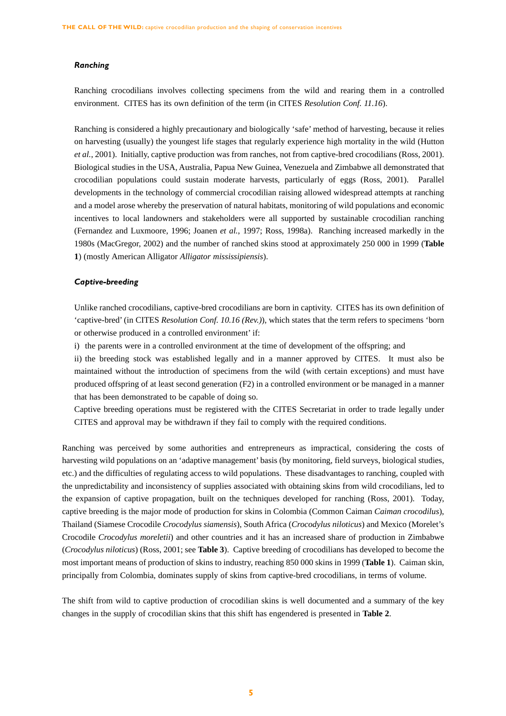#### *Ranching*

Ranching crocodilians involves collecting specimens from the wild and rearing them in a controlled environment. CITES has its own definition of the term (in CITES *Resolution Conf. 11.16*).

Ranching is considered a highly precautionary and biologically 'safe' method of harvesting, because it relies on harvesting (usually) the youngest life stages that regularly experience high mortality in the wild (Hutton *et al.*, 2001). Initially, captive production was from ranches, not from captive-bred crocodilians (Ross, 2001). Biological studies in the USA, Australia, Papua New Guinea, Venezuela and Zimbabwe all demonstrated that crocodilian populations could sustain moderate harvests, particularly of eggs (Ross, 2001). Parallel developments in the technology of commercial crocodilian raising allowed widespread attempts at ranching and a model arose whereby the preservation of natural habitats, monitoring of wild populations and economic incentives to local landowners and stakeholders were all supported by sustainable crocodilian ranching (Fernandez and Luxmoore, 1996; Joanen *et al.*, 1997; Ross, 1998a). Ranching increased markedly in the 1980s (MacGregor, 2002) and the number of ranched skins stood at approximately 250 000 in 1999 (**Table 1**) (mostly American Alligator *Alligator mississipiensis*).

## *Captive-breeding*

Unlike ranched crocodilians, captive-bred crocodilians are born in captivity. CITES has its own definition of 'captive-bred' (in CITES *Resolution Conf. 10.16 (Rev.)*), which states that the term refers to specimens 'born or otherwise produced in a controlled environment' if:

i) the parents were in a controlled environment at the time of development of the offspring; and

ii) the breeding stock was established legally and in a manner approved by CITES. It must also be maintained without the introduction of specimens from the wild (with certain exceptions) and must have produced offspring of at least second generation (F2) in a controlled environment or be managed in a manner that has been demonstrated to be capable of doing so.

Captive breeding operations must be registered with the CITES Secretariat in order to trade legally under CITES and approval may be withdrawn if they fail to comply with the required conditions.

Ranching was perceived by some authorities and entrepreneurs as impractical, considering the costs of harvesting wild populations on an 'adaptive management' basis (by monitoring, field surveys, biological studies, etc.) and the difficulties of regulating access to wild populations. These disadvantages to ranching, coupled with the unpredictability and inconsistency of supplies associated with obtaining skins from wild crocodilians, led to the expansion of captive propagation, built on the techniques developed for ranching (Ross, 2001). Today, captive breeding is the major mode of production for skins in Colombia (Common Caiman *Caiman crocodilus*), Thailand (Siamese Crocodile *Crocodylus siamensis*), South Africa (*Crocodylus niloticus*) and Mexico (Morelet's Crocodile *Crocodylus moreletii*) and other countries and it has an increased share of production in Zimbabwe (*Crocodylus niloticus*) (Ross, 2001; see **Table 3**). Captive breeding of crocodilians has developed to become the most important means of production of skins to industry, reaching 850 000 skins in 1999 (**Table 1**). Caiman skin, principally from Colombia, dominates supply of skins from captive-bred crocodilians, in terms of volume.

The shift from wild to captive production of crocodilian skins is well documented and a summary of the key changes in the supply of crocodilian skins that this shift has engendered is presented in **Table 2**.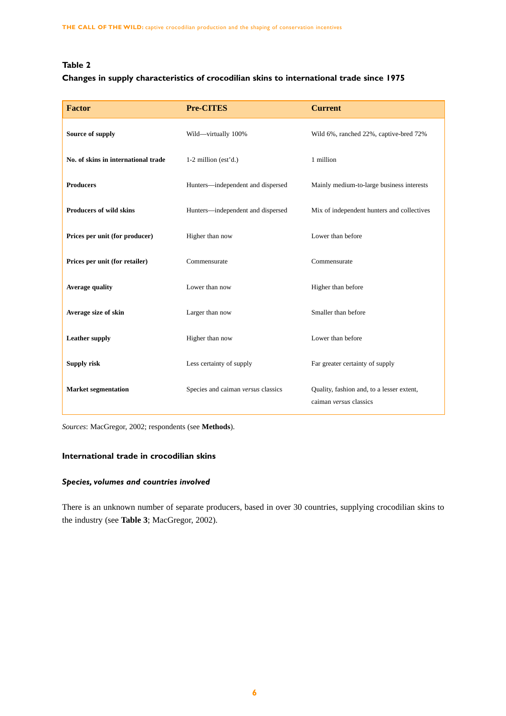# **Table 2**

# **Changes in supply characteristics of crocodilian skins to international trade since 1975**

| <b>Factor</b>                       | <b>Pre-CITES</b>                   | <b>Current</b>                                                      |  |  |
|-------------------------------------|------------------------------------|---------------------------------------------------------------------|--|--|
| Source of supply                    | Wild-virtually 100%                | Wild 6%, ranched 22%, captive-bred 72%                              |  |  |
| No. of skins in international trade | $1-2$ million (est'd.)             | 1 million                                                           |  |  |
| <b>Producers</b>                    | Hunters-independent and dispersed  | Mainly medium-to-large business interests                           |  |  |
| <b>Producers of wild skins</b>      | Hunters-independent and dispersed  | Mix of independent hunters and collectives                          |  |  |
| Prices per unit (for producer)      | Higher than now                    | Lower than before                                                   |  |  |
| Prices per unit (for retailer)      | Commensurate                       | Commensurate                                                        |  |  |
| <b>Average quality</b>              | Lower than now                     | Higher than before                                                  |  |  |
| Average size of skin                | Larger than now                    | Smaller than before                                                 |  |  |
| <b>Leather supply</b>               | Higher than now                    | Lower than before                                                   |  |  |
| <b>Supply risk</b>                  | Less certainty of supply           | Far greater certainty of supply                                     |  |  |
| <b>Market segmentation</b>          | Species and caiman versus classics | Quality, fashion and, to a lesser extent,<br>caiman versus classics |  |  |

*Sources*: MacGregor, 2002; respondents (see **Methods**).

# **International trade in crocodilian skins**

# *Species, volumes and countries involved*

There is an unknown number of separate producers, based in over 30 countries, supplying crocodilian skins to the industry (see **Table 3**; MacGregor, 2002).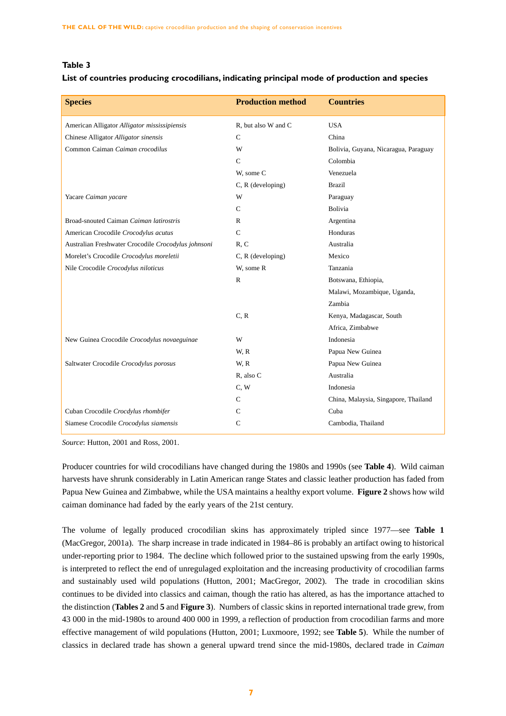# **Table 3**

## **List of countries producing crocodilians, indicating principal mode of production and species**

| <b>Species</b>                                      | <b>Production method</b> | <b>Countries</b>                     |
|-----------------------------------------------------|--------------------------|--------------------------------------|
| American Alligator Alligator mississipiensis        | R, but also W and C      | <b>USA</b>                           |
| Chinese Alligator Alligator sinensis                | $\mathcal{C}$            | China                                |
| Common Caiman Caiman crocodilus                     | W                        | Bolivia, Guyana, Nicaragua, Paraguay |
|                                                     | $\mathcal{C}$            | Colombia                             |
|                                                     | W, some C                | Venezuela                            |
|                                                     | C, R (developing)        | <b>Brazil</b>                        |
| Yacare Caiman yacare                                | W                        | Paraguay                             |
|                                                     | C                        | Bolivia                              |
| Broad-snouted Caiman Caiman latirostris             | $\mathbb{R}$             | Argentina                            |
| American Crocodile Crocodylus acutus                | $\mathsf{C}$             | Honduras                             |
| Australian Freshwater Crocodile Crocodylus johnsoni | R, C                     | Australia                            |
| Morelet's Crocodile Crocodylus moreletii            | $C, R$ (developing)      | Mexico                               |
| Nile Crocodile Crocodylus niloticus                 | W, some R                | Tanzania                             |
|                                                     | $\mathbb{R}$             | Botswana, Ethiopia,                  |
|                                                     |                          | Malawi, Mozambique, Uganda,          |
|                                                     |                          | Zambia                               |
|                                                     | C, R                     | Kenya, Madagascar, South             |
|                                                     |                          | Africa, Zimbabwe                     |
| New Guinea Crocodile Crocodylus novaeguinae         | W                        | Indonesia                            |
|                                                     | W, R                     | Papua New Guinea                     |
| Saltwater Crocodile Crocodylus porosus              | W, R                     | Papua New Guinea                     |
|                                                     | R, also C                | Australia                            |
|                                                     | C, W                     | Indonesia                            |
|                                                     | $\mathcal{C}$            | China, Malaysia, Singapore, Thailand |
| Cuban Crocodile Crocdylus rhombifer                 | $\mathbf C$              | Cuba                                 |
| Siamese Crocodile Crocodylus siamensis              | $\mathsf{C}$             | Cambodia, Thailand                   |

*Source*: Hutton, 2001 and Ross, 2001.

Producer countries for wild crocodilians have changed during the 1980s and 1990s (see **Table 4**). Wild caiman harvests have shrunk considerably in Latin American range States and classic leather production has faded from Papua New Guinea and Zimbabwe, while the USA maintains a healthy export volume. **Figure 2** shows how wild caiman dominance had faded by the early years of the 21st century.

The volume of legally produced crocodilian skins has approximately tripled since 1977—see **Table 1** (MacGregor, 2001a). The sharp increase in trade indicated in 1984–86 is probably an artifact owing to historical under-reporting prior to 1984. The decline which followed prior to the sustained upswing from the early 1990s, is interpreted to reflect the end of unregulaged exploitation and the increasing productivity of crocodilian farms and sustainably used wild populations (Hutton, 2001; MacGregor, 2002). The trade in crocodilian skins continues to be divided into classics and caiman, though the ratio has altered, as has the importance attached to the distinction (**Tables 2** and **5** and **Figure 3**). Numbers of classic skins in reported international trade grew, from 43 000 in the mid-1980s to around 400 000 in 1999, a reflection of production from crocodilian farms and more effective management of wild populations (Hutton, 2001; Luxmoore, 1992; see **Table 5**). While the number of classics in declared trade has shown a general upward trend since the mid-1980s, declared trade in *Caiman*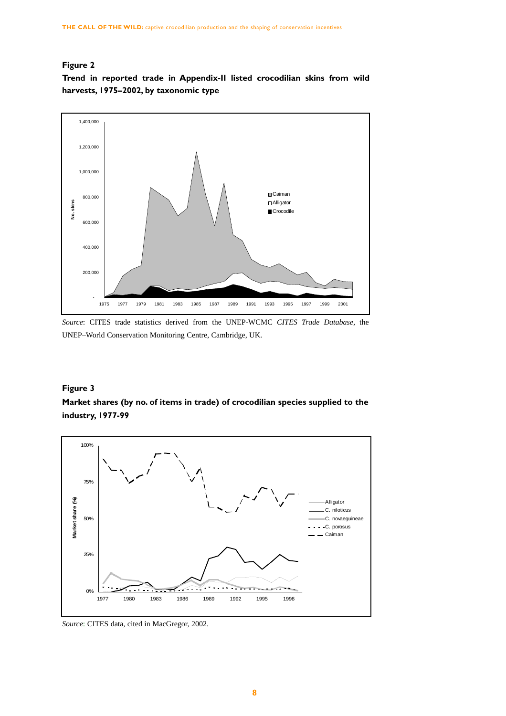# **Figure 2**

**Trend in reported trade in Appendix-II listed crocodilian skins from wild harvests, 1975–2002, by taxonomic type**



*Source*: CITES trade statistics derived from the UNEP-WCMC *CITES Trade Database*, the UNEP–World Conservation Monitoring Centre, Cambridge, UK.

# **Figure 3**

**Market shares (by no. of items in trade) of crocodilian species supplied to the industry, 1977-99**



*Source*: CITES data, cited in MacGregor, 2002.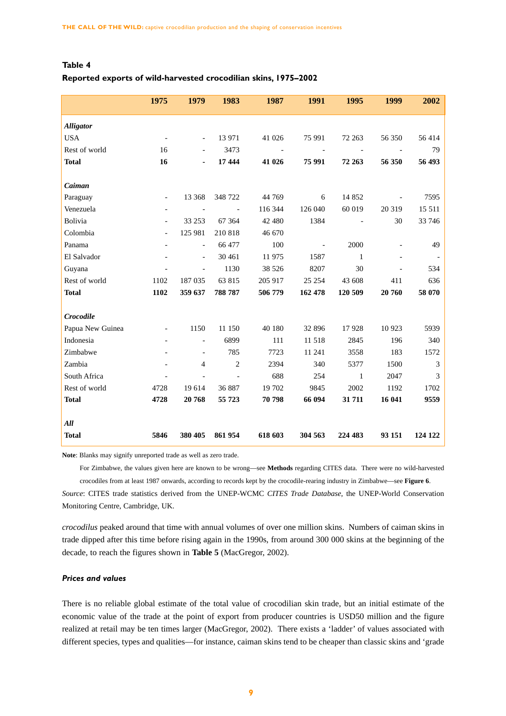# **Table 4**

## **Reported exports of wild-harvested crocodilian skins, 1975–2002**

|                  | 1975                     | 1979                     | 1983           | 1987    | 1991                     | 1995         | 1999   | 2002    |
|------------------|--------------------------|--------------------------|----------------|---------|--------------------------|--------------|--------|---------|
| <b>Alligator</b> |                          |                          |                |         |                          |              |        |         |
| <b>USA</b>       | $\overline{\phantom{a}}$ | $\overline{\phantom{a}}$ | 13 971         | 41 026  | 75 991                   | 72 263       | 56 350 | 56414   |
| Rest of world    | 16                       |                          | 3473           |         |                          |              |        | 79      |
| <b>Total</b>     | 16                       | ٠                        | 17 444         | 41 026  | 75 991                   | 72 263       | 56 350 | 56 493  |
|                  |                          |                          |                |         |                          |              |        |         |
| Caiman           |                          |                          |                |         |                          |              |        |         |
| Paraguay         | $\overline{\phantom{a}}$ | 13 3 68                  | 348 722        | 44 769  | 6                        | 14 852       |        | 7595    |
| Venezuela        |                          |                          |                | 116 344 | 126 040                  | 60 019       | 20 319 | 15 5 11 |
| Bolivia          |                          | 33 253                   | 67 364         | 42 480  | 1384                     |              | 30     | 33 746  |
| Colombia         | $\overline{a}$           | 125 981                  | 210 818        | 46 670  |                          |              |        |         |
| Panama           |                          | $\bar{a}$                | 66 477         | 100     | $\overline{\phantom{a}}$ | 2000         |        | 49      |
| El Salvador      |                          | $\overline{\phantom{0}}$ | 30 461         | 11 975  | 1587                     | $\mathbf{1}$ |        |         |
| Guyana           |                          |                          | 1130           | 38 5 26 | 8207                     | 30           |        | 534     |
| Rest of world    | 1102                     | 187 035                  | 63 815         | 205 917 | 25 25 4                  | 43 608       | 411    | 636     |
| <b>Total</b>     | 1102                     | 359 637                  | 788 787        | 506 779 | 162 478                  | 120 509      | 20 760 | 58 070  |
|                  |                          |                          |                |         |                          |              |        |         |
| Crocodile        |                          |                          |                |         |                          |              |        |         |
| Papua New Guinea |                          | 1150                     | 11 150         | 40 180  | 32 896                   | 17928        | 10 923 | 5939    |
| Indonesia        |                          |                          | 6899           | 111     | 11 518                   | 2845         | 196    | 340     |
| Zimbabwe         |                          | $\overline{\phantom{a}}$ | 785            | 7723    | 11 241                   | 3558         | 183    | 1572    |
| Zambia           |                          | 4                        | $\overline{2}$ | 2394    | 340                      | 5377         | 1500   | 3       |
| South Africa     |                          |                          |                | 688     | 254                      | 1            | 2047   | 3       |
| Rest of world    | 4728                     | 19 614                   | 36 887         | 19 702  | 9845                     | 2002         | 1192   | 1702    |
| <b>Total</b>     | 4728                     | 20 768                   | 55 723         | 70 798  | 66 094                   | 31 711       | 16 041 | 9559    |
| All              |                          |                          |                |         |                          |              |        |         |
| <b>Total</b>     | 5846                     | 380 405                  | 861 954        | 618 603 | 304 563                  | 224 483      | 93 151 | 124 122 |

**Note**: Blanks may signify unreported trade as well as zero trade.

For Zimbabwe, the values given here are known to be wrong—see **Methods** regarding CITES data. There were no wild-harvested crocodiles from at least 1987 onwards, according to records kept by the crocodile-rearing industry in Zimbabwe—see **Figure 6**.

*Source*: CITES trade statistics derived from the UNEP-WCMC *CITES Trade Database*, the UNEP-World Conservation Monitoring Centre, Cambridge, UK.

*crocodilus* peaked around that time with annual volumes of over one million skins. Numbers of caiman skins in trade dipped after this time before rising again in the 1990s, from around 300 000 skins at the beginning of the decade, to reach the figures shown in **Table 5** (MacGregor, 2002).

## *Prices and values*

There is no reliable global estimate of the total value of crocodilian skin trade, but an initial estimate of the economic value of the trade at the point of export from producer countries is USD50 million and the figure realized at retail may be ten times larger (MacGregor, 2002). There exists a 'ladder' of values associated with different species, types and qualities—for instance, caiman skins tend to be cheaper than classic skins and 'grade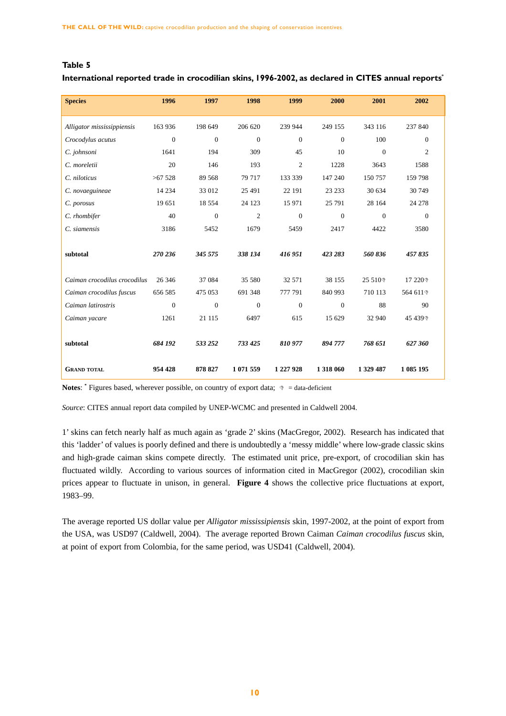# **Table 5**

# **International reported trade in crocodilian skins, 1996-2002, as declared in CITES annual reports\***

| <b>Species</b>               | 1996             | 1997             | 1998             | 1999             | 2000             | 2001         | 2002             |  |
|------------------------------|------------------|------------------|------------------|------------------|------------------|--------------|------------------|--|
| Alligator mississippiensis   | 163 936          | 198 649          | 206 620          | 239 944          | 249 155          | 343 116      | 237 840          |  |
| Crocodylus acutus            | $\boldsymbol{0}$ | $\boldsymbol{0}$ | $\boldsymbol{0}$ | $\theta$         | $\Omega$         | 100          | $\theta$         |  |
| C. johnsoni                  | 1641             | 194              | 309              | 45               | 10               | $\Omega$     | 2                |  |
| C. moreletii                 | 20               | 146              | 193              | $\overline{2}$   | 1228             | 3643         | 1588             |  |
| C. niloticus                 | $>67$ 528        | 89 568           | 79 717           | 133 339          | 147 240          | 150 757      | 159 798          |  |
| C. novaeguineae              | 14 2 34          | 33 012           | 25 491           | 22 191           | 23 233           | 30 634       | 30 749           |  |
| C. porosus                   | 19 651           | 18 5 5 4         | 24 1 23          | 15 971           | 25 791           | 28 164       | 24 278           |  |
| C. rhombifer                 | 40               | $\boldsymbol{0}$ | $\overline{c}$   | $\boldsymbol{0}$ | $\boldsymbol{0}$ | $\mathbf{0}$ | $\boldsymbol{0}$ |  |
| C. siamensis                 | 3186             | 5452             | 1679             | 5459             | 2417             | 4422         | 3580             |  |
|                              |                  |                  |                  |                  |                  |              |                  |  |
| subtotal                     | 270 236          | 345 575          | 338 134          | 416 951          | 423 283          | 560836       | 457835           |  |
|                              |                  |                  |                  |                  |                  |              |                  |  |
| Caiman crocodilus crocodilus | 26 34 6          | 37 084           | 35 580           | 32 571           | 38 155           | 25 510       | 17 220           |  |
| Caiman crocodilus fuscus     | 656 585          | 475 053          | 691 348          | 777 791          | 840 993          | 710 113      | 564 611          |  |
| Caiman latirostris           | $\theta$         | $\mathbf{0}$     | $\theta$         | $\Omega$         | $\Omega$         | 88           | 90               |  |
| Caiman yacare                | 1261             | 21 115           | 6497             | 615              | 15 629           | 32 940       | 45 439           |  |
|                              |                  |                  |                  |                  |                  |              |                  |  |
| subtotal                     | 684 192          | 533 252          | 733 425          | 810 977          | 894 777          | 768 651      | 627 360          |  |
|                              |                  |                  |                  |                  |                  |              |                  |  |
| <b>GRAND TOTAL</b>           | 954 428          | 878 827          | 1 071 559        | 1 227 928        | 1 318 060        | 1 329 487    | 1 085 195        |  |

**Notes:** \* Figures based, wherever possible, on country of export data;  $\triangleleft$  = data-deficient

*Source*: CITES annual report data compiled by UNEP-WCMC and presented in Caldwell 2004.

1' skins can fetch nearly half as much again as 'grade 2' skins (MacGregor, 2002). Research has indicated that this 'ladder' of values is poorly defined and there is undoubtedly a 'messy middle' where low-grade classic skins and high-grade caiman skins compete directly. The estimated unit price, pre-export, of crocodilian skin has fluctuated wildly. According to various sources of information cited in MacGregor (2002), crocodilian skin prices appear to fluctuate in unison, in general. **Figure 4** shows the collective price fluctuations at export, 1983–99.

The average reported US dollar value per *Alligator mississipiensis* skin, 1997-2002, at the point of export from the USA, was USD97 (Caldwell, 2004). The average reported Brown Caiman *Caiman crocodilus fuscus* skin, at point of export from Colombia, for the same period, was USD41 (Caldwell, 2004).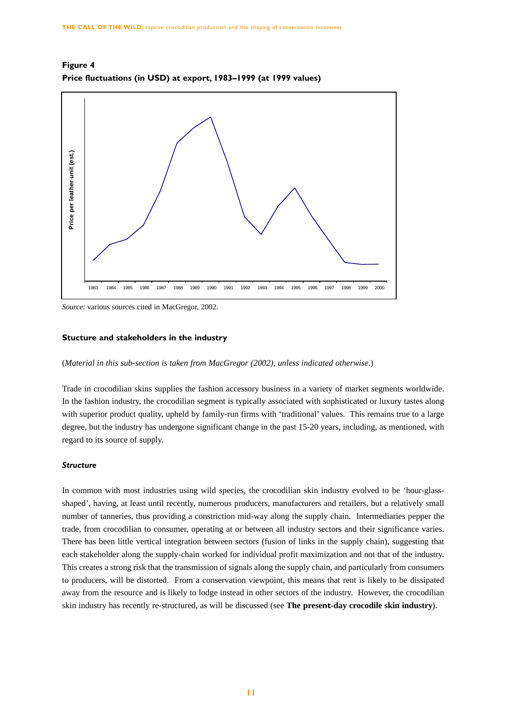

**Figure 4 Price fluctuations (in USD) at export, 1983–1999 (at 1999 values)**

*Source*: various sources cited in MacGregor, 2002.

#### **Stucture and stakeholders in the industry**

(*Material in this sub-section is taken from MacGregor (2002), unless indicated otherwise*.)

Trade in crocodilian skins supplies the fashion accessory business in a variety of market segments worldwide. In the fashion industry, the crocodilian segment is typically associated with sophisticated or luxury tastes along with superior product quality, upheld by family-run firms with 'traditional' values. This remains true to a large degree, but the industry has undergone significant change in the past 15-20 years, including, as mentioned, with regard to its source of supply.

#### *Structure*

In common with most industries using wild species, the crocodilian skin industry evolved to be 'hour-glassshaped', having, at least until recently, numerous producers, manufacturers and retailers, but a relatively small number of tanneries, thus providing a constriction mid-way along the supply chain. Intermediaries pepper the trade, from crocodilian to consumer, operating at or between all industry sectors and their significance varies. There has been little vertical integration between sectors (fusion of links in the supply chain), suggesting that each stakeholder along the supply-chain worked for individual profit maximization and not that of the industry. This creates a strong risk that the transmission of signals along the supply chain, and particularly from consumers to producers, will be distorted. From a conservation viewpoint, this means that rent is likely to be dissipated away from the resource and is likely to lodge instead in other sectors of the industry. However, the crocodilian skin industry has recently re-structured, as will be discussed (see **The present-day crocodile skin industry**).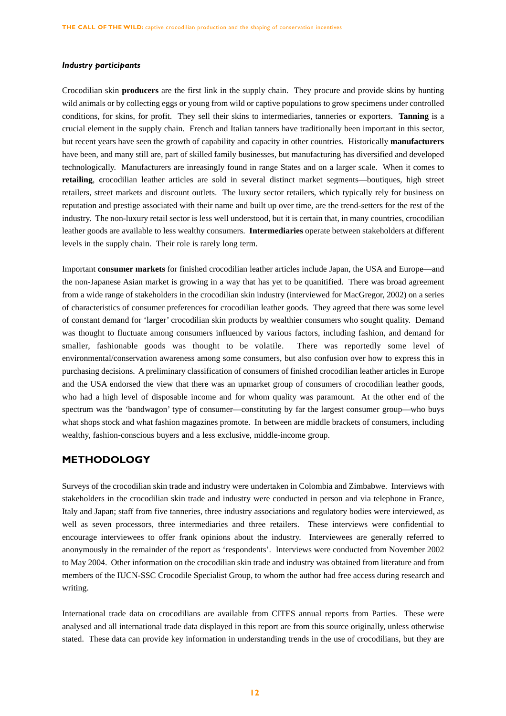#### *Industry participants*

Crocodilian skin **producers** are the first link in the supply chain. They procure and provide skins by hunting wild animals or by collecting eggs or young from wild or captive populations to grow specimens under controlled conditions, for skins, for profit. They sell their skins to intermediaries, tanneries or exporters. **Tanning** is a crucial element in the supply chain. French and Italian tanners have traditionally been important in this sector, but recent years have seen the growth of capability and capacity in other countries. Historically **manufacturers** have been, and many still are, part of skilled family businesses, but manufacturing has diversified and developed technologically. Manufacturers are inreasingly found in range States and on a larger scale. When it comes to **retailing**, crocodilian leather articles are sold in several distinct market segments—boutiques, high street retailers, street markets and discount outlets. The luxury sector retailers, which typically rely for business on reputation and prestige associated with their name and built up over time, are the trend-setters for the rest of the industry. The non-luxury retail sector is less well understood, but it is certain that, in many countries, crocodilian leather goods are available to less wealthy consumers. **Intermediaries** operate between stakeholders at different levels in the supply chain. Their role is rarely long term.

Important **consumer markets** for finished crocodilian leather articles include Japan, the USA and Europe—and the non-Japanese Asian market is growing in a way that has yet to be quanitified. There was broad agreement from a wide range of stakeholders in the crocodilian skin industry (interviewed for MacGregor, 2002) on a series of characteristics of consumer preferences for crocodilian leather goods. They agreed that there was some level of constant demand for 'larger' crocodilian skin products by wealthier consumers who sought quality. Demand was thought to fluctuate among consumers influenced by various factors, including fashion, and demand for smaller, fashionable goods was thought to be volatile. There was reportedly some level of environmental/conservation awareness among some consumers, but also confusion over how to express this in purchasing decisions. A preliminary classification of consumers of finished crocodilian leather articles in Europe and the USA endorsed the view that there was an upmarket group of consumers of crocodilian leather goods, who had a high level of disposable income and for whom quality was paramount. At the other end of the spectrum was the 'bandwagon' type of consumer—constituting by far the largest consumer group—who buys what shops stock and what fashion magazines promote. In between are middle brackets of consumers, including wealthy, fashion-conscious buyers and a less exclusive, middle-income group.

# **METHODOLOGY**

Surveys of the crocodilian skin trade and industry were undertaken in Colombia and Zimbabwe. Interviews with stakeholders in the crocodilian skin trade and industry were conducted in person and via telephone in France, Italy and Japan; staff from five tanneries, three industry associations and regulatory bodies were interviewed, as well as seven processors, three intermediaries and three retailers. These interviews were confidential to encourage interviewees to offer frank opinions about the industry. Interviewees are generally referred to anonymously in the remainder of the report as 'respondents'. Interviews were conducted from November 2002 to May 2004. Other information on the crocodilian skin trade and industry was obtained from literature and from members of the IUCN-SSC Crocodile Specialist Group, to whom the author had free access during research and writing.

International trade data on crocodilians are available from CITES annual reports from Parties. These were analysed and all international trade data displayed in this report are from this source originally, unless otherwise stated. These data can provide key information in understanding trends in the use of crocodilians, but they are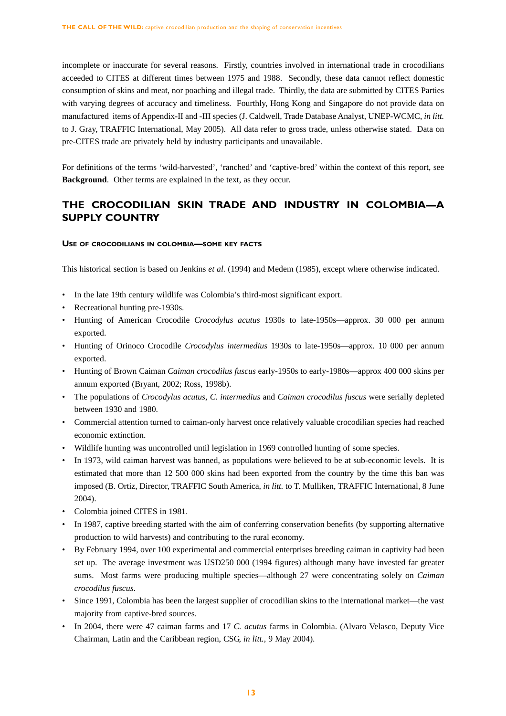incomplete or inaccurate for several reasons. Firstly, countries involved in international trade in crocodilians acceeded to CITES at different times between 1975 and 1988. Secondly, these data cannot reflect domestic consumption of skins and meat, nor poaching and illegal trade. Thirdly, the data are submitted by CITES Parties with varying degrees of accuracy and timeliness. Fourthly, Hong Kong and Singapore do not provide data on manufactured items of Appendix-II and -III species (J. Caldwell, Trade Database Analyst, UNEP-WCMC, *in litt.* to J. Gray, TRAFFIC International, May 2005). All data refer to gross trade, unless otherwise stated. Data on pre-CITES trade are privately held by industry participants and unavailable.

For definitions of the terms 'wild-harvested', 'ranched' and 'captive-bred' within the context of this report, see **Background**. Other terms are explained in the text, as they occur.

# **THE CROCODILIAN SKIN TRADE AND INDUSTRY IN COLOMBIA—A SUPPLY COUNTRY**

#### **USE OF CROCODILIANS IN COLOMBIA—SOME KEY FACTS**

This historical section is based on Jenkins *et al.* (1994) and Medem (1985), except where otherwise indicated.

- In the late 19th century wildlife was Colombia's third-most significant export.
- Recreational hunting pre-1930s.
- Hunting of American Crocodile *Crocodylus acutus* 1930s to late-1950s—approx. 30 000 per annum exported.
- Hunting of Orinoco Crocodile *Crocodylus intermedius* 1930s to late-1950s—approx. 10 000 per annum exported.
- Hunting of Brown Caiman *Caiman crocodilus fuscus* early-1950s to early-1980s—approx 400 000 skins per annum exported (Bryant, 2002; Ross, 1998b).
- The populations of *Crocodylus acutus*, *C. intermedius* and *Caiman crocodilus fuscus* were serially depleted between 1930 and 1980.
- Commercial attention turned to caiman-only harvest once relatively valuable crocodilian species had reached economic extinction.
- Wildlife hunting was uncontrolled until legislation in 1969 controlled hunting of some species.
- In 1973, wild caiman harvest was banned, as populations were believed to be at sub-economic levels. It is estimated that more than 12 500 000 skins had been exported from the country by the time this ban was imposed (B. Ortiz, Director, TRAFFIC South America, *in litt.* to T. Mulliken, TRAFFIC International, 8 June 2004).
- Colombia joined CITES in 1981.
- In 1987, captive breeding started with the aim of conferring conservation benefits (by supporting alternative production to wild harvests) and contributing to the rural economy.
- By February 1994, over 100 experimental and commercial enterprises breeding caiman in captivity had been set up. The average investment was USD250 000 (1994 figures) although many have invested far greater sums. Most farms were producing multiple species—although 27 were concentrating solely on *Caiman crocodilus fuscus*.
- Since 1991, Colombia has been the largest supplier of crocodilian skins to the international market—the vast majority from captive-bred sources.
- In 2004, there were 47 caiman farms and 17 *C. acutus* farms in Colombia. (Alvaro Velasco, Deputy Vice Chairman, Latin and the Caribbean region, CSG, *in litt.*, 9 May 2004).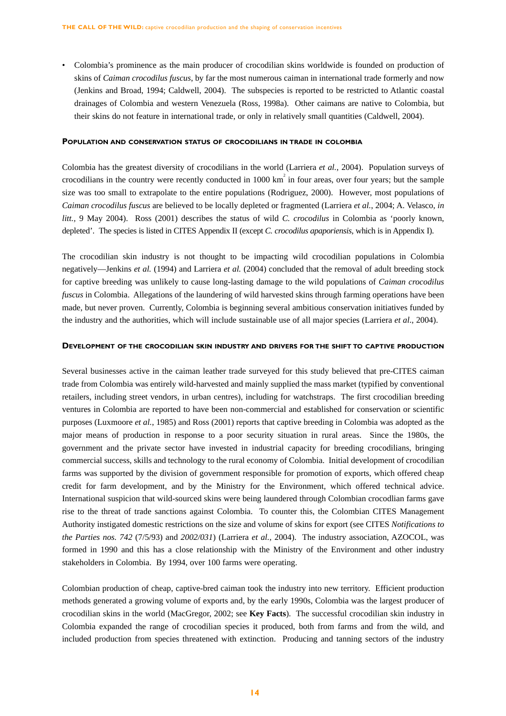• Colombia's prominence as the main producer of crocodilian skins worldwide is founded on production of skins of *Caiman crocodilus fuscus*, by far the most numerous caiman in international trade formerly and now (Jenkins and Broad, 1994; Caldwell, 2004). The subspecies is reported to be restricted to Atlantic coastal drainages of Colombia and western Venezuela (Ross, 1998a). Other caimans are native to Colombia, but their skins do not feature in international trade, or only in relatively small quantities (Caldwell, 2004).

#### **POPULATION AND CONSERVATION STATUS OF CROCODILIANS IN TRADE IN COLOMBIA**

Colombia has the greatest diversity of crocodilians in the world (Larriera *et al.*, 2004). Population surveys of crocodilians in the country were recently conducted in  $1000 \text{ km}^2$  in four areas, over four years; but the sample size was too small to extrapolate to the entire populations (Rodriguez, 2000). However, most populations of *Caiman crocodilus fuscus* are believed to be locally depleted or fragmented (Larriera *et al.*, 2004; A. Velasco, *in litt.,* 9 May 2004). Ross (2001) describes the status of wild *C. crocodilus* in Colombia as 'poorly known, depleted'. The species is listed in CITES Appendix II (except *C. crocodilus apaporiensis*, which is in Appendix I).

The crocodilian skin industry is not thought to be impacting wild crocodilian populations in Colombia negatively—Jenkins *et al.* (1994) and Larriera *et al.* (2004) concluded that the removal of adult breeding stock for captive breeding was unlikely to cause long-lasting damage to the wild populations of *Caiman crocodilus fuscus* in Colombia. Allegations of the laundering of wild harvested skins through farming operations have been made, but never proven. Currently, Colombia is beginning several ambitious conservation initiatives funded by the industry and the authorities, which will include sustainable use of all major species (Larriera *et al*., 2004).

#### **DEVELOPMENT OF THE CROCODILIAN SKIN INDUSTRY AND DRIVERS FOR THE SHIFT TO CAPTIVE PRODUCTION**

Several businesses active in the caiman leather trade surveyed for this study believed that pre-CITES caiman trade from Colombia was entirely wild-harvested and mainly supplied the mass market (typified by conventional retailers, including street vendors, in urban centres), including for watchstraps. The first crocodilian breeding ventures in Colombia are reported to have been non-commercial and established for conservation or scientific purposes (Luxmoore *et al.*, 1985) and Ross (2001) reports that captive breeding in Colombia was adopted as the major means of production in response to a poor security situation in rural areas. Since the 1980s, the government and the private sector have invested in industrial capacity for breeding crocodilians, bringing commercial success, skills and technology to the rural economy of Colombia. Initial development of crocodilian farms was supported by the division of government responsible for promotion of exports, which offered cheap credit for farm development, and by the Ministry for the Environment, which offered technical advice. International suspicion that wild-sourced skins were being laundered through Colombian crocodlian farms gave rise to the threat of trade sanctions against Colombia. To counter this, the Colombian CITES Management Authority instigated domestic restrictions on the size and volume of skins for export (see CITES *Notifications to the Parties nos. 742* (7/5/93) and *2002/031*) (Larriera *et al.*, 2004). The industry association, AZOCOL, was formed in 1990 and this has a close relationship with the Ministry of the Environment and other industry stakeholders in Colombia. By 1994, over 100 farms were operating.

Colombian production of cheap, captive-bred caiman took the industry into new territory. Efficient production methods generated a growing volume of exports and, by the early 1990s, Colombia was the largest producer of crocodilian skins in the world (MacGregor, 2002; see **Key Facts**). The successful crocodilian skin industry in Colombia expanded the range of crocodilian species it produced, both from farms and from the wild, and included production from species threatened with extinction. Producing and tanning sectors of the industry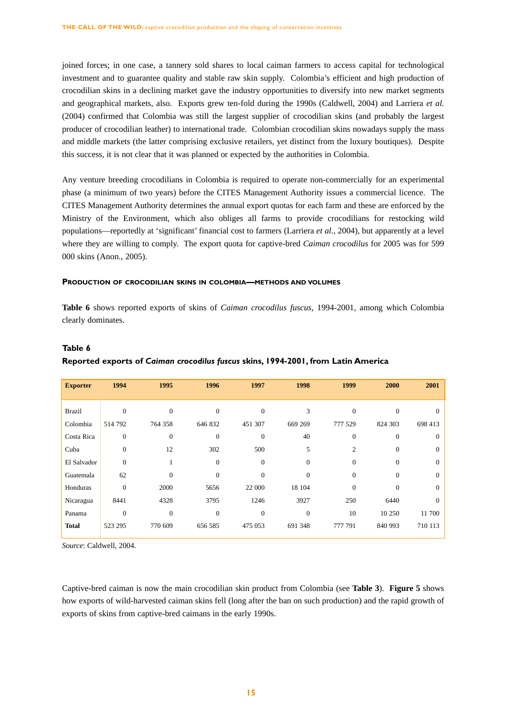joined forces; in one case, a tannery sold shares to local caiman farmers to access capital for technological investment and to guarantee quality and stable raw skin supply. Colombia's efficient and high production of crocodilian skins in a declining market gave the industry opportunities to diversify into new market segments and geographical markets, also. Exports grew ten-fold during the 1990s (Caldwell, 2004) and Larriera *et al.* (2004) confirmed that Colombia was still the largest supplier of crocodilian skins (and probably the largest producer of crocodilian leather) to international trade. Colombian crocodilian skins nowadays supply the mass and middle markets (the latter comprising exclusive retailers, yet distinct from the luxury boutiques). Despite this success, it is not clear that it was planned or expected by the authorities in Colombia.

Any venture breeding crocodilians in Colombia is required to operate non-commercially for an experimental phase (a minimum of two years) before the CITES Management Authority issues a commercial licence. The CITES Management Authority determines the annual export quotas for each farm and these are enforced by the Ministry of the Environment, which also obliges all farms to provide crocodilians for restocking wild populations—reportedly at 'significant' financial cost to farmers (Larriera *et al.*, 2004), but apparently at a level where they are willing to comply. The export quota for captive-bred *Caiman crocodilus* for 2005 was for 599 000 skins (Anon., 2005).

## **PRODUCTION OF CROCODILIAN SKINS IN COLOMBIA—METHODS AND VOLUMES**

**Table 6** shows reported exports of skins of *Caiman crocodilus fuscus*, 1994-2001, among which Colombia clearly dominates.

| <b>Exporter</b> | 1994           | 1995           | 1996           | 1997           | 1998           | 1999           | 2000           | 2001     |
|-----------------|----------------|----------------|----------------|----------------|----------------|----------------|----------------|----------|
|                 |                |                |                |                |                |                |                |          |
| <b>Brazil</b>   | $\Omega$       | $\Omega$       | $\theta$       | $\Omega$       | 3              | $\Omega$       | $\Omega$       | $\Omega$ |
| Colombia        | 514 792        | 764 358        | 646 832        | 451 307        | 669 269        | 777 529        | 824 303        | 698 413  |
| Costa Rica      | $\mathbf{0}$   | $\overline{0}$ | $\theta$       | $\overline{0}$ | 40             | $\Omega$       | $\overline{0}$ | $\Omega$ |
| Cuba            | $\overline{0}$ | 12             | 302            | 500            | 5              | $\overline{c}$ | $\overline{0}$ | $\Omega$ |
| El Salvador     | $\overline{0}$ |                | $\overline{0}$ | $\Omega$       | $\overline{0}$ | $\Omega$       | $\overline{0}$ | $\Omega$ |
| Guatemala       | 62             | $\Omega$       | $\overline{0}$ | $\Omega$       | $\Omega$       | $\Omega$       | $\Omega$       | $\Omega$ |
| Honduras        | $\overline{0}$ | 2000           | 5656           | 22 000         | 18 104         | $\Omega$       | $\Omega$       | $\Omega$ |
| Nicaragua       | 8441           | 4328           | 3795           | 1246           | 3927           | 250            | 6440           | $\Omega$ |
| Panama          | $\overline{0}$ | $\Omega$       | $\theta$       | $\Omega$       | $\overline{0}$ | 10             | 10 250         | 11 700   |
| <b>Total</b>    | 523 295        | 770 609        | 656 585        | 475 053        | 691 348        | 777 791        | 840 993        | 710 113  |

## **Table 6**

### **Reported exports of** *Caiman crocodilus fuscus* **skins, 1994-2001, from Latin America**

*Source*: Caldwell, 2004.

Captive-bred caiman is now the main crocodilian skin product from Colombia (see **Table 3**). **Figure 5** shows how exports of wild-harvested caiman skins fell (long after the ban on such production) and the rapid growth of exports of skins from captive-bred caimans in the early 1990s.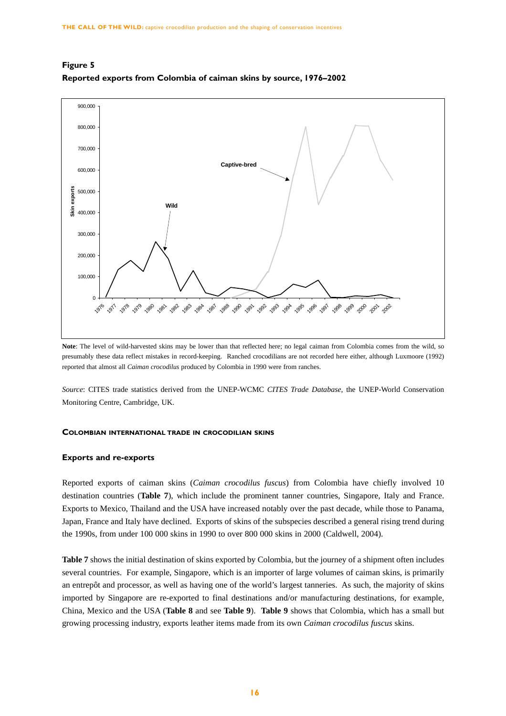



**Note**: The level of wild-harvested skins may be lower than that reflected here; no legal caiman from Colombia comes from the wild, so presumably these data reflect mistakes in record-keeping. Ranched crocodilians are not recorded here either, although Luxmoore (1992) reported that almost all *Caiman crocodilus* produced by Colombia in 1990 were from ranches.

*Source*: CITES trade statistics derived from the UNEP-WCMC *CITES Trade Database*, the UNEP-World Conservation Monitoring Centre, Cambridge, UK.

#### **COLOMBIAN INTERNATIONAL TRADE IN CROCODILIAN SKINS**

#### **Exports and re-exports**

Reported exports of caiman skins (*Caiman crocodilus fuscus*) from Colombia have chiefly involved 10 destination countries (**Table 7**), which include the prominent tanner countries, Singapore, Italy and France. Exports to Mexico, Thailand and the USA have increased notably over the past decade, while those to Panama, Japan, France and Italy have declined. Exports of skins of the subspecies described a general rising trend during the 1990s, from under 100 000 skins in 1990 to over 800 000 skins in 2000 (Caldwell, 2004).

**Table 7** shows the initial destination of skins exported by Colombia, but the journey of a shipment often includes several countries. For example, Singapore, which is an importer of large volumes of caiman skins, is primarily an entrepôt and processor, as well as having one of the world's largest tanneries. As such, the majority of skins imported by Singapore are re-exported to final destinations and/or manufacturing destinations, for example, China, Mexico and the USA (**Table 8** and see **Table 9**). **Table 9** shows that Colombia, which has a small but growing processing industry, exports leather items made from its own *Caiman crocodilus fuscus* skins.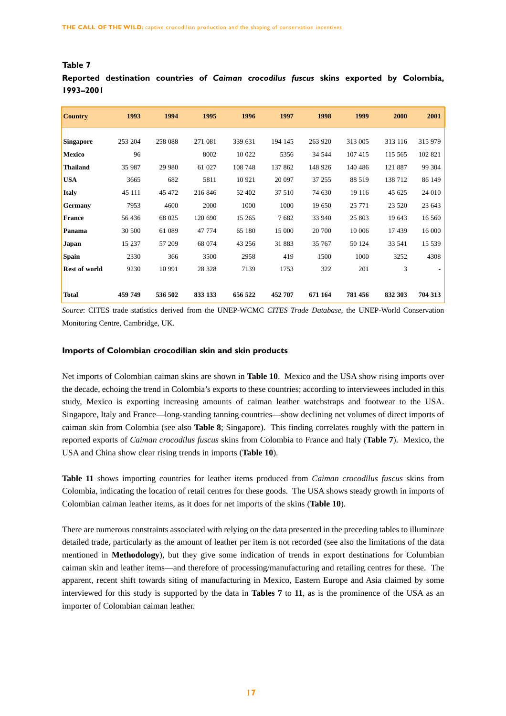| <b>Country</b>       | 1993    | 1994    | 1995    | 1996    | 1997    | 1998    | 1999    | 2000    | 2001    |
|----------------------|---------|---------|---------|---------|---------|---------|---------|---------|---------|
| <b>Singapore</b>     | 253 204 | 258 088 | 271 081 | 339 631 | 194 145 | 263 920 | 313 005 | 313 116 | 315 979 |
| <b>Mexico</b>        | 96      |         | 8002    | 10 022  | 5356    | 34 544  | 107 415 | 115 565 | 102 821 |
| <b>Thailand</b>      | 35 987  | 29 980  | 61 027  | 108 748 | 137 862 | 148 926 | 140 486 | 121 887 | 99 304  |
| <b>USA</b>           | 3665    | 682     | 5811    | 10 921  | 20 097  | 37 255  | 88 519  | 138 712 | 86 149  |
| <b>Italy</b>         | 45 111  | 45 472  | 216 846 | 52 402  | 37 510  | 74 630  | 19 11 6 | 45 625  | 24 010  |
| Germany              | 7953    | 4600    | 2000    | 1000    | 1000    | 19 650  | 25 771  | 23 5 20 | 23 643  |
| <b>France</b>        | 56 436  | 68 025  | 120 690 | 15 265  | 7682    | 33 940  | 25 803  | 19 643  | 16 560  |
| Panama               | 30 500  | 61 089  | 47 774  | 65 180  | 15 000  | 20 700  | 10 006  | 17439   | 16 000  |
| <b>Japan</b>         | 15 237  | 57 209  | 68 074  | 43 25 6 | 31 883  | 35 767  | 50 124  | 33 541  | 15 539  |
| <b>Spain</b>         | 2330    | 366     | 3500    | 2958    | 419     | 1500    | 1000    | 3252    | 4308    |
| <b>Rest of world</b> | 9230    | 10 991  | 28 3 28 | 7139    | 1753    | 322     | 201     | 3       | ٠       |
|                      |         |         |         |         |         |         |         |         |         |
| <b>Total</b>         | 459 749 | 536 502 | 833 133 | 656 522 | 452 707 | 671 164 | 781 456 | 832 303 | 704 313 |

# **Table 7**

**Reported destination countries of** *Caiman crocodilus fuscus* **skins exported by Colombia, 1993–2001**

*Source*: CITES trade statistics derived from the UNEP-WCMC *CITES Trade Database*, the UNEP-World Conservation Monitoring Centre, Cambridge, UK.

## **Imports of Colombian crocodilian skin and skin products**

Net imports of Colombian caiman skins are shown in **Table 10**. Mexico and the USA show rising imports over the decade, echoing the trend in Colombia's exports to these countries; according to interviewees included in this study, Mexico is exporting increasing amounts of caiman leather watchstraps and footwear to the USA. Singapore, Italy and France—long-standing tanning countries—show declining net volumes of direct imports of caiman skin from Colombia (see also **Table 8**; Singapore). This finding correlates roughly with the pattern in reported exports of *Caiman crocodilus fuscus* skins from Colombia to France and Italy (**Table 7**). Mexico, the USA and China show clear rising trends in imports (**Table 10**).

**Table 11** shows importing countries for leather items produced from *Caiman crocodilus fuscus* skins from Colombia, indicating the location of retail centres for these goods. The USA shows steady growth in imports of Colombian caiman leather items, as it does for net imports of the skins (**Table 10**).

There are numerous constraints associated with relying on the data presented in the preceding tables to illuminate detailed trade, particularly as the amount of leather per item is not recorded (see also the limitations of the data mentioned in **Methodology**), but they give some indication of trends in export destinations for Columbian caiman skin and leather items—and therefore of processing/manufacturing and retailing centres for these. The apparent, recent shift towards siting of manufacturing in Mexico, Eastern Europe and Asia claimed by some interviewed for this study is supported by the data in **Tables 7** to **11**, as is the prominence of the USA as an importer of Colombian caiman leather.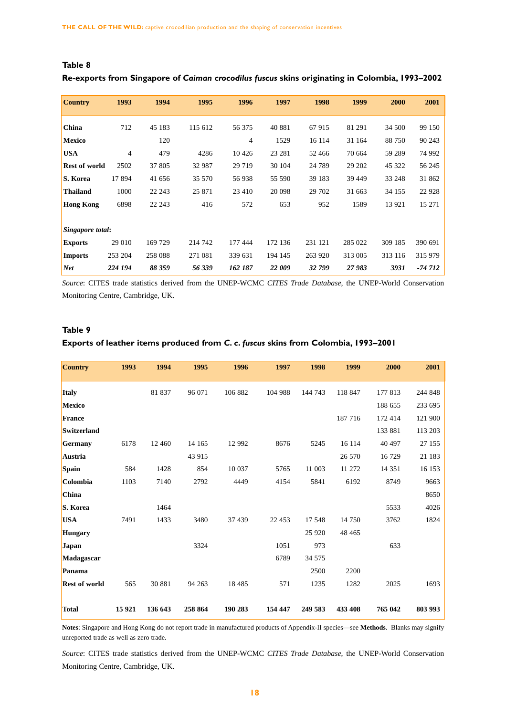| <b>Country</b>       | 1993           | 1994    | 1995    | 1996    | 1997    | 1998    | 1999    | 2000    | 2001     |
|----------------------|----------------|---------|---------|---------|---------|---------|---------|---------|----------|
|                      |                |         |         |         |         |         |         |         |          |
| China                | 712            | 45 183  | 115 612 | 56 375  | 40 881  | 67915   | 81 291  | 34 500  | 99 150   |
| <b>Mexico</b>        |                | 120     |         | 4       | 1529    | 16 114  | 31 164  | 88 750  | 90 243   |
| <b>USA</b>           | $\overline{4}$ | 479     | 4286    | 10 4 26 | 23 28 1 | 52 466  | 70 664  | 59 289  | 74 992   |
| <b>Rest of world</b> | 2502           | 37 805  | 32 987  | 29 7 19 | 30 104  | 24 7 89 | 29 202  | 45 322  | 56 245   |
| S. Korea             | 17894          | 41 656  | 35 570  | 56 938  | 55 590  | 39 183  | 39 449  | 33 248  | 31 862   |
| <b>Thailand</b>      | 1000           | 22 243  | 25 871  | 23 4 10 | 20 098  | 29 702  | 31 663  | 34 155  | 22 9 28  |
| <b>Hong Kong</b>     | 6898           | 22 243  | 416     | 572     | 653     | 952     | 1589    | 13 9 21 | 15 27 1  |
|                      |                |         |         |         |         |         |         |         |          |
| Singapore total:     |                |         |         |         |         |         |         |         |          |
| <b>Exports</b>       | 29 010         | 169 729 | 214 742 | 177 444 | 172 136 | 231 121 | 285 022 | 309 185 | 390 691  |
| <b>Imports</b>       | 253 204        | 258 088 | 271 081 | 339 631 | 194 145 | 263 920 | 313 005 | 313 116 | 315 979  |
| <b>Net</b>           | 224 194        | 88 359  | 56 339  | 162 187 | 22 009  | 32 799  | 27983   | 3931    | $-74712$ |

# **Re-exports from Singapore of** *Caiman crocodilus fuscus* **skins originating in Colombia, 1993–2002**

*Source*: CITES trade statistics derived from the UNEP-WCMC *CITES Trade Database*, the UNEP-World Conservation Monitoring Centre, Cambridge, UK.

# **Table 9**

**Table 8** 

## **Exports of leather items produced from** *C. c. fuscus* **skins from Colombia, 1993–2001**

| <b>Country</b>       | 1993    | 1994    | 1995    | 1996     | 1997    | 1998    | 1999    | 2000     | 2001    |
|----------------------|---------|---------|---------|----------|---------|---------|---------|----------|---------|
| <b>Italy</b>         |         | 81 837  | 96 071  | 106 882  | 104 988 | 144 743 | 118 847 | 177813   | 244 848 |
| <b>Mexico</b>        |         |         |         |          |         |         |         | 188 655  | 233 695 |
| France               |         |         |         |          |         |         | 187 716 | 172 414  | 121 900 |
| <b>Switzerland</b>   |         |         |         |          |         |         |         | 133 881  | 113 203 |
| <b>Germany</b>       | 6178    | 12 460  | 14 165  | 12 992   | 8676    | 5245    | 16 114  | 40 497   | 27 155  |
| Austria              |         |         | 43 915  |          |         |         | 26 570  | 16729    | 21 183  |
| Spain                | 584     | 1428    | 854     | 10 037   | 5765    | 11 003  | 11 272  | 14 3 5 1 | 16 153  |
| Colombia             | 1103    | 7140    | 2792    | 4449     | 4154    | 5841    | 6192    | 8749     | 9663    |
| <b>China</b>         |         |         |         |          |         |         |         |          | 8650    |
| S. Korea             |         | 1464    |         |          |         |         |         | 5533     | 4026    |
| <b>USA</b>           | 7491    | 1433    | 3480    | 37 439   | 22 453  | 17 548  | 14 750  | 3762     | 1824    |
| <b>Hungary</b>       |         |         |         |          |         | 25 9 20 | 48 4 65 |          |         |
| Japan                |         |         | 3324    |          | 1051    | 973     |         | 633      |         |
| Madagascar           |         |         |         |          | 6789    | 34 575  |         |          |         |
| Panama               |         |         |         |          |         | 2500    | 2200    |          |         |
| <b>Rest of world</b> | 565     | 30 881  | 94 263  | 18 4 8 5 | 571     | 1235    | 1282    | 2025     | 1693    |
| <b>Total</b>         | 15 9 21 | 136 643 | 258 864 | 190 283  | 154 447 | 249 583 | 433 408 | 765 042  | 803 993 |

**Notes**: Singapore and Hong Kong do not report trade in manufactured products of Appendix-II species—see **Methods**. Blanks may signify unreported trade as well as zero trade.

*Source*: CITES trade statistics derived from the UNEP-WCMC *CITES Trade Database*, the UNEP-World Conservation Monitoring Centre, Cambridge, UK.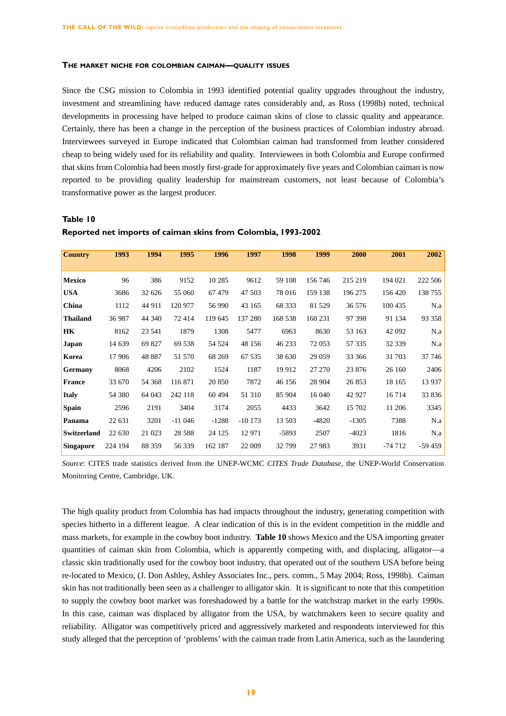#### **THE MARKET NICHE FOR COLOMBIAN CAIMAN—QUALITY ISSUES**

Since the CSG mission to Colombia in 1993 identified potential quality upgrades throughout the industry, investment and streamlining have reduced damage rates considerably and, as Ross (1998b) noted, technical developments in processing have helped to produce caiman skins of close to classic quality and appearance. Certainly, there has been a change in the perception of the business practices of Colombian industry abroad. Interviewees surveyed in Europe indicated that Colombian caiman had transformed from leather considered cheap to being widely used for its reliability and quality. Interviewees in both Colombia and Europe confirmed that skins from Colombia had been mostly first-grade for approximately five years and Colombian caiman is now reported to be providing quality leadership for mainstream customers, not least because of Colombia's transformative power as the largest producer.

## **Table 10**

| <b>Country</b>     | 1993    | 1994   | 1995     | 1996    | 1997      | 1998    | 1999    | 2000    | 2001     | 2002     |
|--------------------|---------|--------|----------|---------|-----------|---------|---------|---------|----------|----------|
|                    |         |        |          |         |           |         |         |         |          |          |
| <b>Mexico</b>      | 96      | 386    | 9152     | 10 285  | 9612      | 59 108  | 156 746 | 215 219 | 194 021  | 222 506  |
| <b>USA</b>         | 3686    | 32 626 | 55 060   | 67479   | 47 503    | 78 016  | 159 138 | 196 275 | 156 420  | 138 755  |
| China              | 1112    | 44 911 | 120 977  | 56 990  | 43 165    | 68 333  | 81 529  | 36 576  | 100 435  | N.a      |
| <b>Thailand</b>    | 36 987  | 44 340 | 72 414   | 119 645 | 137 280   | 168 538 | 160 231 | 97 398  | 91 134   | 93 358   |
| <b>HK</b>          | 8162    | 23 541 | 1879     | 1308    | 5477      | 6963    | 8630    | 53 163  | 42 092   | N.a      |
| <b>Japan</b>       | 14 639  | 69 827 | 69 538   | 54 5 24 | 48 156    | 46 233  | 72 053  | 57 335  | 32 339   | N.a      |
| Korea              | 17 906  | 48 887 | 51 570   | 68 269  | 67 535    | 38 630  | 29 0 59 | 33 366  | 31 703   | 37 746   |
| <b>Germany</b>     | 8068    | 4206   | 2102     | 1524    | 1187      | 19 912  | 27 270  | 23 876  | 26 160   | 2406     |
| France             | 33 670  | 54 368 | 116 871  | 20 850  | 7872      | 46 156  | 28 904  | 26 853  | 18 165   | 13 9 37  |
| <b>Italy</b>       | 54 380  | 64 043 | 242 118  | 60 4 94 | 51 310    | 85 904  | 16 040  | 42 927  | 16 7 14  | 33 836   |
| <b>Spain</b>       | 2596    | 2191   | 3404     | 3174    | 2055      | 4433    | 3642    | 15 702  | 11 206   | 3345     |
| Panama             | 22 631  | 3201   | $-11046$ | $-1288$ | $-10$ 173 | 13 503  | $-4820$ | $-1305$ | 7388     | N.a      |
| <b>Switzerland</b> | 22 630  | 21 023 | 28 5 88  | 24 1 25 | 12 971    | $-5893$ | 2507    | $-4023$ | 1816     | N.a      |
| <b>Singapore</b>   | 224 194 | 88 359 | 56 339   | 162 187 | 22 009    | 32 799  | 27 983  | 3931    | $-74712$ | $-59459$ |

## **Reported net imports of caiman skins from Colombia, 1993-2002**

*Source*: CITES trade statistics derived from the UNEP-WCMC *CITES Trade Database*, the UNEP-World Conservation Monitoring Centre, Cambridge, UK.

The high quality product from Colombia has had impacts throughout the industry, generating competition with species hitherto in a different league. A clear indication of this is in the evident competition in the middle and mass markets, for example in the cowboy boot industry. **Table 10** shows Mexico and the USA importing greater quantities of caiman skin from Colombia, which is apparently competing with, and displacing, alligator—a classic skin traditionally used for the cowboy boot industry, that operated out of the southern USA before being re-located to Mexico, (J. Don Ashley, Ashley Associates Inc., pers. comm*.*, 5 May 2004; Ross, 1998b). Caiman skin has not traditionally been seen as a challenger to alligator skin. It is significant to note that this competition to supply the cowboy boot market was foreshadowed by a battle for the watchstrap market in the early 1990s. In this case, caiman was displaced by alligator from the USA, by watchmakers keen to secure quality and reliability. Alligator was competitively priced and aggressively marketed and respondents interviewed for this study alleged that the perception of 'problems' with the caiman trade from Latin America, such as the laundering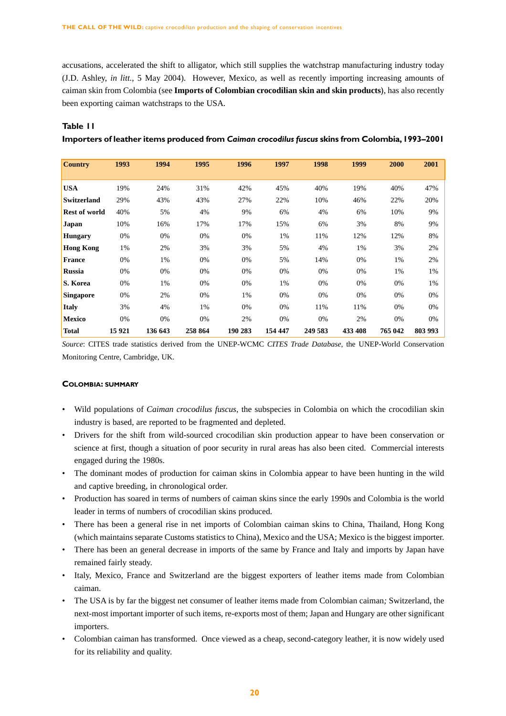accusations, accelerated the shift to alligator, which still supplies the watchstrap manufacturing industry today (J.D. Ashley, *in litt.*, 5 May 2004). However, Mexico, as well as recently importing increasing amounts of caiman skin from Colombia (see **Imports of Colombian crocodilian skin and skin products**), has also recently been exporting caiman watchstraps to the USA.

# **Table 11**

**Importers of leather items produced from** *Caiman crocodilus fuscus* **skins from Colombia,1993–2001**

| <b>Country</b>       | 1993    | 1994    | 1995    | 1996    | 1997    | 1998    | 1999    | 2000    | 2001    |
|----------------------|---------|---------|---------|---------|---------|---------|---------|---------|---------|
|                      |         |         |         |         |         |         |         |         |         |
| <b>USA</b>           | 19%     | 24%     | 31%     | 42%     | 45%     | 40%     | 19%     | 40%     | 47%     |
| <b>Switzerland</b>   | 29%     | 43%     | 43%     | 27%     | 22%     | 10%     | 46%     | 22%     | 20%     |
| <b>Rest of world</b> | 40%     | 5%      | 4%      | 9%      | 6%      | 4%      | 6%      | 10%     | 9%      |
| Japan                | 10%     | 16%     | 17%     | 17%     | 15%     | 6%      | 3%      | 8%      | 9%      |
| <b>Hungary</b>       | 0%      | 0%      | 0%      | 0%      | 1%      | 11%     | 12%     | 12%     | 8%      |
| <b>Hong Kong</b>     | 1%      | 2%      | 3%      | 3%      | 5%      | 4%      | 1%      | 3%      | 2%      |
| <b>France</b>        | 0%      | 1%      | 0%      | 0%      | 5%      | 14%     | 0%      | 1%      | 2%      |
| <b>Russia</b>        | 0%      | 0%      | 0%      | 0%      | 0%      | 0%      | 0%      | 1%      | 1%      |
| S. Korea             | 0%      | 1%      | 0%      | 0%      | 1%      | 0%      | 0%      | 0%      | 1%      |
| <b>Singapore</b>     | 0%      | 2%      | 0%      | 1%      | 0%      | 0%      | 0%      | 0%      | 0%      |
| <b>Italy</b>         | 3%      | 4%      | 1%      | 0%      | 0%      | 11%     | 11%     | 0%      | 0%      |
| <b>Mexico</b>        | 0%      | 0%      | 0%      | 2%      | 0%      | 0%      | 2%      | 0%      | 0%      |
| <b>Total</b>         | 15 9 21 | 136 643 | 258 864 | 190 283 | 154 447 | 249 583 | 433 408 | 765 042 | 803 993 |

*Source*: CITES trade statistics derived from the UNEP-WCMC *CITES Trade Database*, the UNEP-World Conservation Monitoring Centre, Cambridge, UK.

### **COLOMBIA: SUMMARY**

- Wild populations of *Caiman crocodilus fuscus*, the subspecies in Colombia on which the crocodilian skin industry is based, are reported to be fragmented and depleted.
- Drivers for the shift from wild-sourced crocodilian skin production appear to have been conservation or science at first, though a situation of poor security in rural areas has also been cited. Commercial interests engaged during the 1980s.
- The dominant modes of production for caiman skins in Colombia appear to have been hunting in the wild and captive breeding, in chronological order.
- Production has soared in terms of numbers of caiman skins since the early 1990s and Colombia is the world leader in terms of numbers of crocodilian skins produced.
- There has been a general rise in net imports of Colombian caiman skins to China, Thailand, Hong Kong (which maintains separate Customs statistics to China), Mexico and the USA; Mexico is the biggest importer.
- There has been an general decrease in imports of the same by France and Italy and imports by Japan have remained fairly steady.
- Italy, Mexico, France and Switzerland are the biggest exporters of leather items made from Colombian caiman.
- The USA is by far the biggest net consumer of leather items made from Colombian caiman*;* Switzerland, the next-most important importer of such items, re-exports most of them; Japan and Hungary are other significant importers.
- Colombian caiman has transformed. Once viewed as a cheap, second-category leather, it is now widely used for its reliability and quality.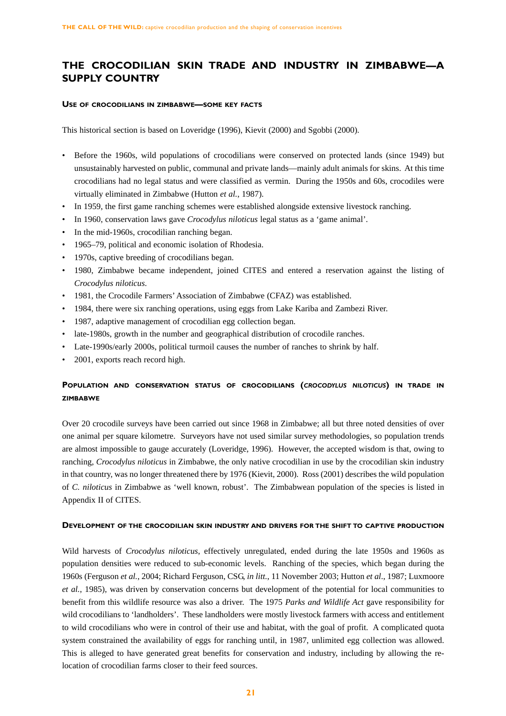# **THE CROCODILIAN SKIN TRADE AND INDUSTRY IN ZIMBABWE—A SUPPLY COUNTRY**

#### **USE OF CROCODILIANS IN ZIMBABWE—SOME KEY FACTS**

This historical section is based on Loveridge (1996), Kievit (2000) and Sgobbi (2000).

- Before the 1960s, wild populations of crocodilians were conserved on protected lands (since 1949) but unsustainably harvested on public, communal and private lands—mainly adult animals for skins. At this time crocodilians had no legal status and were classified as vermin. During the 1950s and 60s, crocodiles were virtually eliminated in Zimbabwe (Hutton *et al.*, 1987).
- In 1959, the first game ranching schemes were established alongside extensive livestock ranching.
- In 1960, conservation laws gave *Crocodylus niloticus* legal status as a 'game animal'.
- In the mid-1960s, crocodilian ranching began.
- 1965–79, political and economic isolation of Rhodesia.
- 1970s, captive breeding of crocodilians began.
- 1980, Zimbabwe became independent, joined CITES and entered a reservation against the listing of *Crocodylus niloticus*.
- 1981, the Crocodile Farmers' Association of Zimbabwe (CFAZ) was established.
- 1984, there were six ranching operations, using eggs from Lake Kariba and Zambezi River.
- 1987, adaptive management of crocodilian egg collection began.
- late-1980s, growth in the number and geographical distribution of crocodile ranches.
- Late-1990s/early 2000s, political turmoil causes the number of ranches to shrink by half.
- 2001, exports reach record high.

# **POPULATION AND CONSERVATION STATUS OF CROCODILIANS (***CROCODYLUS NILOTICUS***) IN TRADE IN ZIMBABWE**

Over 20 crocodile surveys have been carried out since 1968 in Zimbabwe; all but three noted densities of over one animal per square kilometre. Surveyors have not used similar survey methodologies, so population trends are almost impossible to gauge accurately (Loveridge, 1996). However, the accepted wisdom is that, owing to ranching, *Crocodylus niloticus* in Zimbabwe, the only native crocodilian in use by the crocodilian skin industry in that country, was no longer threatened there by 1976 (Kievit, 2000). Ross (2001) describes the wild population of *C. niloticus* in Zimbabwe as 'well known, robust'. The Zimbabwean population of the species is listed in Appendix II of CITES.

## **DEVELOPMENT OF THE CROCODILIAN SKIN INDUSTRY AND DRIVERS FOR THE SHIFT TO CAPTIVE PRODUCTION**

Wild harvests of *Crocodylus niloticus*, effectively unregulated, ended during the late 1950s and 1960s as population densities were reduced to sub-economic levels. Ranching of the species, which began during the 1960s (Ferguson *et al.*, 2004; Richard Ferguson, CSG, *in litt.*, 11 November 2003; Hutton *et al*., 1987; Luxmoore *et al.*, 1985), was driven by conservation concerns but development of the potential for local communities to benefit from this wildlife resource was also a driver. The 1975 *Parks and Wildlife Act* gave responsibility for wild crocodilians to 'landholders'. These landholders were mostly livestock farmers with access and entitlement to wild crocodilians who were in control of their use and habitat, with the goal of profit. A complicated quota system constrained the availability of eggs for ranching until, in 1987, unlimited egg collection was allowed. This is alleged to have generated great benefits for conservation and industry, including by allowing the relocation of crocodilian farms closer to their feed sources.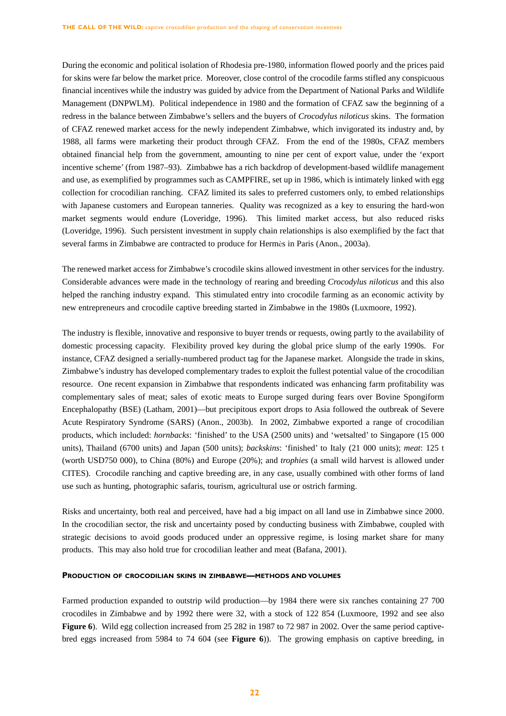During the economic and political isolation of Rhodesia pre-1980, information flowed poorly and the prices paid for skins were far below the market price. Moreover, close control of the crocodile farms stifled any conspicuous financial incentives while the industry was guided by advice from the Department of National Parks and Wildlife Management (DNPWLM). Political independence in 1980 and the formation of CFAZ saw the beginning of a redress in the balance between Zimbabwe's sellers and the buyers of *Crocodylus niloticus* skins. The formation of CFAZ renewed market access for the newly independent Zimbabwe, which invigorated its industry and, by 1988, all farms were marketing their product through CFAZ. From the end of the 1980s, CFAZ members obtained financial help from the government, amounting to nine per cent of export value, under the 'export incentive scheme' (from 1987–93). Zimbabwe has a rich backdrop of development-based wildlife management and use, as exemplified by programmes such as CAMPFIRE, set up in 1986, which is intimately linked with egg collection for crocodilian ranching. CFAZ limited its sales to preferred customers only, to embed relationships with Japanese customers and European tanneries. Quality was recognized as a key to ensuring the hard-won market segments would endure (Loveridge, 1996). This limited market access, but also reduced risks (Loveridge, 1996). Such persistent investment in supply chain relationships is also exemplified by the fact that several farms in Zimbabwe are contracted to produce for Hermès in Paris (Anon., 2003a).

The renewed market access for Zimbabwe's crocodile skins allowed investment in other services for the industry. Considerable advances were made in the technology of rearing and breeding *Crocodylus niloticus* and this also helped the ranching industry expand. This stimulated entry into crocodile farming as an economic activity by new entrepreneurs and crocodile captive breeding started in Zimbabwe in the 1980s (Luxmoore, 1992).

The industry is flexible, innovative and responsive to buyer trends or requests, owing partly to the availability of domestic processing capacity. Flexibility proved key during the global price slump of the early 1990s. For instance, CFAZ designed a serially-numbered product tag for the Japanese market. Alongside the trade in skins, Zimbabwe's industry has developed complementary trades to exploit the fullest potential value of the crocodilian resource. One recent expansion in Zimbabwe that respondents indicated was enhancing farm profitability was complementary sales of meat; sales of exotic meats to Europe surged during fears over Bovine Spongiform Encephalopathy (BSE) (Latham, 2001)—but precipitous export drops to Asia followed the outbreak of Severe Acute Respiratory Syndrome (SARS) (Anon., 2003b). In 2002, Zimbabwe exported a range of crocodilian products, which included: *hornbacks*: 'finished' to the USA (2500 units) and 'wetsalted' to Singapore (15 000 units), Thailand (6700 units) and Japan (500 units); *backskins*: 'finished' to Italy (21 000 units); *meat*: 125 t (worth USD750 000), to China (80%) and Europe (20%); and *trophies* (a small wild harvest is allowed under CITES). Crocodile ranching and captive breeding are, in any case, usually combined with other forms of land use such as hunting, photographic safaris, tourism, agricultural use or ostrich farming.

Risks and uncertainty, both real and perceived, have had a big impact on all land use in Zimbabwe since 2000. In the crocodilian sector, the risk and uncertainty posed by conducting business with Zimbabwe, coupled with strategic decisions to avoid goods produced under an oppressive regime, is losing market share for many products. This may also hold true for crocodilian leather and meat (Bafana, 2001).

#### **PRODUCTION OF CROCODILIAN SKINS IN ZIMBABWE—METHODS AND VOLUMES**

Farmed production expanded to outstrip wild production—by 1984 there were six ranches containing 27 700 crocodiles in Zimbabwe and by 1992 there were 32, with a stock of 122 854 (Luxmoore, 1992 and see also **Figure 6**). Wild egg collection increased from 25 282 in 1987 to 72 987 in 2002. Over the same period captivebred eggs increased from 5984 to 74 604 (see **Figure 6**)). The growing emphasis on captive breeding, in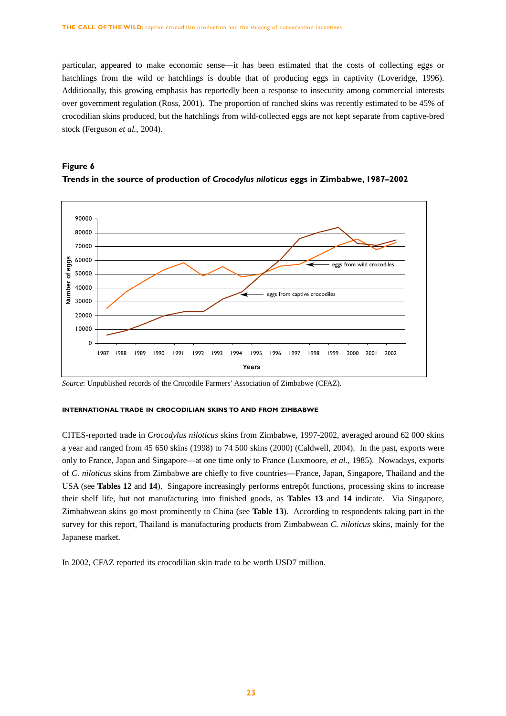particular, appeared to make economic sense—it has been estimated that the costs of collecting eggs or hatchlings from the wild or hatchlings is double that of producing eggs in captivity (Loveridge, 1996). Additionally, this growing emphasis has reportedly been a response to insecurity among commercial interests over government regulation (Ross, 2001). The proportion of ranched skins was recently estimated to be 45% of crocodilian skins produced, but the hatchlings from wild-collected eggs are not kept separate from captive-bred stock (Ferguson *et al.*, 2004).





*Source*: Unpublished records of the Crocodile Farmers' Association of Zimbabwe (CFAZ).

#### **INTERNATIONAL TRADE IN CROCODILIAN SKINS TO AND FROM ZIMBABWE**

CITES-reported trade in *Crocodylus niloticus* skins from Zimbabwe, 1997-2002, averaged around 62 000 skins a year and ranged from 45 650 skins (1998) to 74 500 skins (2000) (Caldwell, 2004). In the past, exports were only to France, Japan and Singapore—at one time only to France (Luxmoore, *et al*., 1985). Nowadays, exports of *C. niloticus* skins from Zimbabwe are chiefly to five countries—France, Japan, Singapore, Thailand and the USA (see **Tables 12** and **14**). Singapore increasingly performs entrepôt functions, processing skins to increase their shelf life, but not manufacturing into finished goods, as **Tables 13** and **14** indicate. Via Singapore, Zimbabwean skins go most prominently to China (see **Table 13**). According to respondents taking part in the survey for this report, Thailand is manufacturing products from Zimbabwean *C. niloticus* skins, mainly for the Japanese market.

In 2002, CFAZ reported its crocodilian skin trade to be worth USD7 million.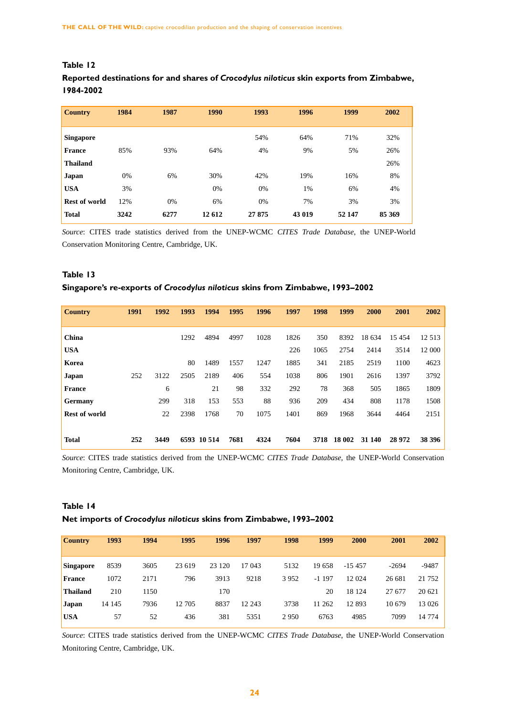| <b>Country</b>       | 1984 | 1987 | 1990   | 1993   | 1996   | 1999   | 2002   |
|----------------------|------|------|--------|--------|--------|--------|--------|
|                      |      |      |        |        |        |        |        |
| <b>Singapore</b>     |      |      |        | 54%    | 64%    | 71%    | 32%    |
| <b>France</b>        | 85%  | 93%  | 64%    | 4%     | 9%     | 5%     | 26%    |
| <b>Thailand</b>      |      |      |        |        |        |        | 26%    |
| Japan                | 0%   | 6%   | 30%    | 42%    | 19%    | 16%    | 8%     |
| <b>USA</b>           | 3%   |      | 0%     | 0%     | 1%     | 6%     | 4%     |
| <b>Rest of world</b> | 12%  | 0%   | 6%     | 0%     | 7%     | 3%     | 3%     |
| <b>Total</b>         | 3242 | 6277 | 12 612 | 27 875 | 43 019 | 52 147 | 85 369 |

# **Table 12**

# **Reported destinations for and shares of** *Crocodylus niloticus* **skin exports from Zimbabwe, 1984-2002**

*Source*: CITES trade statistics derived from the UNEP-WCMC *CITES Trade Database*, the UNEP-World Conservation Monitoring Centre, Cambridge, UK.

# **Table 13**

# **Singapore's re-exports of** *Crocodylus niloticus* **skins from Zimbabwe, 1993–2002**

| <b>Country</b>       | 1991 | 1992 | 1993 | 1994        | 1995 | 1996 | 1997 | 1998 | 1999   | 2000   | 2001     | 2002    |
|----------------------|------|------|------|-------------|------|------|------|------|--------|--------|----------|---------|
|                      |      |      |      |             |      |      |      |      |        |        |          |         |
| China                |      |      | 1292 | 4894        | 4997 | 1028 | 1826 | 350  | 8392   | 18 634 | 15 4 5 4 | 12 5 13 |
| <b>USA</b>           |      |      |      |             |      |      | 226  | 1065 | 2754   | 2414   | 3514     | 12 000  |
| Korea                |      |      | 80   | 1489        | 1557 | 1247 | 1885 | 341  | 2185   | 2519   | 1100     | 4623    |
| Japan                | 252  | 3122 | 2505 | 2189        | 406  | 554  | 1038 | 806  | 1901   | 2616   | 1397     | 3792    |
| <b>France</b>        |      | 6    |      | 21          | 98   | 332  | 292  | 78   | 368    | 505    | 1865     | 1809    |
| <b>Germany</b>       |      | 299  | 318  | 153         | 553  | 88   | 936  | 209  | 434    | 808    | 1178     | 1508    |
| <b>Rest of world</b> |      | 22   | 2398 | 1768        | 70   | 1075 | 1401 | 869  | 1968   | 3644   | 4464     | 2151    |
|                      |      |      |      |             |      |      |      |      |        |        |          |         |
| <b>Total</b>         | 252  | 3449 |      | 6593 10 514 | 7681 | 4324 | 7604 | 3718 | 18 002 | 31 140 | 28 9 72  | 38 39 6 |

*Source*: CITES trade statistics derived from the UNEP-WCMC *CITES Trade Database*, the UNEP-World Conservation Monitoring Centre, Cambridge, UK.

# **Table 14**

## **Net imports of** *Crocodylus niloticus* **skins from Zimbabwe, 1993–2002**

| <b>Country</b>  | 1993   | 1994 | 1995   | 1996    | 1997   | 1998    | 1999    | 2000     | 2001    | 2002    |
|-----------------|--------|------|--------|---------|--------|---------|---------|----------|---------|---------|
| Singapore       | 8539   | 3605 | 23 619 | 23 1 20 | 17 043 | 5132    | 19 658  | $-15457$ | $-2694$ | $-9487$ |
| <b>France</b>   | 1072   | 2171 | 796    | 3913    | 9218   | 3952    | $-1197$ | 12 024   | 26 681  | 21 752  |
| <b>Thailand</b> | 210    | 1150 |        | 170     |        |         | 20      | 18 124   | 27 677  | 20 621  |
| <b>Japan</b>    | 14 145 | 7936 | 12 705 | 8837    | 12 243 | 3738    | 11 262  | 12 893   | 10 679  | 13 0 26 |
| <b>USA</b>      | 57     | 52   | 436    | 381     | 5351   | 2 9 5 0 | 6763    | 4985     | 7099    | 14 774  |
|                 |        |      |        |         |        |         |         |          |         |         |

*Source*: CITES trade statistics derived from the UNEP-WCMC *CITES Trade Database*, the UNEP-World Conservation Monitoring Centre, Cambridge, UK.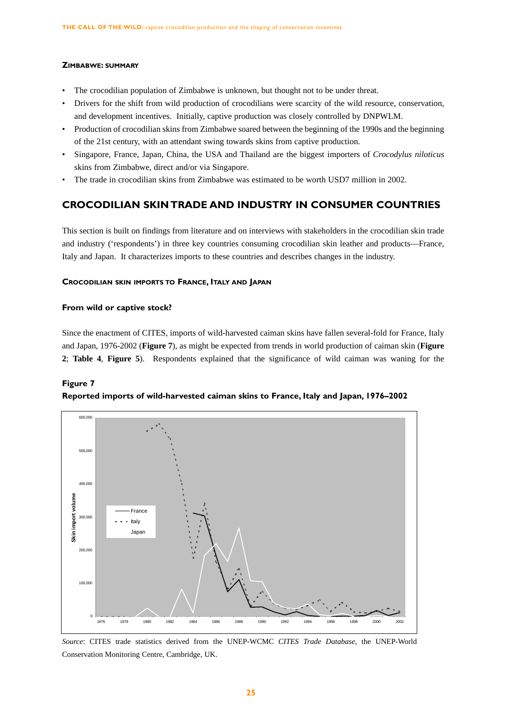## **ZIMBABWE: SUMMARY**

- The crocodilian population of Zimbabwe is unknown, but thought not to be under threat.
- Drivers for the shift from wild production of crocodilians were scarcity of the wild resource, conservation, and development incentives. Initially, captive production was closely controlled by DNPWLM.
- Production of crocodilian skins from Zimbabwe soared between the beginning of the 1990s and the beginning of the 21st century, with an attendant swing towards skins from captive production.
- Singapore, France, Japan, China, the USA and Thailand are the biggest importers of *Crocodylus niloticus* skins from Zimbabwe, direct and/or via Singapore.
- The trade in crocodilian skins from Zimbabwe was estimated to be worth USD7 million in 2002.

# **CROCODILIAN SKIN TRADE AND INDUSTRY IN CONSUMER COUNTRIES**

This section is built on findings from literature and on interviews with stakeholders in the crocodilian skin trade and industry ('respondents') in three key countries consuming crocodilian skin leather and products—France, Italy and Japan. It characterizes imports to these countries and describes changes in the industry.

# **CROCODILIAN SKIN IMPORTS TO FRANCE, ITALY AND JAPAN**

## **From wild or captive stock?**

Since the enactment of CITES, imports of wild-harvested caiman skins have fallen several-fold for France, Italy and Japan, 1976-2002 (**Figure 7**), as might be expected from trends in world production of caiman skin (**Figure 2**; **Table 4**, **Figure 5**). Respondents explained that the significance of wild caiman was waning for the

# **Figure 7 Reported imports of wild-harvested caiman skins to France, Italy and Japan, 1976–2002**



*Source*: CITES trade statistics derived from the UNEP-WCMC *CITES Trade Database*, the UNEP-World Conservation Monitoring Centre, Cambridge, UK.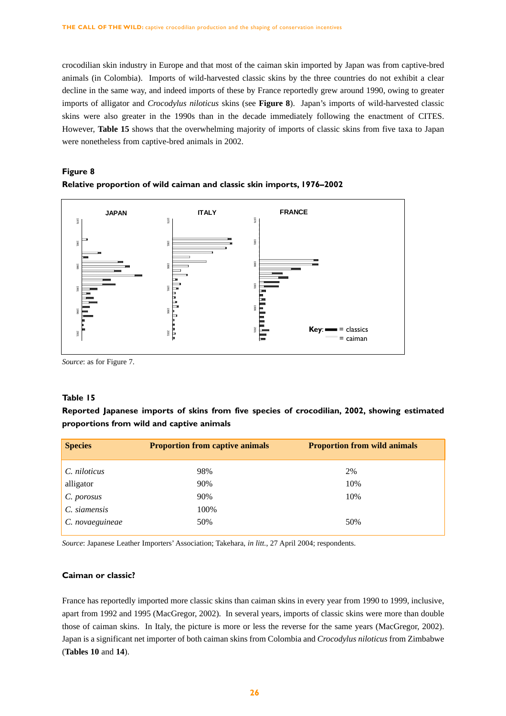crocodilian skin industry in Europe and that most of the caiman skin imported by Japan was from captive-bred animals (in Colombia). Imports of wild-harvested classic skins by the three countries do not exhibit a clear decline in the same way, and indeed imports of these by France reportedly grew around 1990, owing to greater imports of alligator and *Crocodylus niloticus* skins (see **Figure 8**). Japan's imports of wild-harvested classic skins were also greater in the 1990s than in the decade immediately following the enactment of CITES. However, **Table 15** shows that the overwhelming majority of imports of classic skins from five taxa to Japan were nonetheless from captive-bred animals in 2002.

# **Figure 8 Relative proportion of wild caiman and classic skin imports, 1976–2002**



*Source*: as for Figure 7.

# **Table 15**

**Reported Japanese imports of skins from five species of crocodilian, 2002, showing estimated proportions from wild and captive animals**

| <b>Species</b>  | <b>Proportion from captive animals</b> | <b>Proportion from wild animals</b> |
|-----------------|----------------------------------------|-------------------------------------|
| C. niloticus    | 98%                                    | 2%                                  |
| alligator       | 90%                                    | 10%                                 |
| C. porosus      | 90%                                    | 10%                                 |
| C. siamensis    | 100%                                   |                                     |
| C. novaeguineae | 50%                                    | 50%                                 |

*Source*: Japanese Leather Importers' Association; Takehara, *in litt.*, 27 April 2004; respondents.

## **Caiman or classic?**

France has reportedly imported more classic skins than caiman skins in every year from 1990 to 1999, inclusive, apart from 1992 and 1995 (MacGregor, 2002). In several years, imports of classic skins were more than double those of caiman skins. In Italy, the picture is more or less the reverse for the same years (MacGregor, 2002). Japan is a significant net importer of both caiman skins from Colombia and *Crocodylus niloticus* from Zimbabwe (**Tables 10** and **14**).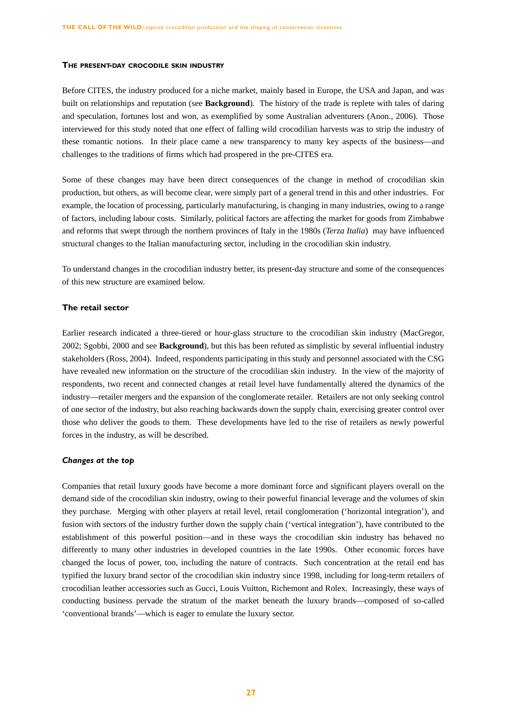#### **THE PRESENT-DAY CROCODILE SKIN INDUSTRY**

Before CITES, the industry produced for a niche market, mainly based in Europe, the USA and Japan, and was built on relationships and reputation (see **Background**). The history of the trade is replete with tales of daring and speculation, fortunes lost and won, as exemplified by some Australian adventurers (Anon., 2006). Those interviewed for this study noted that one effect of falling wild crocodilian harvests was to strip the industry of these romantic notions. In their place came a new transparency to many key aspects of the business—and challenges to the traditions of firms which had prospered in the pre-CITES era.

Some of these changes may have been direct consequences of the change in method of crocodilian skin production, but others, as will become clear, were simply part of a general trend in this and other industries. For example, the location of processing, particularly manufacturing, is changing in many industries, owing to a range of factors, including labour costs. Similarly, political factors are affecting the market for goods from Zimbabwe and reforms that swept through the northern provinces of Italy in the 1980s (*Terza Italia*) may have influenced structural changes to the Italian manufacturing sector, including in the crocodilian skin industry.

To understand changes in the crocodilian industry better, its present-day structure and some of the consequences of this new structure are examined below.

#### **The retail sector**

Earlier research indicated a three-tiered or hour-glass structure to the crocodilian skin industry (MacGregor, 2002; Sgobbi, 2000 and see **Background**), but this has been refuted as simplistic by several influential industry stakeholders (Ross, 2004). Indeed, respondents participating in this study and personnel associated with the CSG have revealed new information on the structure of the crocodilian skin industry. In the view of the majority of respondents, two recent and connected changes at retail level have fundamentally altered the dynamics of the industry—retailer mergers and the expansion of the conglomerate retailer. Retailers are not only seeking control of one sector of the industry, but also reaching backwards down the supply chain, exercising greater control over those who deliver the goods to them. These developments have led to the rise of retailers as newly powerful forces in the industry, as will be described.

## *Changes at the top*

Companies that retail luxury goods have become a more dominant force and significant players overall on the demand side of the crocodilian skin industry, owing to their powerful financial leverage and the volumes of skin they purchase. Merging with other players at retail level, retail conglomeration ('horizontal integration'), and fusion with sectors of the industry further down the supply chain ('vertical integration'), have contributed to the establishment of this powerful position—and in these ways the crocodilian skin industry has behaved no differently to many other industries in developed countries in the late 1990s. Other economic forces have changed the locus of power, too, including the nature of contracts. Such concentration at the retail end has typified the luxury brand sector of the crocodilian skin industry since 1998, including for long-term retailers of crocodilian leather accessories such as Gucci, Louis Vuitton, Richemont and Rolex. Increasingly, these ways of conducting business pervade the stratum of the market beneath the luxury brands—composed of so-called 'conventional brands'—which is eager to emulate the luxury sector.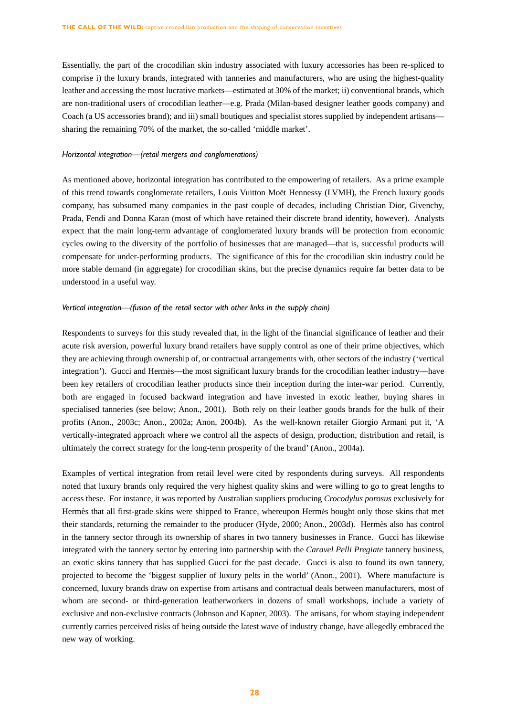Essentially, the part of the crocodilian skin industry associated with luxury accessories has been re-spliced to comprise i) the luxury brands, integrated with tanneries and manufacturers, who are using the highest-quality leather and accessing the most lucrative markets—estimated at 30% of the market; ii) conventional brands, which are non-traditional users of crocodilian leather—e.g. Prada (Milan-based designer leather goods company) and Coach (a US accessories brand); and iii) small boutiques and specialist stores supplied by independent artisans sharing the remaining 70% of the market, the so-called 'middle market'.

#### *Horizontal integration—(retail mergers and conglomerations)*

As mentioned above, horizontal integration has contributed to the empowering of retailers. As a prime example of this trend towards conglomerate retailers, Louis Vuitton Moët Hennessy (LVMH), the French luxury goods company, has subsumed many companies in the past couple of decades, including Christian Dior, Givenchy, Prada, Fendi and Donna Karan (most of which have retained their discrete brand identity, however). Analysts expect that the main long-term advantage of conglomerated luxury brands will be protection from economic cycles owing to the diversity of the portfolio of businesses that are managed—that is, successful products will compensate for under-performing products. The significance of this for the crocodilian skin industry could be more stable demand (in aggregate) for crocodilian skins, but the precise dynamics require far better data to be understood in a useful way.

#### *Vertical integration—(fusion of the retail sector with other links in the supply chain)*

Respondents to surveys for this study revealed that, in the light of the financial significance of leather and their acute risk aversion, powerful luxury brand retailers have supply control as one of their prime objectives, which they are achieving through ownership of, or contractual arrangements with, other sectors of the industry ('vertical integration'). Gucci and Hermès—the most significant luxury brands for the crocodilian leather industry—have been key retailers of crocodilian leather products since their inception during the inter-war period. Currently, both are engaged in focused backward integration and have invested in exotic leather, buying shares in specialised tanneries (see below; Anon., 2001). Both rely on their leather goods brands for the bulk of their profits (Anon., 2003c; Anon., 2002a; Anon, 2004b). As the well-known retailer Giorgio Armani put it, 'A vertically-integrated approach where we control all the aspects of design, production, distribution and retail, is ultimately the correct strategy for the long-term prosperity of the brand' (Anon., 2004a).

Examples of vertical integration from retail level were cited by respondents during surveys. All respondents noted that luxury brands only required the very highest quality skins and were willing to go to great lengths to access these. For instance, it was reported by Australian suppliers producing *Crocodylus porosus* exclusively for Hermès that all first-grade skins were shipped to France, whereupon Hermès bought only those skins that met their standards, returning the remainder to the producer (Hyde, 2000; Anon., 2003d). Hermès also has control in the tannery sector through its ownership of shares in two tannery businesses in France. Gucci has likewise integrated with the tannery sector by entering into partnership with the *Caravel Pelli Pregiate* tannery business, an exotic skins tannery that has supplied Gucci for the past decade. Gucci is also to found its own tannery, projected to become the 'biggest supplier of luxury pelts in the world' (Anon., 2001). Where manufacture is concerned, luxury brands draw on expertise from artisans and contractual deals between manufacturers, most of whom are second- or third-generation leatherworkers in dozens of small workshops, include a variety of exclusive and non-exclusive contracts (Johnson and Kapner, 2003). The artisans, for whom staying independent currently carries perceived risks of being outside the latest wave of industry change, have allegedly embraced the new way of working.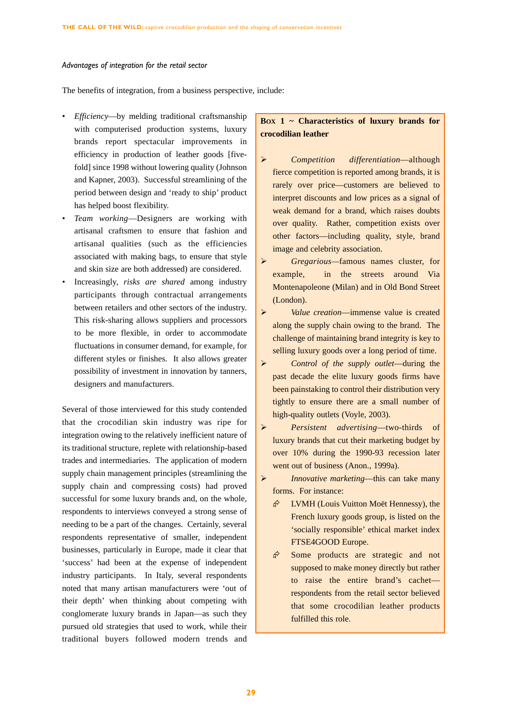#### *Advantages of integration for the retail sector*

The benefits of integration, from a business perspective, include:

- *Efficiency*—by melding traditional craftsmanship with computerised production systems, luxury brands report spectacular improvements in efficiency in production of leather goods [fivefold] since 1998 without lowering quality (Johnson and Kapner, 2003). Successful streamlining of the period between design and 'ready to ship' product has helped boost flexibility.
- *Team working*—Designers are working with artisanal craftsmen to ensure that fashion and artisanal qualities (such as the efficiencies associated with making bags, to ensure that style and skin size are both addressed) are considered.
- *•* Increasingly, *risks are shared* among industry participants through contractual arrangements between retailers and other sectors of the industry. This risk-sharing allows suppliers and processors to be more flexible, in order to accommodate fluctuations in consumer demand, for example, for different styles or finishes. It also allows greater possibility of investment in innovation by tanners, designers and manufacturers.

Several of those interviewed for this study contended that the crocodilian skin industry was ripe for integration owing to the relatively inefficient nature of its traditional structure, replete with relationship-based trades and intermediaries. The application of modern supply chain management principles (streamlining the supply chain and compressing costs) had proved successful for some luxury brands and, on the whole, respondents to interviews conveyed a strong sense of needing to be a part of the changes. Certainly, several respondents representative of smaller, independent businesses, particularly in Europe, made it clear that 'success' had been at the expense of independent industry participants. In Italy, several respondents noted that many artisan manufacturers were 'out of their depth' when thinking about competing with conglomerate luxury brands in Japan—as such they pursued old strategies that used to work, while their traditional buyers followed modern trends and

# **BOX 1 ~ Characteristics of luxury brands for crocodilian leather**

- ¾ *Competition differentiation*—although fierce competition is reported among brands, it is rarely over price—customers are believed to interpret discounts and low prices as a signal of weak demand for a brand, which raises doubts over quality. Rather, competition exists over other factors—including quality, style, brand image and celebrity association.
- ¾ *Gregarious—*famous names cluster, for example, in the streets around Via Montenapoleone (Milan) and in Old Bond Street (London).
- ¾ *Value creation*—immense value is created along the supply chain owing to the brand. The challenge of maintaining brand integrity is key to selling luxury goods over a long period of time.
- ¾ *Control of the supply outlet*—during the past decade the elite luxury goods firms have been painstaking to control their distribution very tightly to ensure there are a small number of high-quality outlets (Voyle, 2003).
- ¾ *Persistent advertising*—two-thirds of luxury brands that cut their marketing budget by over 10% during the 1990-93 recession later went out of business (Anon., 1999a).
- ¾ *Innovative marketing*—this can take many forms. For instance:
	- $\hat{\varphi}$  LVMH (Louis Vuitton Moët Hennessy), the French luxury goods group, is listed on the 'socially responsible' ethical market index FTSE4GOOD Europe.
	- $\hat{\mathcal{P}}$  Some products are strategic and not supposed to make money directly but rather to raise the entire brand's cachet respondents from the retail sector believed that some crocodilian leather products fulfilled this role.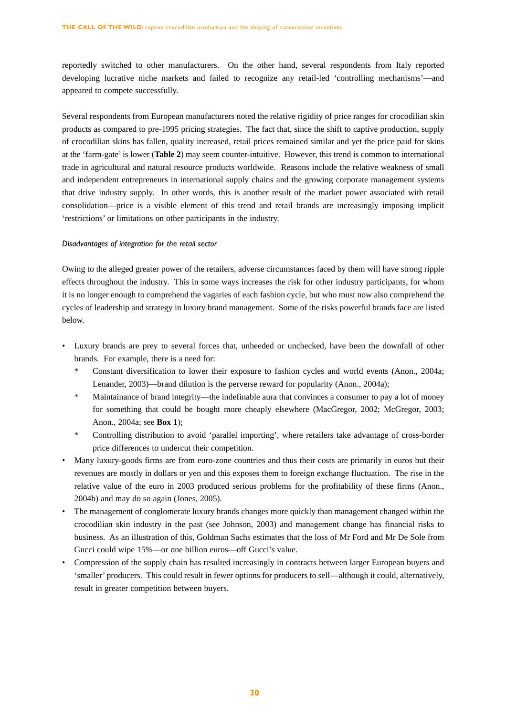reportedly switched to other manufacturers. On the other hand, several respondents from Italy reported developing lucrative niche markets and failed to recognize any retail-led 'controlling mechanisms'—and appeared to compete successfully.

Several respondents from European manufacturers noted the relative rigidity of price ranges for crocodilian skin products as compared to pre-1995 pricing strategies. The fact that, since the shift to captive production, supply of crocodilian skins has fallen, quality increased, retail prices remained similar and yet the price paid for skins at the 'farm-gate' is lower (**Table 2**) may seem counter-intuitive. However, this trend is common to international trade in agricultural and natural resource products worldwide. Reasons include the relative weakness of small and independent entrepreneurs in international supply chains and the growing corporate management systems that drive industry supply. In other words, this is another result of the market power associated with retail consolidation—price is a visible element of this trend and retail brands are increasingly imposing implicit 'restrictions' or limitations on other participants in the industry.

## *Disadvantages of integration for the retail sector*

Owing to the alleged greater power of the retailers, adverse circumstances faced by them will have strong ripple effects throughout the industry. This in some ways increases the risk for other industry participants, for whom it is no longer enough to comprehend the vagaries of each fashion cycle, but who must now also comprehend the cycles of leadership and strategy in luxury brand management. Some of the risks powerful brands face are listed below.

- Luxury brands are prey to several forces that, unheeded or unchecked, have been the downfall of other brands. For example, there is a need for:
	- \* Constant diversification to lower their exposure to fashion cycles and world events (Anon., 2004a; Lenander, 2003)—brand dilution is the perverse reward for popularity (Anon., 2004a);
	- \* Maintainance of brand integrity—the indefinable aura that convinces a consumer to pay a lot of money for something that could be bought more cheaply elsewhere (MacGregor, 2002; McGregor, 2003; Anon., 2004a; see **Box 1**);
	- \* Controlling distribution to avoid 'parallel importing', where retailers take advantage of cross-border price differences to undercut their competition.
- Many luxury-goods firms are from euro-zone countries and thus their costs are primarily in euros but their revenues are mostly in dollars or yen and this exposes them to foreign exchange fluctuation. The rise in the relative value of the euro in 2003 produced serious problems for the profitability of these firms (Anon., 2004b) and may do so again (Jones, 2005).
- The management of conglomerate luxury brands changes more quickly than management changed within the crocodilian skin industry in the past (see Johnson, 2003) and management change has financial risks to business. As an illustration of this, Goldman Sachs estimates that the loss of Mr Ford and Mr De Sole from Gucci could wipe 15%—or one billion euros—off Gucci's value.
- Compression of the supply chain has resulted increasingly in contracts between larger European buyers and 'smaller' producers. This could result in fewer options for producers to sell—although it could, alternatively, result in greater competition between buyers.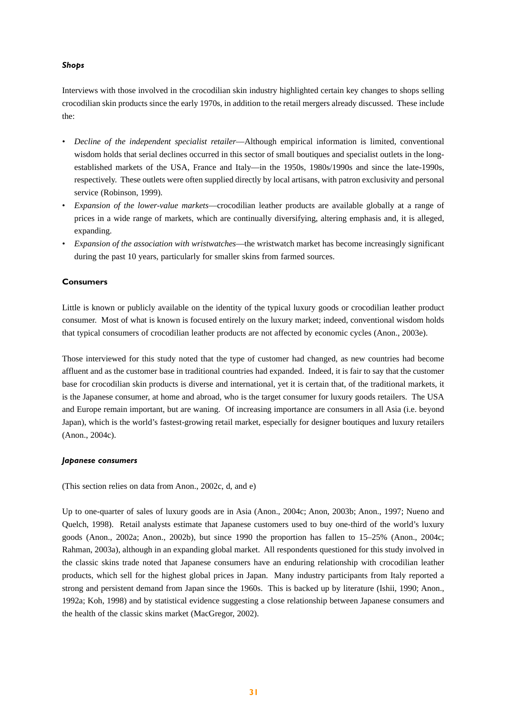# *Shops*

Interviews with those involved in the crocodilian skin industry highlighted certain key changes to shops selling crocodilian skin products since the early 1970s, in addition to the retail mergers already discussed. These include the:

- *Decline of the independent specialist retailer*—Although empirical information is limited, conventional wisdom holds that serial declines occurred in this sector of small boutiques and specialist outlets in the longestablished markets of the USA, France and Italy—in the 1950s, 1980s/1990s and since the late-1990s, respectively. These outlets were often supplied directly by local artisans, with patron exclusivity and personal service (Robinson, 1999).
- *Expansion of the lower-value markets*—crocodilian leather products are available globally at a range of prices in a wide range of markets, which are continually diversifying, altering emphasis and, it is alleged, expanding.
- *Expansion of the association with wristwatches*—the wristwatch market has become increasingly significant during the past 10 years, particularly for smaller skins from farmed sources.

# **Consumers**

Little is known or publicly available on the identity of the typical luxury goods or crocodilian leather product consumer. Most of what is known is focused entirely on the luxury market; indeed, conventional wisdom holds that typical consumers of crocodilian leather products are not affected by economic cycles (Anon., 2003e).

Those interviewed for this study noted that the type of customer had changed, as new countries had become affluent and as the customer base in traditional countries had expanded. Indeed, it is fair to say that the customer base for crocodilian skin products is diverse and international, yet it is certain that, of the traditional markets, it is the Japanese consumer, at home and abroad, who is the target consumer for luxury goods retailers. The USA and Europe remain important, but are waning. Of increasing importance are consumers in all Asia (i.e. beyond Japan), which is the world's fastest-growing retail market, especially for designer boutiques and luxury retailers (Anon., 2004c).

## *Japanese consumers*

(This section relies on data from Anon., 2002c, d, and e)

Up to one-quarter of sales of luxury goods are in Asia (Anon., 2004c; Anon, 2003b; Anon., 1997; Nueno and Quelch, 1998). Retail analysts estimate that Japanese customers used to buy one-third of the world's luxury goods (Anon., 2002a; Anon., 2002b), but since 1990 the proportion has fallen to 15–25% (Anon., 2004c; Rahman, 2003a), although in an expanding global market. All respondents questioned for this study involved in the classic skins trade noted that Japanese consumers have an enduring relationship with crocodilian leather products, which sell for the highest global prices in Japan. Many industry participants from Italy reported a strong and persistent demand from Japan since the 1960s. This is backed up by literature (Ishii, 1990; Anon., 1992a; Koh, 1998) and by statistical evidence suggesting a close relationship between Japanese consumers and the health of the classic skins market (MacGregor, 2002).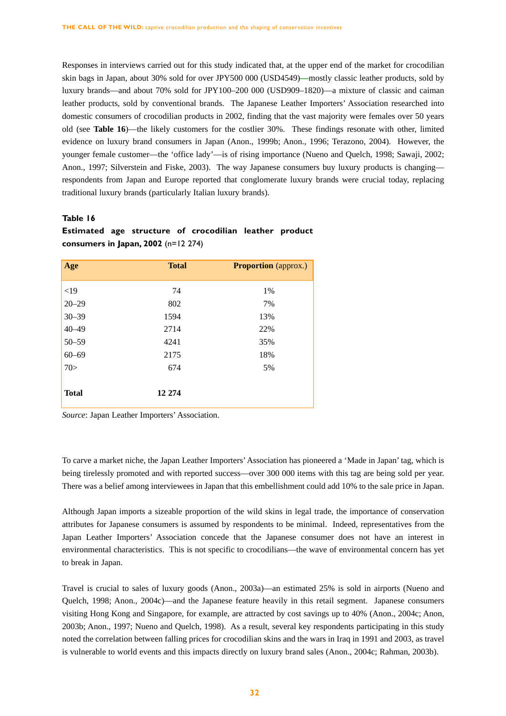Responses in interviews carried out for this study indicated that, at the upper end of the market for crocodilian skin bags in Japan, about 30% sold for over JPY500 000 (USD4549)**—**mostly classic leather products, sold by luxury brands—and about 70% sold for JPY100–200 000 (USD909–1820)—a mixture of classic and caiman leather products, sold by conventional brands. The Japanese Leather Importers' Association researched into domestic consumers of crocodilian products in 2002, finding that the vast majority were females over 50 years old (see **Table 16**)—the likely customers for the costlier 30%. These findings resonate with other, limited evidence on luxury brand consumers in Japan (Anon., 1999b; Anon., 1996; Terazono, 2004). However, the younger female customer—the 'office lady'—is of rising importance (Nueno and Quelch, 1998; Sawaji, 2002; Anon., 1997; Silverstein and Fiske, 2003). The way Japanese consumers buy luxury products is changing respondents from Japan and Europe reported that conglomerate luxury brands were crucial today, replacing traditional luxury brands (particularly Italian luxury brands).

# **Table 16**

| Age          | <b>Total</b> | <b>Proportion</b> (approx.) |
|--------------|--------------|-----------------------------|
| <19          | 74           | 1%                          |
| $20 - 29$    | 802          | 7%                          |
| $30 - 39$    | 1594         | 13%                         |
| $40 - 49$    | 2714         | 22%                         |
| $50 - 59$    | 4241         | 35%                         |
| $60 - 69$    | 2175         | 18%                         |
| 70>          | 674          | 5%                          |
| <b>Total</b> | 12 274       |                             |

# **Estimated age structure of crocodilian leather product consumers in Japan, 2002** (n=12 274)

*Source*: Japan Leather Importers' Association.

To carve a market niche, the Japan Leather Importers'Association has pioneered a 'Made in Japan' tag, which is being tirelessly promoted and with reported success—over 300 000 items with this tag are being sold per year. There was a belief among interviewees in Japan that this embellishment could add 10% to the sale price in Japan.

Although Japan imports a sizeable proportion of the wild skins in legal trade, the importance of conservation attributes for Japanese consumers is assumed by respondents to be minimal. Indeed, representatives from the Japan Leather Importers' Association concede that the Japanese consumer does not have an interest in environmental characteristics. This is not specific to crocodilians—the wave of environmental concern has yet to break in Japan.

Travel is crucial to sales of luxury goods (Anon., 2003a)—an estimated 25% is sold in airports (Nueno and Quelch, 1998; Anon., 2004c)—and the Japanese feature heavily in this retail segment. Japanese consumers visiting Hong Kong and Singapore, for example, are attracted by cost savings up to 40% (Anon., 2004c; Anon, 2003b; Anon., 1997; Nueno and Quelch, 1998). As a result, several key respondents participating in this study noted the correlation between falling prices for crocodilian skins and the wars in Iraq in 1991 and 2003, as travel is vulnerable to world events and this impacts directly on luxury brand sales (Anon., 2004c; Rahman, 2003b).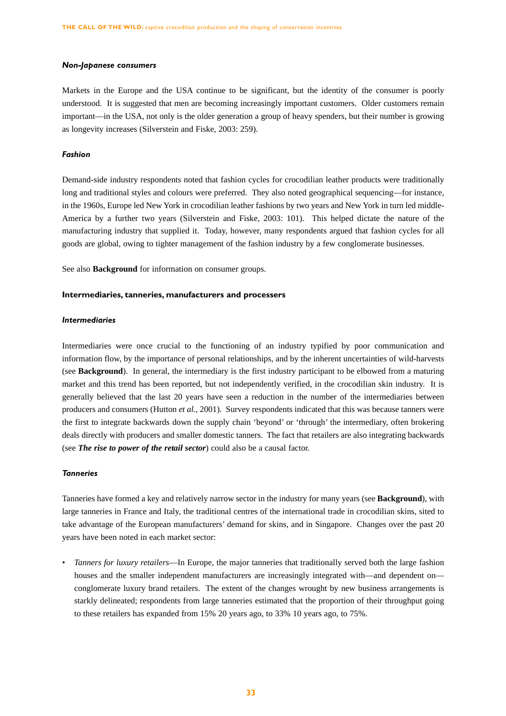#### *Non-Japanese consumers*

Markets in the Europe and the USA continue to be significant, but the identity of the consumer is poorly understood. It is suggested that men are becoming increasingly important customers. Older customers remain important—in the USA, not only is the older generation a group of heavy spenders, but their number is growing as longevity increases (Silverstein and Fiske, 2003: 259).

#### *Fashion*

Demand-side industry respondents noted that fashion cycles for crocodilian leather products were traditionally long and traditional styles and colours were preferred. They also noted geographical sequencing—for instance, in the 1960s, Europe led New York in crocodilian leather fashions by two years and New York in turn led middle-America by a further two years (Silverstein and Fiske, 2003: 101). This helped dictate the nature of the manufacturing industry that supplied it. Today, however, many respondents argued that fashion cycles for all goods are global, owing to tighter management of the fashion industry by a few conglomerate businesses.

See also **Background** for information on consumer groups.

#### **Intermediaries, tanneries, manufacturers and processers**

# *Intermediaries*

Intermediaries were once crucial to the functioning of an industry typified by poor communication and information flow, by the importance of personal relationships, and by the inherent uncertainties of wild-harvests (see **Background**). In general, the intermediary is the first industry participant to be elbowed from a maturing market and this trend has been reported, but not independently verified, in the crocodilian skin industry. It is generally believed that the last 20 years have seen a reduction in the number of the intermediaries between producers and consumers (Hutton *et al.,* 2001). Survey respondents indicated that this was because tanners were the first to integrate backwards down the supply chain 'beyond' or 'through' the intermediary, often brokering deals directly with producers and smaller domestic tanners. The fact that retailers are also integrating backwards (see *The rise to power of the retail sector*) could also be a causal factor.

#### *Tanneries*

Tanneries have formed a key and relatively narrow sector in the industry for many years (see **Background**), with large tanneries in France and Italy, the traditional centres of the international trade in crocodilian skins, sited to take advantage of the European manufacturers' demand for skins, and in Singapore. Changes over the past 20 years have been noted in each market sector:

*• Tanners for luxury retailers*—In Europe, the major tanneries that traditionally served both the large fashion houses and the smaller independent manufacturers are increasingly integrated with—and dependent on conglomerate luxury brand retailers. The extent of the changes wrought by new business arrangements is starkly delineated; respondents from large tanneries estimated that the proportion of their throughput going to these retailers has expanded from 15% 20 years ago, to 33% 10 years ago, to 75%.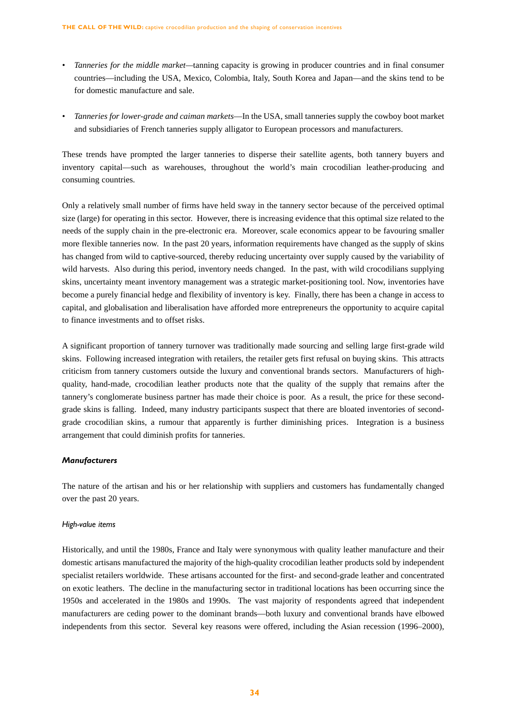- *Tanneries for the middle market—*tanning capacity is growing in producer countries and in final consumer countries—including the USA, Mexico, Colombia, Italy, South Korea and Japan—and the skins tend to be for domestic manufacture and sale.
- *Tanneries for lower-grade and caiman markets*—In the USA, small tanneries supply the cowboy boot market and subsidiaries of French tanneries supply alligator to European processors and manufacturers.

These trends have prompted the larger tanneries to disperse their satellite agents, both tannery buyers and inventory capital—such as warehouses, throughout the world's main crocodilian leather-producing and consuming countries.

Only a relatively small number of firms have held sway in the tannery sector because of the perceived optimal size (large) for operating in this sector. However, there is increasing evidence that this optimal size related to the needs of the supply chain in the pre-electronic era. Moreover, scale economics appear to be favouring smaller more flexible tanneries now. In the past 20 years, information requirements have changed as the supply of skins has changed from wild to captive-sourced, thereby reducing uncertainty over supply caused by the variability of wild harvests. Also during this period, inventory needs changed. In the past, with wild crocodilians supplying skins, uncertainty meant inventory management was a strategic market-positioning tool. Now, inventories have become a purely financial hedge and flexibility of inventory is key. Finally, there has been a change in access to capital, and globalisation and liberalisation have afforded more entrepreneurs the opportunity to acquire capital to finance investments and to offset risks.

A significant proportion of tannery turnover was traditionally made sourcing and selling large first-grade wild skins. Following increased integration with retailers, the retailer gets first refusal on buying skins. This attracts criticism from tannery customers outside the luxury and conventional brands sectors. Manufacturers of highquality, hand-made, crocodilian leather products note that the quality of the supply that remains after the tannery's conglomerate business partner has made their choice is poor. As a result, the price for these secondgrade skins is falling. Indeed, many industry participants suspect that there are bloated inventories of secondgrade crocodilian skins, a rumour that apparently is further diminishing prices. Integration is a business arrangement that could diminish profits for tanneries.

## *Manufacturers*

The nature of the artisan and his or her relationship with suppliers and customers has fundamentally changed over the past 20 years.

#### *High-value items*

Historically, and until the 1980s, France and Italy were synonymous with quality leather manufacture and their domestic artisans manufactured the majority of the high-quality crocodilian leather products sold by independent specialist retailers worldwide. These artisans accounted for the first- and second-grade leather and concentrated on exotic leathers. The decline in the manufacturing sector in traditional locations has been occurring since the 1950s and accelerated in the 1980s and 1990s. The vast majority of respondents agreed that independent manufacturers are ceding power to the dominant brands—both luxury and conventional brands have elbowed independents from this sector. Several key reasons were offered, including the Asian recession (1996–2000),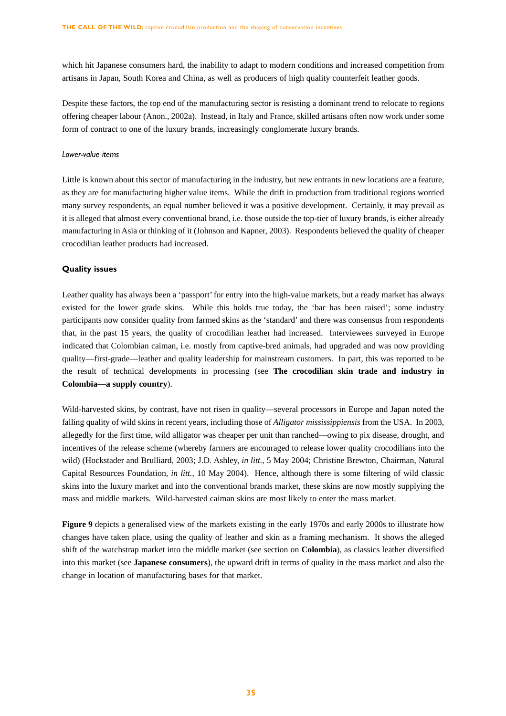which hit Japanese consumers hard, the inability to adapt to modern conditions and increased competition from artisans in Japan, South Korea and China, as well as producers of high quality counterfeit leather goods.

Despite these factors, the top end of the manufacturing sector is resisting a dominant trend to relocate to regions offering cheaper labour (Anon., 2002a). Instead, in Italy and France, skilled artisans often now work under some form of contract to one of the luxury brands, increasingly conglomerate luxury brands.

#### *Lower-value items*

Little is known about this sector of manufacturing in the industry, but new entrants in new locations are a feature, as they are for manufacturing higher value items. While the drift in production from traditional regions worried many survey respondents, an equal number believed it was a positive development. Certainly, it may prevail as it is alleged that almost every conventional brand, i.e. those outside the top-tier of luxury brands, is either already manufacturing in Asia or thinking of it (Johnson and Kapner, 2003). Respondents believed the quality of cheaper crocodilian leather products had increased.

#### **Quality issues**

Leather quality has always been a 'passport' for entry into the high-value markets, but a ready market has always existed for the lower grade skins. While this holds true today, the 'bar has been raised'; some industry participants now consider quality from farmed skins as the 'standard' and there was consensus from respondents that, in the past 15 years, the quality of crocodilian leather had increased. Interviewees surveyed in Europe indicated that Colombian caiman, i.e. mostly from captive-bred animals, had upgraded and was now providing quality—first-grade—leather and quality leadership for mainstream customers. In part, this was reported to be the result of technical developments in processing (see **The crocodilian skin trade and industry in Colombia—a supply country**).

Wild-harvested skins, by contrast, have not risen in quality—several processors in Europe and Japan noted the falling quality of wild skins in recent years, including those of *Alligator mississippiensis* from the USA. In 2003, allegedly for the first time, wild alligator was cheaper per unit than ranched—owing to pix disease, drought, and incentives of the release scheme (whereby farmers are encouraged to release lower quality crocodilians into the wild) (Hockstader and Brulliard, 2003; J.D. Ashley, *in litt.*, 5 May 2004; Christine Brewton, Chairman, Natural Capital Resources Foundation, *in litt.*, 10 May 2004). Hence, although there is some filtering of wild classic skins into the luxury market and into the conventional brands market, these skins are now mostly supplying the mass and middle markets. Wild-harvested caiman skins are most likely to enter the mass market.

**Figure 9** depicts a generalised view of the markets existing in the early 1970s and early 2000s to illustrate how changes have taken place, using the quality of leather and skin as a framing mechanism. It shows the alleged shift of the watchstrap market into the middle market (see section on **Colombia**), as classics leather diversified into this market (see **Japanese consumers**), the upward drift in terms of quality in the mass market and also the change in location of manufacturing bases for that market.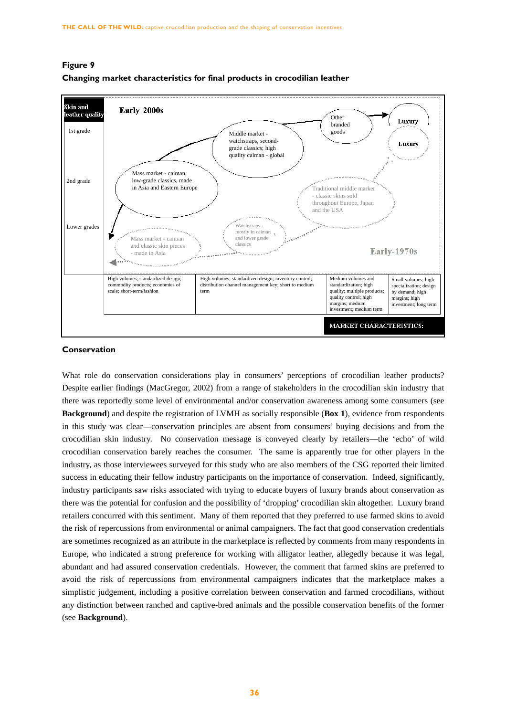

# **Figure 9 Changing market characteristics for final products in crocodilian leather**

#### **Conservation**

What role do conservation considerations play in consumers' perceptions of crocodilian leather products? Despite earlier findings (MacGregor, 2002) from a range of stakeholders in the crocodilian skin industry that there was reportedly some level of environmental and/or conservation awareness among some consumers (see **Background**) and despite the registration of LVMH as socially responsible (**Box 1**), evidence from respondents in this study was clear—conservation principles are absent from consumers' buying decisions and from the crocodilian skin industry. No conservation message is conveyed clearly by retailers—the 'echo' of wild crocodilian conservation barely reaches the consumer. The same is apparently true for other players in the industry, as those interviewees surveyed for this study who are also members of the CSG reported their limited success in educating their fellow industry participants on the importance of conservation. Indeed, significantly, industry participants saw risks associated with trying to educate buyers of luxury brands about conservation as there was the potential for confusion and the possibility of 'dropping' crocodilian skin altogether. Luxury brand retailers concurred with this sentiment. Many of them reported that they preferred to use farmed skins to avoid the risk of repercussions from environmental or animal campaigners. The fact that good conservation credentials are sometimes recognized as an attribute in the marketplace is reflected by comments from many respondents in Europe, who indicated a strong preference for working with alligator leather, allegedly because it was legal, abundant and had assured conservation credentials. However, the comment that farmed skins are preferred to avoid the risk of repercussions from environmental campaigners indicates that the marketplace makes a simplistic judgement, including a positive correlation between conservation and farmed crocodilians, without any distinction between ranched and captive-bred animals and the possible conservation benefits of the former (see **Background**).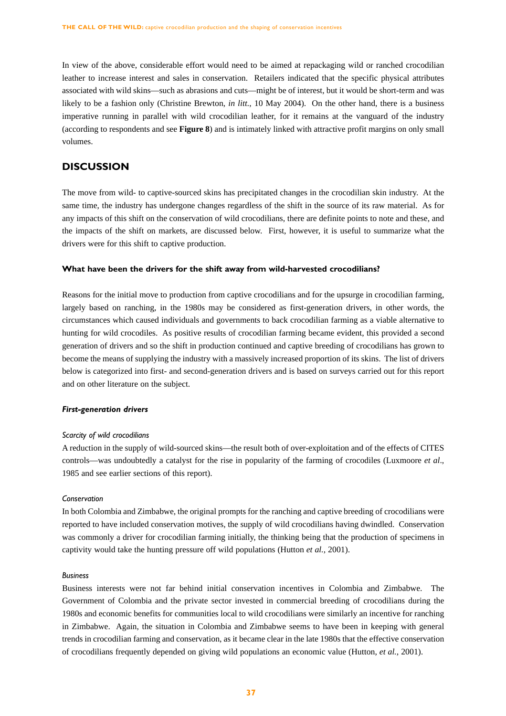In view of the above, considerable effort would need to be aimed at repackaging wild or ranched crocodilian leather to increase interest and sales in conservation. Retailers indicated that the specific physical attributes associated with wild skins—such as abrasions and cuts—might be of interest, but it would be short-term and was likely to be a fashion only (Christine Brewton, *in litt.*, 10 May 2004). On the other hand, there is a business imperative running in parallel with wild crocodilian leather, for it remains at the vanguard of the industry (according to respondents and see **Figure 8**) and is intimately linked with attractive profit margins on only small volumes.

# **DISCUSSION**

The move from wild- to captive-sourced skins has precipitated changes in the crocodilian skin industry. At the same time, the industry has undergone changes regardless of the shift in the source of its raw material. As for any impacts of this shift on the conservation of wild crocodilians, there are definite points to note and these, and the impacts of the shift on markets, are discussed below. First, however, it is useful to summarize what the drivers were for this shift to captive production.

#### **What have been the drivers for the shift away from wild-harvested crocodilians?**

Reasons for the initial move to production from captive crocodilians and for the upsurge in crocodilian farming, largely based on ranching, in the 1980s may be considered as first-generation drivers, in other words, the circumstances which caused individuals and governments to back crocodilian farming as a viable alternative to hunting for wild crocodiles. As positive results of crocodilian farming became evident, this provided a second generation of drivers and so the shift in production continued and captive breeding of crocodilians has grown to become the means of supplying the industry with a massively increased proportion of its skins. The list of drivers below is categorized into first- and second-generation drivers and is based on surveys carried out for this report and on other literature on the subject.

#### *First-generation drivers*

#### *Scarcity of wild crocodilians*

A reduction in the supply of wild-sourced skins—the result both of over-exploitation and of the effects of CITES controls—was undoubtedly a catalyst for the rise in popularity of the farming of crocodiles (Luxmoore *et al*., 1985 and see earlier sections of this report).

#### *Conservation*

In both Colombia and Zimbabwe, the original prompts for the ranching and captive breeding of crocodilians were reported to have included conservation motives, the supply of wild crocodilians having dwindled. Conservation was commonly a driver for crocodilian farming initially, the thinking being that the production of specimens in captivity would take the hunting pressure off wild populations (Hutton *et al.*, 2001).

## *Business*

Business interests were not far behind initial conservation incentives in Colombia and Zimbabwe. The Government of Colombia and the private sector invested in commercial breeding of crocodilians during the 1980s and economic benefits for communities local to wild crocodilians were similarly an incentive for ranching in Zimbabwe. Again, the situation in Colombia and Zimbabwe seems to have been in keeping with general trends in crocodilian farming and conservation, as it became clear in the late 1980s that the effective conservation of crocodilians frequently depended on giving wild populations an economic value (Hutton, *et al.*, 2001).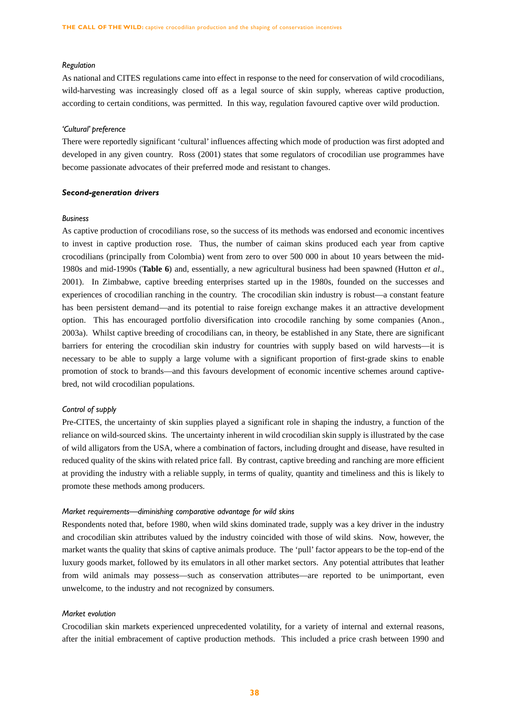#### *Regulation*

As national and CITES regulations came into effect in response to the need for conservation of wild crocodilians, wild-harvesting was increasingly closed off as a legal source of skin supply, whereas captive production, according to certain conditions, was permitted. In this way, regulation favoured captive over wild production.

## *'Cultural' preference*

There were reportedly significant 'cultural' influences affecting which mode of production was first adopted and developed in any given country. Ross (2001) states that some regulators of crocodilian use programmes have become passionate advocates of their preferred mode and resistant to changes.

#### *Second-generation drivers*

#### *Business*

As captive production of crocodilians rose, so the success of its methods was endorsed and economic incentives to invest in captive production rose. Thus, the number of caiman skins produced each year from captive crocodilians (principally from Colombia) went from zero to over 500 000 in about 10 years between the mid-1980s and mid-1990s (**Table 6**) and, essentially, a new agricultural business had been spawned (Hutton *et al*., 2001). In Zimbabwe, captive breeding enterprises started up in the 1980s, founded on the successes and experiences of crocodilian ranching in the country. The crocodilian skin industry is robust—a constant feature has been persistent demand—and its potential to raise foreign exchange makes it an attractive development option. This has encouraged portfolio diversification into crocodile ranching by some companies (Anon., 2003a). Whilst captive breeding of crocodilians can, in theory, be established in any State, there are significant barriers for entering the crocodilian skin industry for countries with supply based on wild harvests—it is necessary to be able to supply a large volume with a significant proportion of first-grade skins to enable promotion of stock to brands—and this favours development of economic incentive schemes around captivebred, not wild crocodilian populations.

## *Control of supply*

Pre-CITES, the uncertainty of skin supplies played a significant role in shaping the industry, a function of the reliance on wild-sourced skins. The uncertainty inherent in wild crocodilian skin supply is illustrated by the case of wild alligators from the USA, where a combination of factors, including drought and disease, have resulted in reduced quality of the skins with related price fall. By contrast, captive breeding and ranching are more efficient at providing the industry with a reliable supply, in terms of quality, quantity and timeliness and this is likely to promote these methods among producers.

#### *Market requirements—diminishing comparative advantage for wild skins*

Respondents noted that, before 1980, when wild skins dominated trade, supply was a key driver in the industry and crocodilian skin attributes valued by the industry coincided with those of wild skins. Now, however, the market wants the quality that skins of captive animals produce. The 'pull' factor appears to be the top-end of the luxury goods market, followed by its emulators in all other market sectors. Any potential attributes that leather from wild animals may possess—such as conservation attributes—are reported to be unimportant, even unwelcome, to the industry and not recognized by consumers.

## *Market evolution*

Crocodilian skin markets experienced unprecedented volatility, for a variety of internal and external reasons, after the initial embracement of captive production methods. This included a price crash between 1990 and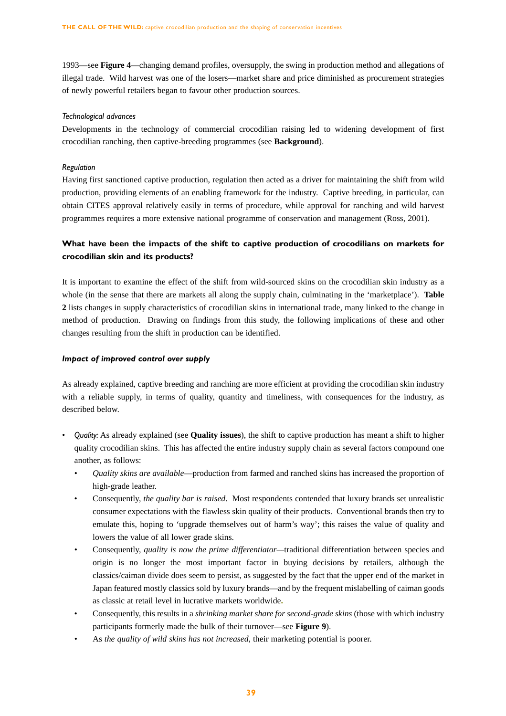1993—see **Figure 4**—changing demand profiles, oversupply, the swing in production method and allegations of illegal trade. Wild harvest was one of the losers—market share and price diminished as procurement strategies of newly powerful retailers began to favour other production sources.

### *Technological advances*

Developments in the technology of commercial crocodilian raising led to widening development of first crocodilian ranching, then captive-breeding programmes (see **Background**).

## *Regulation*

Having first sanctioned captive production, regulation then acted as a driver for maintaining the shift from wild production, providing elements of an enabling framework for the industry. Captive breeding, in particular, can obtain CITES approval relatively easily in terms of procedure, while approval for ranching and wild harvest programmes requires a more extensive national programme of conservation and management (Ross, 2001).

# **What have been the impacts of the shift to captive production of crocodilians on markets for crocodilian skin and its products?**

It is important to examine the effect of the shift from wild-sourced skins on the crocodilian skin industry as a whole (in the sense that there are markets all along the supply chain, culminating in the 'marketplace'). **Table 2** lists changes in supply characteristics of crocodilian skins in international trade, many linked to the change in method of production. Drawing on findings from this study, the following implications of these and other changes resulting from the shift in production can be identified.

# *Impact of improved control over supply*

As already explained, captive breeding and ranching are more efficient at providing the crocodilian skin industry with a reliable supply, in terms of quality, quantity and timeliness, with consequences for the industry, as described below.

- *Quality:* As already explained (see **Quality issues**), the shift to captive production has meant a shift to higher quality crocodilian skins. This has affected the entire industry supply chain as several factors compound one another, as follows:
	- *Quality skins are available*—production from farmed and ranched skins has increased the proportion of high-grade leather.
	- Consequently, *the quality bar is raised*. Most respondents contended that luxury brands set unrealistic consumer expectations with the flawless skin quality of their products. Conventional brands then try to emulate this, hoping to 'upgrade themselves out of harm's way'; this raises the value of quality and lowers the value of all lower grade skins.
	- *•* Consequently, *quality is now the prime differentiator—*traditional differentiation between species and origin is no longer the most important factor in buying decisions by retailers, although the classics/caiman divide does seem to persist, as suggested by the fact that the upper end of the market in Japan featured mostly classics sold by luxury brands—and by the frequent mislabelling of caiman goods as classic at retail level in lucrative markets worldwide**.**
	- Consequently, this results in a *shrinking market share for second-grade skins* (those with which industry participants formerly made the bulk of their turnover—see **Figure 9**).
	- *•* As *the quality of wild skins has not increased,* their marketing potential is poorer.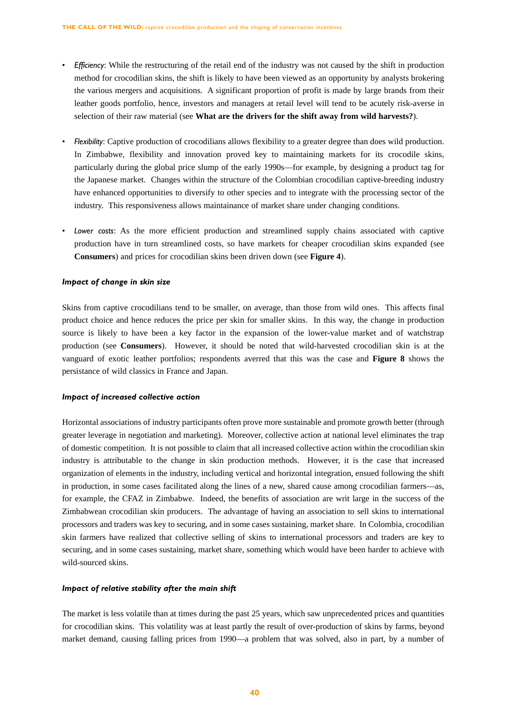- *Efficiency*: While the restructuring of the retail end of the industry was not caused by the shift in production method for crocodilian skins, the shift is likely to have been viewed as an opportunity by analysts brokering the various mergers and acquisitions. A significant proportion of profit is made by large brands from their leather goods portfolio, hence, investors and managers at retail level will tend to be acutely risk-averse in selection of their raw material (see **What are the drivers for the shift away from wild harvests?**).
- *Flexibility*: Captive production of crocodilians allows flexibility to a greater degree than does wild production. In Zimbabwe, flexibility and innovation proved key to maintaining markets for its crocodile skins, particularly during the global price slump of the early 1990s—for example, by designing a product tag for the Japanese market. Changes within the structure of the Colombian crocodilian captive-breeding industry have enhanced opportunities to diversify to other species and to integrate with the processing sector of the industry. This responsiveness allows maintainance of market share under changing conditions.
- *Lower costs*: As the more efficient production and streamlined supply chains associated with captive production have in turn streamlined costs, so have markets for cheaper crocodilian skins expanded (see **Consumers**) and prices for crocodilian skins been driven down (see **Figure 4**).

## *Impact of change in skin size*

Skins from captive crocodilians tend to be smaller, on average, than those from wild ones. This affects final product choice and hence reduces the price per skin for smaller skins. In this way, the change in production source is likely to have been a key factor in the expansion of the lower-value market and of watchstrap production (see **Consumers**). However, it should be noted that wild-harvested crocodilian skin is at the vanguard of exotic leather portfolios; respondents averred that this was the case and **Figure 8** shows the persistance of wild classics in France and Japan.

#### *Impact of increased collective action*

Horizontal associations of industry participants often prove more sustainable and promote growth better (through greater leverage in negotiation and marketing). Moreover, collective action at national level eliminates the trap of domestic competition. It is not possible to claim that all increased collective action within the crocodilian skin industry is attributable to the change in skin production methods. However, it is the case that increased organization of elements in the industry, including vertical and horizontal integration, ensued following the shift in production, in some cases facilitated along the lines of a new, shared cause among crocodilian farmers—as, for example, the CFAZ in Zimbabwe. Indeed, the benefits of association are writ large in the success of the Zimbabwean crocodilian skin producers. The advantage of having an association to sell skins to international processors and traders was key to securing, and in some cases sustaining, market share. In Colombia, crocodilian skin farmers have realized that collective selling of skins to international processors and traders are key to securing, and in some cases sustaining, market share, something which would have been harder to achieve with wild-sourced skins.

#### *Impact of relative stability after the main shift*

The market is less volatile than at times during the past 25 years, which saw unprecedented prices and quantities for crocodilian skins. This volatility was at least partly the result of over-production of skins by farms, beyond market demand, causing falling prices from 1990—a problem that was solved, also in part, by a number of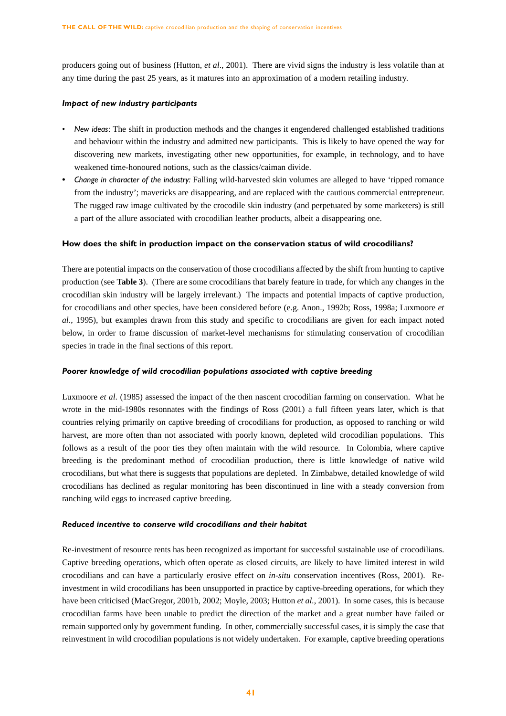producers going out of business (Hutton, *et al*., 2001). There are vivid signs the industry is less volatile than at any time during the past 25 years, as it matures into an approximation of a modern retailing industry.

#### *Impact of new industry participants*

- *New ideas*: The shift in production methods and the changes it engendered challenged established traditions and behaviour within the industry and admitted new participants. This is likely to have opened the way for discovering new markets, investigating other new opportunities, for example, in technology, and to have weakened time-honoured notions, such as the classics/caiman divide.
- *• Change in character of the industry:* Falling wild-harvested skin volumes are alleged to have 'ripped romance from the industry'; mavericks are disappearing, and are replaced with the cautious commercial entrepreneur. The rugged raw image cultivated by the crocodile skin industry (and perpetuated by some marketers) is still a part of the allure associated with crocodilian leather products, albeit a disappearing one.

#### **How does the shift in production impact on the conservation status of wild crocodilians?**

There are potential impacts on the conservation of those crocodilians affected by the shift from hunting to captive production (see **Table 3**). (There are some crocodilians that barely feature in trade, for which any changes in the crocodilian skin industry will be largely irrelevant.) The impacts and potential impacts of captive production, for crocodilians and other species, have been considered before (e.g. Anon., 1992b; Ross, 1998a; Luxmoore *et al*., 1995), but examples drawn from this study and specific to crocodilians are given for each impact noted below, in order to frame discussion of market-level mechanisms for stimulating conservation of crocodilian species in trade in the final sections of this report.

#### *Poorer knowledge of wild crocodilian populations associated with captive breeding*

Luxmoore *et al*. (1985) assessed the impact of the then nascent crocodilian farming on conservation. What he wrote in the mid-1980s resonnates with the findings of Ross (2001) a full fifteen years later, which is that countries relying primarily on captive breeding of crocodilians for production, as opposed to ranching or wild harvest, are more often than not associated with poorly known, depleted wild crocodilian populations. This follows as a result of the poor ties they often maintain with the wild resource. In Colombia, where captive breeding is the predominant method of crocodilian production, there is little knowledge of native wild crocodilians, but what there is suggests that populations are depleted. In Zimbabwe, detailed knowledge of wild crocodilians has declined as regular monitoring has been discontinued in line with a steady conversion from ranching wild eggs to increased captive breeding.

#### *Reduced incentive to conserve wild crocodilians and their habitat*

Re-investment of resource rents has been recognized as important for successful sustainable use of crocodilians. Captive breeding operations, which often operate as closed circuits, are likely to have limited interest in wild crocodilians and can have a particularly erosive effect on *in-situ* conservation incentives (Ross, 2001). Reinvestment in wild crocodilians has been unsupported in practice by captive-breeding operations, for which they have been criticised (MacGregor, 2001b, 2002; Moyle, 2003; Hutton *et al.*, 2001). In some cases, this is because crocodilian farms have been unable to predict the direction of the market and a great number have failed or remain supported only by government funding. In other, commercially successful cases, it is simply the case that reinvestment in wild crocodilian populations is not widely undertaken. For example, captive breeding operations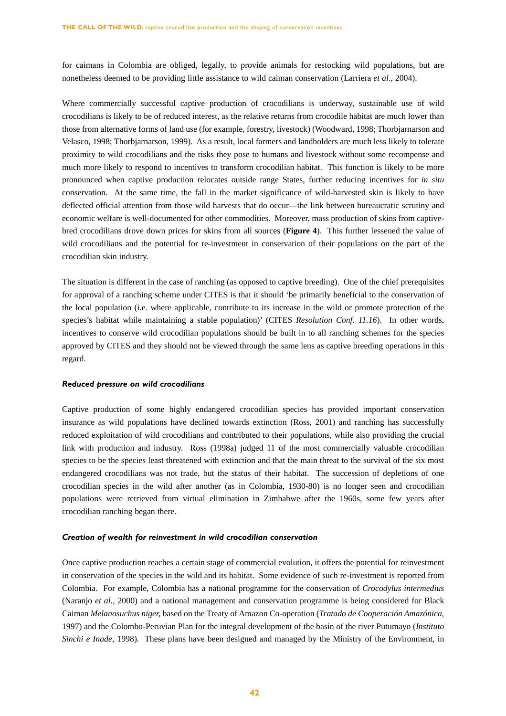for caimans in Colombia are obliged, legally, to provide animals for restocking wild populations, but are nonetheless deemed to be providing little assistance to wild caiman conservation (Larriera *et al*., 2004).

Where commercially successful captive production of crocodilians is underway, sustainable use of wild crocodilians is likely to be of reduced interest, as the relative returns from crocodile habitat are much lower than those from alternative forms of land use (for example, forestry, livestock) (Woodward, 1998; Thorbjarnarson and Velasco, 1998; Thorbjarnarson, 1999). As a result, local farmers and landholders are much less likely to tolerate proximity to wild crocodilians and the risks they pose to humans and livestock without some recompense and much more likely to respond to incentives to transform crocodilian habitat. This function is likely to be more pronounced when captive production relocates outside range States, further reducing incentives for *in situ* conservation. At the same time, the fall in the market significance of wild-harvested skin is likely to have deflected official attention from those wild harvests that do occur—the link between bureaucratic scrutiny and economic welfare is well-documented for other commodities. Moreover, mass production of skins from captivebred crocodilians drove down prices for skins from all sources (**Figure 4**). This further lessened the value of wild crocodilians and the potential for re-investment in conservation of their populations on the part of the crocodilian skin industry.

The situation is different in the case of ranching (as opposed to captive breeding). One of the chief prerequisites for approval of a ranching scheme under CITES is that it should 'be primarily beneficial to the conservation of the local population (i.e. where applicable, contribute to its increase in the wild or promote protection of the species's habitat while maintaining a stable population)' (CITES *Resolution Conf. 11.16*). In other words, incentives to conserve wild crocodilian populations should be built in to all ranching schemes for the species approved by CITES and they should not be viewed through the same lens as captive breeding operations in this regard.

#### *Reduced pressure on wild crocodilians*

Captive production of some highly endangered crocodilian species has provided important conservation insurance as wild populations have declined towards extinction (Ross, 2001) and ranching has successfully reduced exploitation of wild crocodilians and contributed to their populations, while also providing the crucial link with production and industry. Ross (1998a) judged 11 of the most commercially valuable crocodilian species to be the species least threatened with extinction and that the main threat to the survival of the six most endangered crocodilians was not trade, but the status of their habitat. The succession of depletions of one crocodilian species in the wild after another (as in Colombia, 1930-80) is no longer seen and crocodilian populations were retrieved from virtual elimination in Zimbabwe after the 1960s, some few years after crocodilian ranching began there.

## *Creation of wealth for reinvestment in wild crocodilian conservation*

Once captive production reaches a certain stage of commercial evolution, it offers the potential for reinvestment in conservation of the species in the wild and its habitat. Some evidence of such re-investment is reported from Colombia. For example, Colombia has a national programme for the conservation of *Crocodylus intermedius* (Naranjo *et al.*, 2000) and a national management and conservation programme is being considered for Black Caiman *Melanosuchus niger,* based on the Treaty of Amazon Co-operation (*Tratado de Cooperación Amazónica*, 1997) and the Colombo-Peruvian Plan for the integral development of the basin of the river Putumayo (*Instituto Sinchi e Inade*, 1998). These plans have been designed and managed by the Ministry of the Environment, in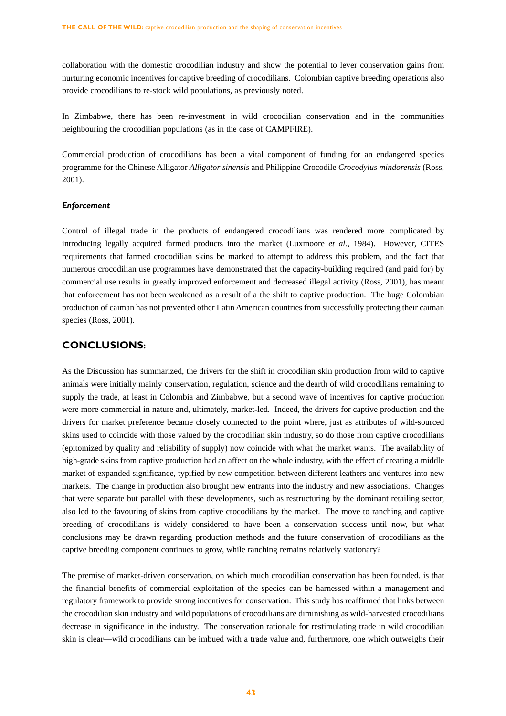collaboration with the domestic crocodilian industry and show the potential to lever conservation gains from nurturing economic incentives for captive breeding of crocodilians. Colombian captive breeding operations also provide crocodilians to re-stock wild populations, as previously noted.

In Zimbabwe, there has been re-investment in wild crocodilian conservation and in the communities neighbouring the crocodilian populations (as in the case of CAMPFIRE).

Commercial production of crocodilians has been a vital component of funding for an endangered species programme for the Chinese Alligator *Alligator sinensis* and Philippine Crocodile *Crocodylus mindorensis* (Ross, 2001).

#### *Enforcement*

Control of illegal trade in the products of endangered crocodilians was rendered more complicated by introducing legally acquired farmed products into the market (Luxmoore *et al.*, 1984). However, CITES requirements that farmed crocodilian skins be marked to attempt to address this problem, and the fact that numerous crocodilian use programmes have demonstrated that the capacity-building required (and paid for) by commercial use results in greatly improved enforcement and decreased illegal activity (Ross, 2001), has meant that enforcement has not been weakened as a result of a the shift to captive production. The huge Colombian production of caiman has not prevented other Latin American countries from successfully protecting their caiman species (Ross, 2001).

# **CONCLUSIONS:**

As the Discussion has summarized, the drivers for the shift in crocodilian skin production from wild to captive animals were initially mainly conservation, regulation, science and the dearth of wild crocodilians remaining to supply the trade, at least in Colombia and Zimbabwe, but a second wave of incentives for captive production were more commercial in nature and, ultimately, market-led. Indeed, the drivers for captive production and the drivers for market preference became closely connected to the point where, just as attributes of wild-sourced skins used to coincide with those valued by the crocodilian skin industry, so do those from captive crocodilians (epitomized by quality and reliability of supply) now coincide with what the market wants. The availability of high-grade skins from captive production had an affect on the whole industry, with the effect of creating a middle market of expanded significance, typified by new competition between different leathers and ventures into new markets. The change in production also brought new entrants into the industry and new associations. Changes that were separate but parallel with these developments, such as restructuring by the dominant retailing sector, also led to the favouring of skins from captive crocodilians by the market. The move to ranching and captive breeding of crocodilians is widely considered to have been a conservation success until now, but what conclusions may be drawn regarding production methods and the future conservation of crocodilians as the captive breeding component continues to grow, while ranching remains relatively stationary?

The premise of market-driven conservation, on which much crocodilian conservation has been founded, is that the financial benefits of commercial exploitation of the species can be harnessed within a management and regulatory framework to provide strong incentives for conservation. This study has reaffirmed that links between the crocodilian skin industry and wild populations of crocodilians are diminishing as wild-harvested crocodilians decrease in significance in the industry. The conservation rationale for restimulating trade in wild crocodilian skin is clear—wild crocodilians can be imbued with a trade value and, furthermore, one which outweighs their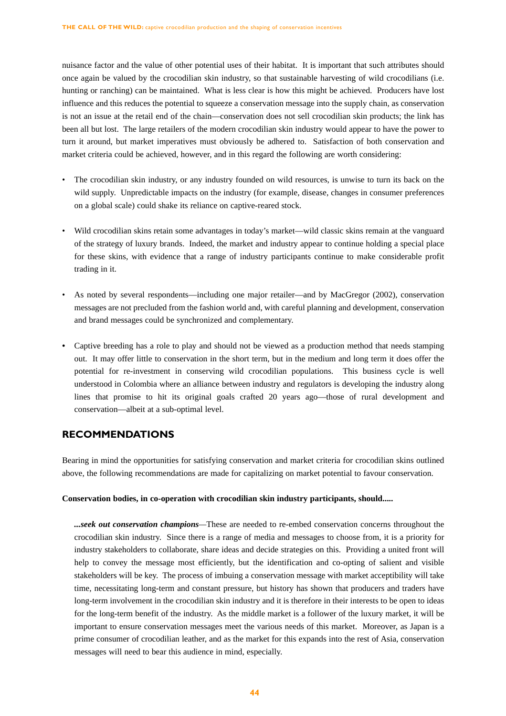nuisance factor and the value of other potential uses of their habitat. It is important that such attributes should once again be valued by the crocodilian skin industry, so that sustainable harvesting of wild crocodilians (i.e. hunting or ranching) can be maintained. What is less clear is how this might be achieved. Producers have lost influence and this reduces the potential to squeeze a conservation message into the supply chain, as conservation is not an issue at the retail end of the chain—conservation does not sell crocodilian skin products; the link has been all but lost. The large retailers of the modern crocodilian skin industry would appear to have the power to turn it around, but market imperatives must obviously be adhered to. Satisfaction of both conservation and market criteria could be achieved, however, and in this regard the following are worth considering:

- The crocodilian skin industry, or any industry founded on wild resources, is unwise to turn its back on the wild supply. Unpredictable impacts on the industry (for example, disease, changes in consumer preferences on a global scale) could shake its reliance on captive-reared stock.
- Wild crocodilian skins retain some advantages in today's market—wild classic skins remain at the vanguard of the strategy of luxury brands. Indeed, the market and industry appear to continue holding a special place for these skins, with evidence that a range of industry participants continue to make considerable profit trading in it.
- As noted by several respondents—including one major retailer—and by MacGregor (2002), conservation messages are not precluded from the fashion world and, with careful planning and development, conservation and brand messages could be synchronized and complementary.
- Captive breeding has a role to play and should not be viewed as a production method that needs stamping out. It may offer little to conservation in the short term, but in the medium and long term it does offer the potential for re-investment in conserving wild crocodilian populations. This business cycle is well understood in Colombia where an alliance between industry and regulators is developing the industry along lines that promise to hit its original goals crafted 20 years ago—those of rural development and conservation—albeit at a sub-optimal level.

# **RECOMMENDATIONS**

Bearing in mind the opportunities for satisfying conservation and market criteria for crocodilian skins outlined above, the following recommendations are made for capitalizing on market potential to favour conservation.

#### **Conservation bodies, in co-operation with crocodilian skin industry participants, should.....**

*...seek out conservation champions—*These are needed to re-embed conservation concerns throughout the crocodilian skin industry. Since there is a range of media and messages to choose from, it is a priority for industry stakeholders to collaborate, share ideas and decide strategies on this. Providing a united front will help to convey the message most efficiently, but the identification and co-opting of salient and visible stakeholders will be key. The process of imbuing a conservation message with market acceptibility will take time, necessitating long-term and constant pressure, but history has shown that producers and traders have long-term involvement in the crocodilian skin industry and it is therefore in their interests to be open to ideas for the long-term benefit of the industry. As the middle market is a follower of the luxury market, it will be important to ensure conservation messages meet the various needs of this market. Moreover, as Japan is a prime consumer of crocodilian leather, and as the market for this expands into the rest of Asia, conservation messages will need to bear this audience in mind, especially.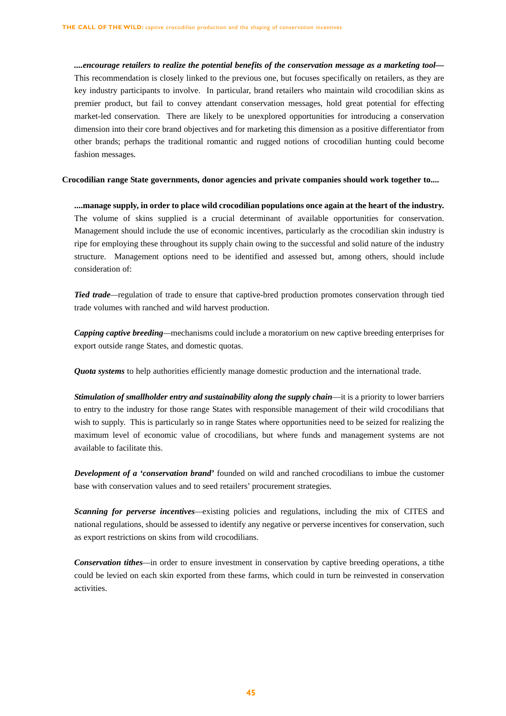*....encourage retailers to realize the potential benefits of the conservation message as a marketing tool—* This recommendation is closely linked to the previous one, but focuses specifically on retailers, as they are key industry participants to involve. In particular, brand retailers who maintain wild crocodilian skins as premier product, but fail to convey attendant conservation messages, hold great potential for effecting market-led conservation. There are likely to be unexplored opportunities for introducing a conservation dimension into their core brand objectives and for marketing this dimension as a positive differentiator from other brands; perhaps the traditional romantic and rugged notions of crocodilian hunting could become fashion messages*.* 

**Crocodilian range State governments, donor agencies and private companies should work together to....**

**....manage supply, in order to place wild crocodilian populations once again at the heart of the industry.** The volume of skins supplied is a crucial determinant of available opportunities for conservation. Management should include the use of economic incentives, particularly as the crocodilian skin industry is ripe for employing these throughout its supply chain owing to the successful and solid nature of the industry structure. Management options need to be identified and assessed but, among others, should include consideration of:

*Tied trade—*regulation of trade to ensure that captive-bred production promotes conservation through tied trade volumes with ranched and wild harvest production.

*Capping captive breeding—*mechanisms could include a moratorium on new captive breeding enterprises for export outside range States, and domestic quotas.

*Quota systems* to help authorities efficiently manage domestic production and the international trade.

*Stimulation of smallholder entry and sustainability along the supply chain—it is a priority to lower barriers* to entry to the industry for those range States with responsible management of their wild crocodilians that wish to supply. This is particularly so in range States where opportunities need to be seized for realizing the maximum level of economic value of crocodilians, but where funds and management systems are not available to facilitate this.

*Development of a 'conservation brand'* founded on wild and ranched crocodilians to imbue the customer base with conservation values and to seed retailers' procurement strategies.

*Scanning for perverse incentives—*existing policies and regulations, including the mix of CITES and national regulations, should be assessed to identify any negative or perverse incentives for conservation, such as export restrictions on skins from wild crocodilians.

*Conservation tithes—*in order to ensure investment in conservation by captive breeding operations, a tithe could be levied on each skin exported from these farms, which could in turn be reinvested in conservation activities.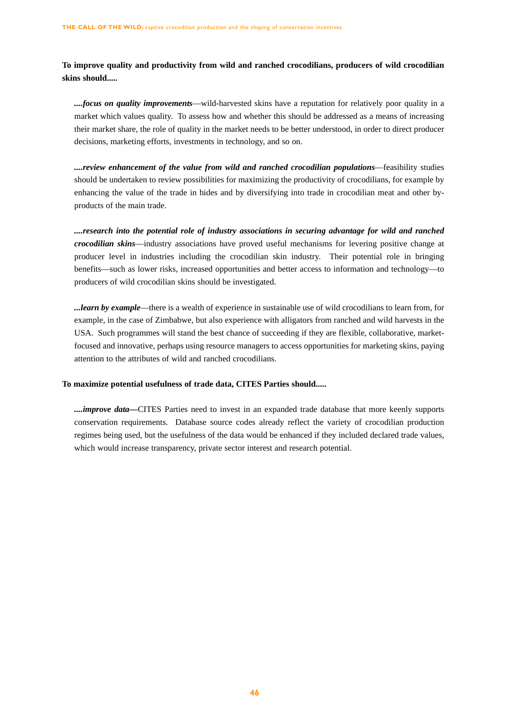**To improve quality and productivity from wild and ranched crocodilians, producers of wild crocodilian skins should.....**

*....focus on quality improvements*—wild-harvested skins have a reputation for relatively poor quality in a market which values quality. To assess how and whether this should be addressed as a means of increasing their market share, the role of quality in the market needs to be better understood, in order to direct producer decisions, marketing efforts, investments in technology, and so on.

*....review enhancement of the value from wild and ranched crocodilian populations*—feasibility studies should be undertaken to review possibilities for maximizing the productivity of crocodilians, for example by enhancing the value of the trade in hides and by diversifying into trade in crocodilian meat and other byproducts of the main trade.

*....research into the potential role of industry associations in securing advantage for wild and ranched crocodilian skins*—industry associations have proved useful mechanisms for levering positive change at producer level in industries including the crocodilian skin industry. Their potential role in bringing benefits—such as lower risks, increased opportunities and better access to information and technology—to producers of wild crocodilian skins should be investigated.

*...learn by example*—there is a wealth of experience in sustainable use of wild crocodilians to learn from, for example, in the case of Zimbabwe, but also experience with alligators from ranched and wild harvests in the USA. Such programmes will stand the best chance of succeeding if they are flexible, collaborative, marketfocused and innovative, perhaps using resource managers to access opportunities for marketing skins, paying attention to the attributes of wild and ranched crocodilians.

### **To maximize potential usefulness of trade data, CITES Parties should.....**

*....improve data—*CITES Parties need to invest in an expanded trade database that more keenly supports conservation requirements. Database source codes already reflect the variety of crocodilian production regimes being used, but the usefulness of the data would be enhanced if they included declared trade values, which would increase transparency, private sector interest and research potential.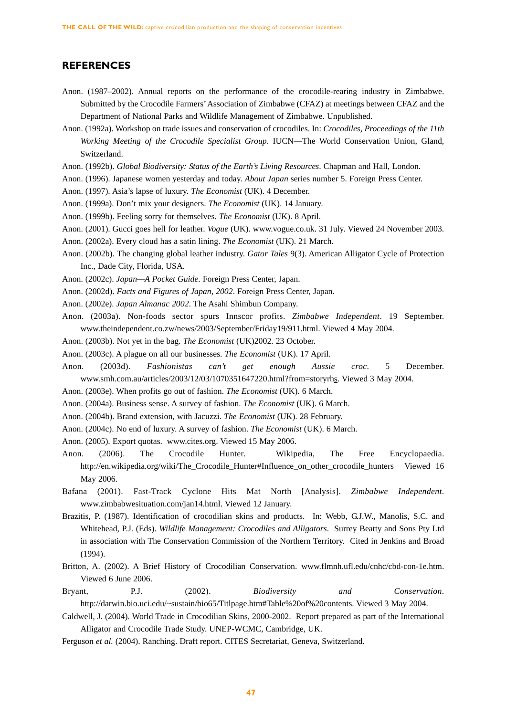# **REFERENCES**

- Anon. (1987–2002). Annual reports on the performance of the crocodile-rearing industry in Zimbabwe. Submitted by the Crocodile Farmers'Association of Zimbabwe (CFAZ) at meetings between CFAZ and the Department of National Parks and Wildlife Management of Zimbabwe. Unpublished.
- Anon. (1992a). Workshop on trade issues and conservation of crocodiles. In: *Crocodiles, Proceedings of the 11th Working Meeting of the Crocodile Specialist Group*. IUCN—The World Conservation Union, Gland, Switzerland.
- Anon. (1992b). *Global Biodiversity: Status of the Earth's Living Resources*. Chapman and Hall, London.
- Anon. (1996). Japanese women yesterday and today. *About Japan* series number 5. Foreign Press Center.
- Anon. (1997). Asia's lapse of luxury. *The Economist* (UK). 4 December.
- Anon. (1999a). Don't mix your designers. *The Economist* (UK). 14 January.
- Anon. (1999b). Feeling sorry for themselves. *The Economist* (UK). 8 April.
- Anon. (2001). Gucci goes hell for leather. *Vogue* (UK). www.vogue.co.uk. 31 July. Viewed 24 November 2003.
- Anon. (2002a). Every cloud has a satin lining. *The Economist* (UK). 21 March.
- Anon. (2002b). The changing global leather industry. *Gator Tales* 9(3). American Alligator Cycle of Protection Inc., Dade City, Florida, USA.
- Anon. (2002c). *Japan—A Pocket Guide*. Foreign Press Center, Japan.
- Anon. (2002d). *Facts and Figures of Japan, 2002*. Foreign Press Center, Japan.
- Anon. (2002e). *Japan Almanac 2002*. The Asahi Shimbun Company.
- Anon. (2003a). Non-foods sector spurs Innscor profits. *Zimbabwe Independent*. 19 September. www.theindependent.co.zw/news/2003/September/Friday19/911.html. Viewed 4 May 2004.
- Anon. (2003b). Not yet in the bag. *The Economist* (UK)2002. 23 October.
- Anon. (2003c). A plague on all our businesses. *The Economist* (UK). 17 April.
- Anon. (2003d). *Fashionistas can't get enough Aussie croc*. 5 December. www.smh.com.au/articles/2003/12/03/1070351647220.html?from=storyrhs. Viewed 3 May 2004.
- Anon. (2003e). When profits go out of fashion. *The Economist* (UK). 6 March.
- Anon. (2004a). Business sense. A survey of fashion. *The Economist* (UK). 6 March.
- Anon. (2004b). Brand extension, with Jacuzzi. *The Economist* (UK). 28 February.
- Anon. (2004c). No end of luxury. A survey of fashion. *The Economist* (UK). 6 March.
- Anon. (2005). Export quotas. www.cites.org. Viewed 15 May 2006.
- Anon. (2006). The Crocodile Hunter. Wikipedia, The Free Encyclopaedia. http://en.wikipedia.org/wiki/The\_Crocodile\_Hunter#Influence\_on\_other\_crocodile\_hunters Viewed 16 May 2006.
- Bafana (2001). Fast-Track Cyclone Hits Mat North [Analysis]. *Zimbabwe Independent*. www.zimbabwesituation.com/jan14.html. Viewed 12 January.
- Brazitis, P. (1987). Identification of crocodilian skins and products. In: Webb, G.J.W., Manolis, S.C. and Whitehead, P.J. (Eds). *Wildlife Management: Crocodiles and Alligators*. Surrey Beatty and Sons Pty Ltd in association with The Conservation Commission of the Northern Territory. Cited in Jenkins and Broad (1994).
- Britton, A. (2002). A Brief History of Crocodilian Conservation. www.flmnh.ufl.edu/cnhc/cbd-con-1e.htm. Viewed 6 June 2006.
- Bryant, P.J. (2002). *Biodiversity and Conservation*. http://darwin.bio.uci.edu/~sustain/bio65/Titlpage.htm#Table%20of%20contents. Viewed 3 May 2004.
- Caldwell, J. (2004). World Trade in Crocodilian Skins, 2000-2002. Report prepared as part of the International Alligator and Crocodile Trade Study. UNEP-WCMC, Cambridge, UK.
- Ferguson *et al.* (2004). Ranching. Draft report. CITES Secretariat, Geneva, Switzerland.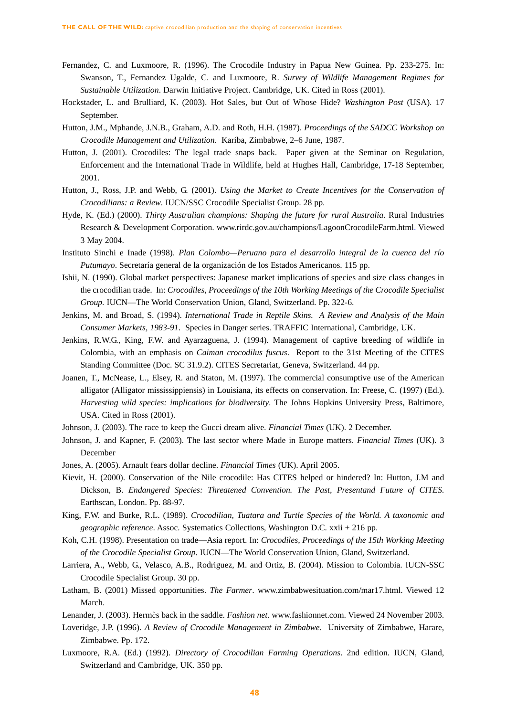- Fernandez, C. and Luxmoore, R. (1996). The Crocodile Industry in Papua New Guinea. Pp. 233-275. In: Swanson, T., Fernandez Ugalde, C. and Luxmoore, R. *Survey of Wildlife Management Regimes for Sustainable Utilization*. Darwin Initiative Project. Cambridge, UK. Cited in Ross (2001).
- Hockstader, L. and Brulliard, K. (2003). Hot Sales, but Out of Whose Hide? *Washington Post* (USA). 17 September.
- Hutton, J.M., Mphande, J.N.B., Graham, A.D. and Roth, H.H. (1987). *Proceedings of the SADCC Workshop on Crocodile Management and Utilization*. Kariba, Zimbabwe, 2–6 June, 1987.
- Hutton, J. (2001). Crocodiles: The legal trade snaps back. Paper given at the Seminar on Regulation, Enforcement and the International Trade in Wildlife, held at Hughes Hall, Cambridge, 17-18 September, 2001.
- Hutton, J., Ross, J.P. and Webb, G. (2001). *Using the Market to Create Incentives for the Conservation of Crocodilians: a Review*. IUCN/SSC Crocodile Specialist Group. 28 pp.
- Hyde, K. (Ed.) (2000). *Thirty Australian champions: Shaping the future for rural Australia*. Rural Industries Research & Development Corporation. www.rirdc.gov.au/champions/LagoonCrocodileFarm.html. Viewed 3 May 2004.
- Instituto Sinchi e Inade (1998). *Plan Colombo—Peruano para el desarrollo integral de la cuenca del río Putumayo*. Secretaría general de la organización de los Estados Americanos. 115 pp.
- Ishii, N. (1990). Global market perspectives: Japanese market implications of species and size class changes in the crocodilian trade. In: *Crocodiles*, *Proceedings of the 10th Working Meetings of the Crocodile Specialist Group.* IUCN—The World Conservation Union, Gland, Switzerland. Pp. 322-6.
- Jenkins, M. and Broad, S. (1994). *International Trade in Reptile Skins. A Review and Analysis of the Main Consumer Markets, 1983-91*. Species in Danger series. TRAFFIC International, Cambridge, UK.
- Jenkins, R.W.G., King, F.W. and Ayarzaguena, J. (1994). Management of captive breeding of wildlife in Colombia, with an emphasis on *Caiman crocodilus fuscus*. Report to the 31st Meeting of the CITES Standing Committee (Doc. SC 31.9.2). CITES Secretariat, Geneva, Switzerland. 44 pp.
- Joanen, T., McNease, L., Elsey, R. and Staton, M. (1997). The commercial consumptive use of the American alligator (Alligator mississippiensis) in Louisiana, its effects on conservation. In: Freese, C. (1997) (Ed.). *Harvesting wild species: implications for biodiversity*. The Johns Hopkins University Press, Baltimore, USA. Cited in Ross (2001).
- Johnson, J. (2003). The race to keep the Gucci dream alive. *Financial Times* (UK). 2 December.
- Johnson, J. and Kapner, F. (2003). The last sector where Made in Europe matters. *Financial Times* (UK). 3 December
- Jones, A. (2005). Arnault fears dollar decline. *Financial Times* (UK). April 2005.
- Kievit, H. (2000). Conservation of the Nile crocodile: Has CITES helped or hindered? In: Hutton, J.M and Dickson, B. *Endangered Species: Threatened Convention. The Past, Presentand Future of CITES*. Earthscan, London. Pp. 88-97.
- King, F.W. and Burke, R.L. (1989). *Crocodilian, Tuatara and Turtle Species of the World. A taxonomic and geographic reference*. Assoc. Systematics Collections, Washington D.C. xxii + 216 pp.
- Koh, C.H. (1998). Presentation on trade—Asia report. In: *Crocodiles, Proceedings of the 15th Working Meeting of the Crocodile Specialist Group*. IUCN—The World Conservation Union, Gland, Switzerland.
- Larriera, A., Webb, G., Velasco, A.B., Rodriguez, M. and Ortiz, B. (2004). Mission to Colombia. IUCN-SSC Crocodile Specialist Group. 30 pp.
- Latham, B. (2001) Missed opportunities. *The Farmer*. www.zimbabwesituation.com/mar17.html. Viewed 12 March.
- Lenander, J. (2003). Hermès back in the saddle. *Fashion net*. www.fashionnet.com. Viewed 24 November 2003.
- Loveridge, J.P. (1996). *A Review of Crocodile Management in Zimbabwe*. University of Zimbabwe, Harare, Zimbabwe. Pp. 172.
- Luxmoore, R.A. (Ed.) (1992). *Directory of Crocodilian Farming Operations*. 2nd edition. IUCN, Gland, Switzerland and Cambridge, UK. 350 pp.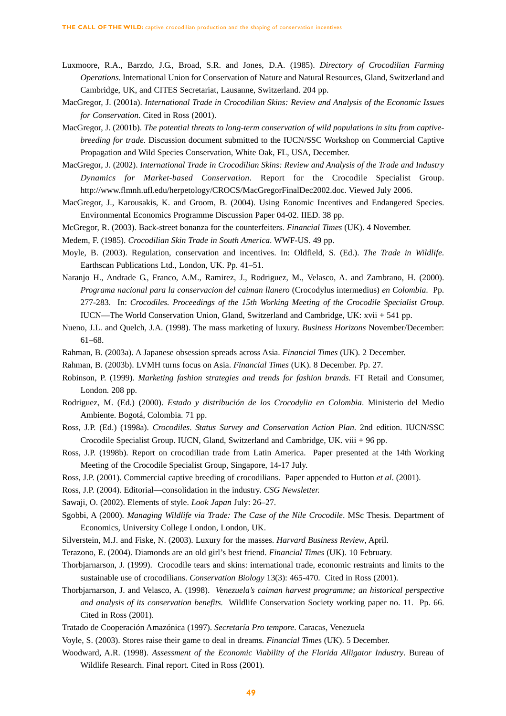- Luxmoore, R.A., Barzdo, J.G., Broad, S.R. and Jones, D.A. (1985). *Directory of Crocodilian Farming Operations*. International Union for Conservation of Nature and Natural Resources, Gland, Switzerland and Cambridge, UK, and CITES Secretariat, Lausanne, Switzerland. 204 pp.
- MacGregor, J. (2001a). *International Trade in Crocodilian Skins: Review and Analysis of the Economic Issues for Conservation*. Cited in Ross (2001).
- MacGregor, J. (2001b). *The potential threats to long-term conservation of wild populations in situ from captivebreeding for trade*. Discussion document submitted to the IUCN/SSC Workshop on Commercial Captive Propagation and Wild Species Conservation, White Oak, FL, USA, December.
- MacGregor, J. (2002). *International Trade in Crocodilian Skins: Review and Analysis of the Trade and Industry Dynamics for Market-based Conservation*. Report for the Crocodile Specialist Group. http://www.flmnh.ufl.edu/herpetology/CROCS/MacGregorFinalDec2002.doc. Viewed July 2006.
- MacGregor, J., Karousakis, K. and Groom, B. (2004). Using Eonomic Incentives and Endangered Species. Environmental Economics Programme Discussion Paper 04-02. IIED. 38 pp.
- McGregor, R. (2003). Back-street bonanza for the counterfeiters. *Financial Times* (UK). 4 November.
- Medem, F. (1985). *Crocodilian Skin Trade in South America*. WWF-US. 49 pp.
- Moyle, B. (2003). Regulation, conservation and incentives. In: Oldfield, S. (Ed.). *The Trade in Wildlife*. Earthscan Publications Ltd., London, UK. Pp. 41–51.
- Naranjo H., Andrade G., Franco, A.M., Ramirez, J., Rodriguez, M., Velasco, A. and Zambrano, H. (2000). *Programa nacional para la conservacion del caiman llanero* (Crocodylus intermedius) *en Colombia*. Pp. 277-283. In: *Crocodiles. Proceedings of the 15th Working Meeting of the Crocodile Specialist Group*. IUCN—The World Conservation Union, Gland, Switzerland and Cambridge, UK: xvii + 541 pp.
- Nueno, J.L. and Quelch, J.A. (1998). The mass marketing of luxury. *Business Horizons* November/December: 61–68.
- Rahman, B. (2003a). A Japanese obsession spreads across Asia. *Financial Times* (UK). 2 December.
- Rahman, B. (2003b). LVMH turns focus on Asia. *Financial Times* (UK). 8 December. Pp. 27.
- Robinson, P. (1999). *Marketing fashion strategies and trends for fashion brands.* FT Retail and Consumer, London. 208 pp.
- Rodriguez, M. (Ed.) (2000). *Estado y distribución de los Crocodylia en Colombia*. Ministerio del Medio Ambiente. Bogotá, Colombia. 71 pp.
- Ross, J.P. (Ed.) (1998a). *Crocodiles*. *Status Survey and Conservation Action Plan*. 2nd edition. IUCN/SSC Crocodile Specialist Group. IUCN, Gland, Switzerland and Cambridge, UK. viii + 96 pp.
- Ross, J.P. (1998b). Report on crocodilian trade from Latin America. Paper presented at the 14th Working Meeting of the Crocodile Specialist Group, Singapore, 14-17 July.
- Ross, J.P. (2001). Commercial captive breeding of crocodilians. Paper appended to Hutton *et al*. (2001).
- Ross, J.P. (2004). Editorial—consolidation in the industry. *CSG Newsletter.*
- Sawaji, O. (2002). Elements of style. *Look Japan* July: 26–27.
- Sgobbi, A (2000). *Managing Wildlife via Trade: The Case of the Nile Crocodile*. MSc Thesis. Department of Economics, University College London, London, UK.
- Silverstein, M.J. and Fiske, N. (2003). Luxury for the masses. *Harvard Business Review*, April.
- Terazono, E. (2004). Diamonds are an old girl's best friend. *Financial Times* (UK). 10 February.
- Thorbjarnarson, J. (1999). Crocodile tears and skins: international trade, economic restraints and limits to the sustainable use of crocodilians. *Conservation Biology* 13(3): 465-470. Cited in Ross (2001).
- Thorbjarnarson, J. and Velasco, A. (1998). *Venezuela's caiman harvest programme; an historical perspective and analysis of its conservation benefits.* Wildlife Conservation Society working paper no. 11. Pp. 66. Cited in Ross (2001).
- Tratado de Cooperación Amazónica (1997). *Secretaría Pro tempore*. Caracas, Venezuela
- Voyle, S. (2003). Stores raise their game to deal in dreams. *Financial Time*s (UK). 5 December.
- Woodward, A.R. (1998). *Assessment of the Economic Viability of the Florida Alligator Industry*. Bureau of Wildlife Research. Final report. Cited in Ross (2001).